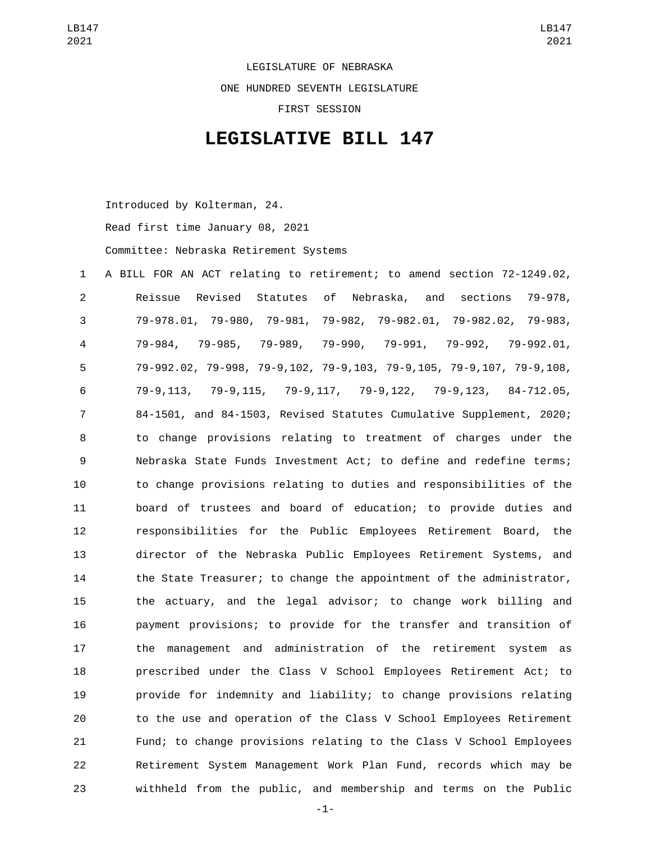LEGISLATURE OF NEBRASKA ONE HUNDRED SEVENTH LEGISLATURE FIRST SESSION

## **LEGISLATIVE BILL 147**

Introduced by Kolterman, 24.

Read first time January 08, 2021

Committee: Nebraska Retirement Systems

 A BILL FOR AN ACT relating to retirement; to amend section 72-1249.02, Reissue Revised Statutes of Nebraska, and sections 79-978, 79-978.01, 79-980, 79-981, 79-982, 79-982.01, 79-982.02, 79-983, 79-984, 79-985, 79-989, 79-990, 79-991, 79-992, 79-992.01, 79-992.02, 79-998, 79-9,102, 79-9,103, 79-9,105, 79-9,107, 79-9,108, 79-9,113, 79-9,115, 79-9,117, 79-9,122, 79-9,123, 84-712.05, 84-1501, and 84-1503, Revised Statutes Cumulative Supplement, 2020; to change provisions relating to treatment of charges under the Nebraska State Funds Investment Act; to define and redefine terms; to change provisions relating to duties and responsibilities of the board of trustees and board of education; to provide duties and responsibilities for the Public Employees Retirement Board, the director of the Nebraska Public Employees Retirement Systems, and the State Treasurer; to change the appointment of the administrator, the actuary, and the legal advisor; to change work billing and payment provisions; to provide for the transfer and transition of the management and administration of the retirement system as prescribed under the Class V School Employees Retirement Act; to provide for indemnity and liability; to change provisions relating to the use and operation of the Class V School Employees Retirement Fund; to change provisions relating to the Class V School Employees Retirement System Management Work Plan Fund, records which may be withheld from the public, and membership and terms on the Public

-1-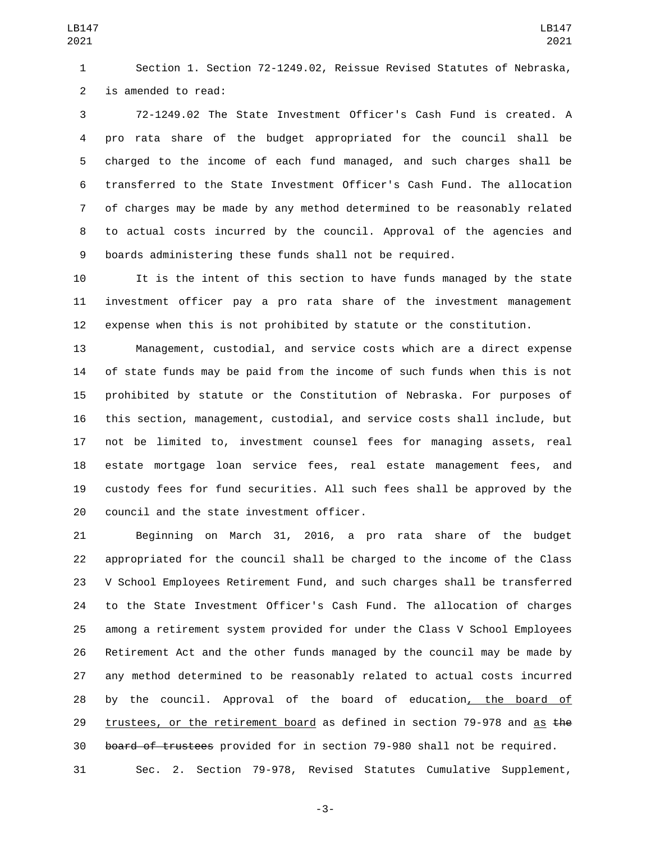Section 1. Section 72-1249.02, Reissue Revised Statutes of Nebraska, 2 is amended to read:

 72-1249.02 The State Investment Officer's Cash Fund is created. A pro rata share of the budget appropriated for the council shall be charged to the income of each fund managed, and such charges shall be transferred to the State Investment Officer's Cash Fund. The allocation of charges may be made by any method determined to be reasonably related to actual costs incurred by the council. Approval of the agencies and boards administering these funds shall not be required.

 It is the intent of this section to have funds managed by the state investment officer pay a pro rata share of the investment management expense when this is not prohibited by statute or the constitution.

 Management, custodial, and service costs which are a direct expense of state funds may be paid from the income of such funds when this is not prohibited by statute or the Constitution of Nebraska. For purposes of this section, management, custodial, and service costs shall include, but not be limited to, investment counsel fees for managing assets, real estate mortgage loan service fees, real estate management fees, and custody fees for fund securities. All such fees shall be approved by the 20 council and the state investment officer.

 Beginning on March 31, 2016, a pro rata share of the budget appropriated for the council shall be charged to the income of the Class V School Employees Retirement Fund, and such charges shall be transferred to the State Investment Officer's Cash Fund. The allocation of charges among a retirement system provided for under the Class V School Employees Retirement Act and the other funds managed by the council may be made by any method determined to be reasonably related to actual costs incurred by the council. Approval of the board of education, the board of 29 trustees, or the retirement board as defined in section 79-978 and as  $the$ board of trustees provided for in section 79-980 shall not be required.

Sec. 2. Section 79-978, Revised Statutes Cumulative Supplement,

-3-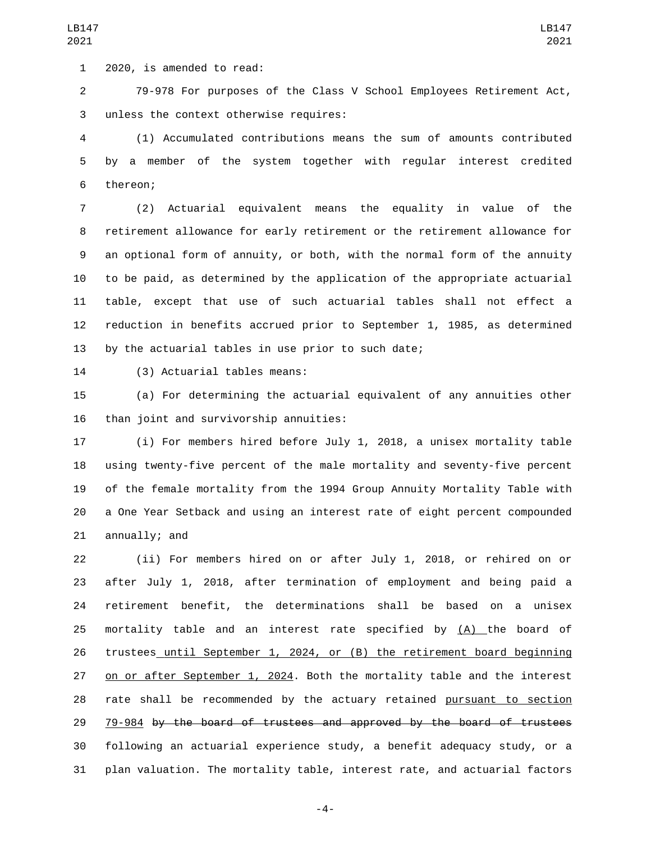1 2020, is amended to read:

 79-978 For purposes of the Class V School Employees Retirement Act, 3 unless the context otherwise requires:

 (1) Accumulated contributions means the sum of amounts contributed by a member of the system together with regular interest credited 6 thereon;

 (2) Actuarial equivalent means the equality in value of the retirement allowance for early retirement or the retirement allowance for an optional form of annuity, or both, with the normal form of the annuity to be paid, as determined by the application of the appropriate actuarial table, except that use of such actuarial tables shall not effect a reduction in benefits accrued prior to September 1, 1985, as determined by the actuarial tables in use prior to such date;

14 (3) Actuarial tables means:

 (a) For determining the actuarial equivalent of any annuities other 16 than joint and survivorship annuities:

 (i) For members hired before July 1, 2018, a unisex mortality table using twenty-five percent of the male mortality and seventy-five percent of the female mortality from the 1994 Group Annuity Mortality Table with a One Year Setback and using an interest rate of eight percent compounded annually; and

 (ii) For members hired on or after July 1, 2018, or rehired on or after July 1, 2018, after termination of employment and being paid a retirement benefit, the determinations shall be based on a unisex mortality table and an interest rate specified by (A) the board of trustees until September 1, 2024, or (B) the retirement board beginning on or after September 1, 2024. Both the mortality table and the interest rate shall be recommended by the actuary retained pursuant to section 79-984 by the board of trustees and approved by the board of trustees following an actuarial experience study, a benefit adequacy study, or a plan valuation. The mortality table, interest rate, and actuarial factors

-4-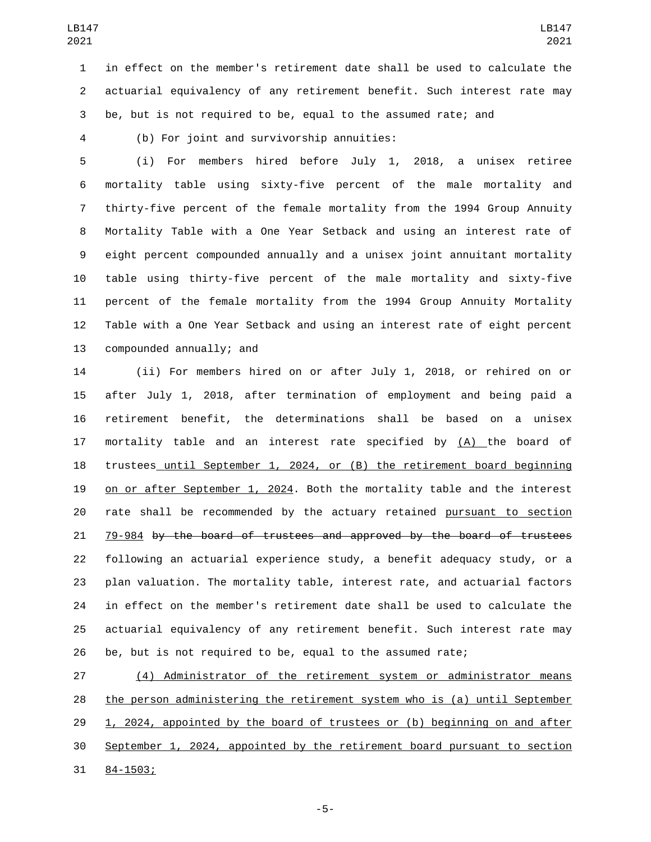in effect on the member's retirement date shall be used to calculate the actuarial equivalency of any retirement benefit. Such interest rate may be, but is not required to be, equal to the assumed rate; and

(b) For joint and survivorship annuities:4

 (i) For members hired before July 1, 2018, a unisex retiree mortality table using sixty-five percent of the male mortality and thirty-five percent of the female mortality from the 1994 Group Annuity Mortality Table with a One Year Setback and using an interest rate of eight percent compounded annually and a unisex joint annuitant mortality table using thirty-five percent of the male mortality and sixty-five percent of the female mortality from the 1994 Group Annuity Mortality Table with a One Year Setback and using an interest rate of eight percent 13 compounded annually; and

 (ii) For members hired on or after July 1, 2018, or rehired on or after July 1, 2018, after termination of employment and being paid a retirement benefit, the determinations shall be based on a unisex 17 mortality table and an interest rate specified by  $(A)$  the board of trustees until September 1, 2024, or (B) the retirement board beginning on or after September 1, 2024. Both the mortality table and the interest rate shall be recommended by the actuary retained pursuant to section 79-984 by the board of trustees and approved by the board of trustees following an actuarial experience study, a benefit adequacy study, or a plan valuation. The mortality table, interest rate, and actuarial factors in effect on the member's retirement date shall be used to calculate the actuarial equivalency of any retirement benefit. Such interest rate may be, but is not required to be, equal to the assumed rate;

 (4) Administrator of the retirement system or administrator means the person administering the retirement system who is (a) until September 29 1, 2024, appointed by the board of trustees or (b) beginning on and after September 1, 2024, appointed by the retirement board pursuant to section 31 84-1503;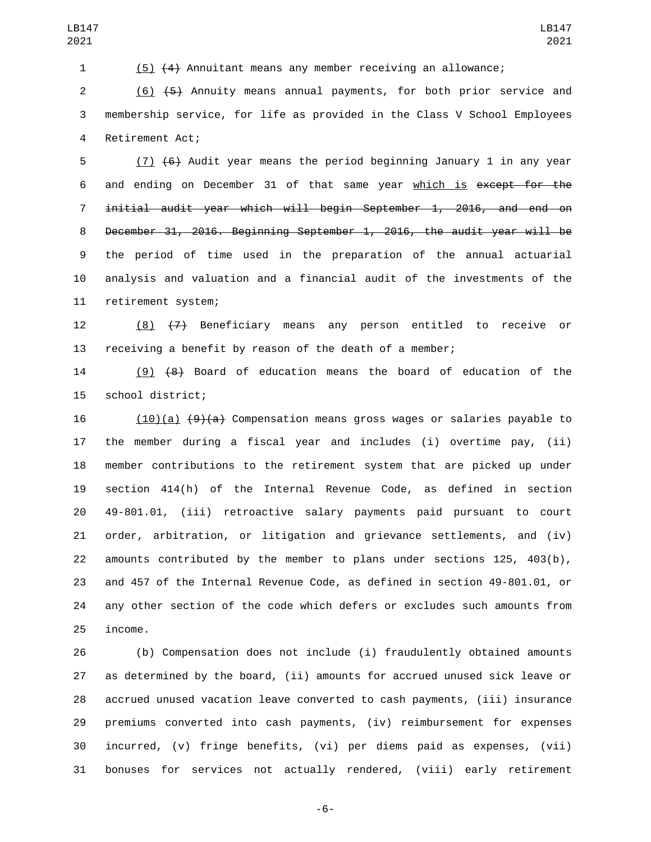(5) (4) Annuitant means any member receiving an allowance;

 (6) (5) Annuity means annual payments, for both prior service and membership service, for life as provided in the Class V School Employees 4 Retirement Act;

 (7) (6) Audit year means the period beginning January 1 in any year and ending on December 31 of that same year which is except for the initial audit year which will begin September 1, 2016, and end on December 31, 2016. Beginning September 1, 2016, the audit year will be the period of time used in the preparation of the annual actuarial analysis and valuation and a financial audit of the investments of the 11 retirement system;

 (8) (7) Beneficiary means any person entitled to receive or receiving a benefit by reason of the death of a member;

 (9) (8) Board of education means the board of education of the 15 school district;

 (10)(a) (9)(a) Compensation means gross wages or salaries payable to the member during a fiscal year and includes (i) overtime pay, (ii) member contributions to the retirement system that are picked up under section 414(h) of the Internal Revenue Code, as defined in section 49-801.01, (iii) retroactive salary payments paid pursuant to court order, arbitration, or litigation and grievance settlements, and (iv) amounts contributed by the member to plans under sections 125, 403(b), and 457 of the Internal Revenue Code, as defined in section 49-801.01, or any other section of the code which defers or excludes such amounts from 25 income.

 (b) Compensation does not include (i) fraudulently obtained amounts as determined by the board, (ii) amounts for accrued unused sick leave or accrued unused vacation leave converted to cash payments, (iii) insurance premiums converted into cash payments, (iv) reimbursement for expenses incurred, (v) fringe benefits, (vi) per diems paid as expenses, (vii) bonuses for services not actually rendered, (viii) early retirement

-6-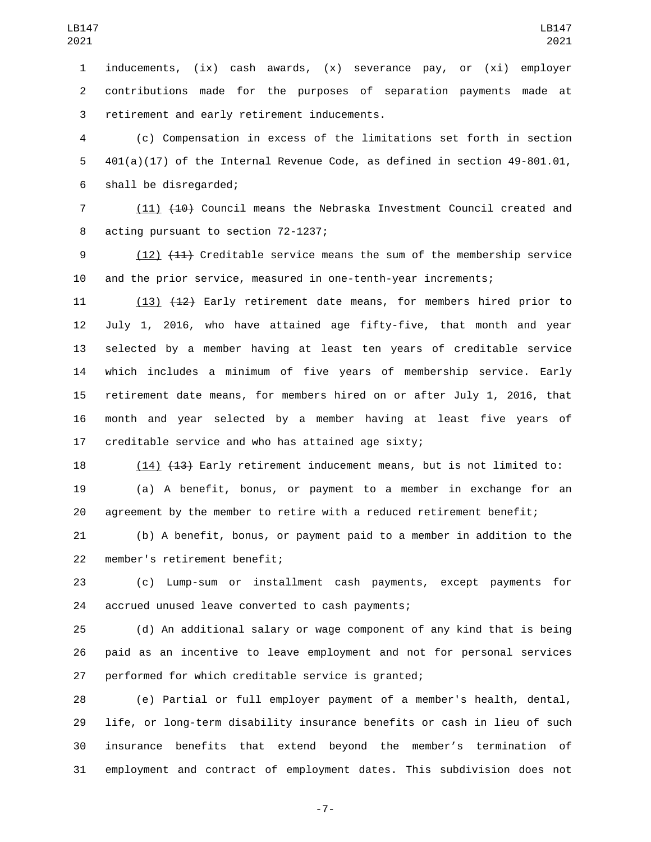inducements, (ix) cash awards, (x) severance pay, or (xi) employer contributions made for the purposes of separation payments made at 3 retirement and early retirement inducements.

 (c) Compensation in excess of the limitations set forth in section 401(a)(17) of the Internal Revenue Code, as defined in section 49-801.01, 6 shall be disregarded;

 (11) (10) Council means the Nebraska Investment Council created and 8 acting pursuant to section 72-1237;

 (12) (11) Creditable service means the sum of the membership service and the prior service, measured in one-tenth-year increments;

 (13) (12) Early retirement date means, for members hired prior to July 1, 2016, who have attained age fifty-five, that month and year selected by a member having at least ten years of creditable service which includes a minimum of five years of membership service. Early retirement date means, for members hired on or after July 1, 2016, that month and year selected by a member having at least five years of creditable service and who has attained age sixty;

 (14) (13) Early retirement inducement means, but is not limited to: (a) A benefit, bonus, or payment to a member in exchange for an agreement by the member to retire with a reduced retirement benefit;

 (b) A benefit, bonus, or payment paid to a member in addition to the 22 member's retirement benefit;

 (c) Lump-sum or installment cash payments, except payments for 24 accrued unused leave converted to cash payments;

 (d) An additional salary or wage component of any kind that is being paid as an incentive to leave employment and not for personal services performed for which creditable service is granted;

 (e) Partial or full employer payment of a member's health, dental, life, or long-term disability insurance benefits or cash in lieu of such insurance benefits that extend beyond the member's termination of employment and contract of employment dates. This subdivision does not

-7-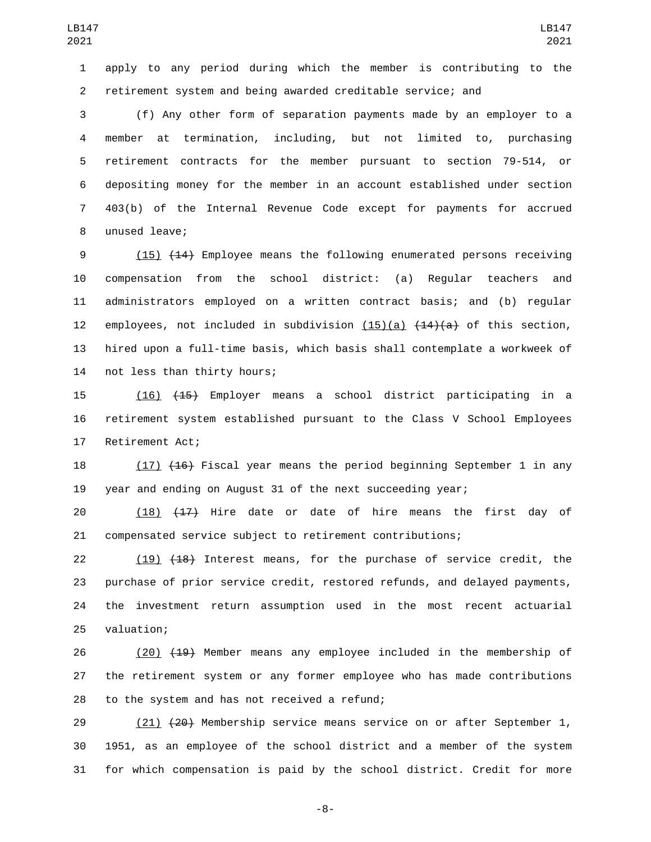apply to any period during which the member is contributing to the retirement system and being awarded creditable service; and

 (f) Any other form of separation payments made by an employer to a member at termination, including, but not limited to, purchasing retirement contracts for the member pursuant to section 79-514, or depositing money for the member in an account established under section 403(b) of the Internal Revenue Code except for payments for accrued 8 unused leave;

 (15) (14) Employee means the following enumerated persons receiving compensation from the school district: (a) Regular teachers and administrators employed on a written contract basis; and (b) regular 12 employees, not included in subdivision  $(15)(a)$   $(14)(a)$  of this section, hired upon a full-time basis, which basis shall contemplate a workweek of 14 not less than thirty hours;

 (16) (15) Employer means a school district participating in a retirement system established pursuant to the Class V School Employees 17 Retirement Act;

 (17) (16) Fiscal year means the period beginning September 1 in any year and ending on August 31 of the next succeeding year;

 (18) (17) Hire date or date of hire means the first day of compensated service subject to retirement contributions;

22 (19) (18) Interest means, for the purchase of service credit, the purchase of prior service credit, restored refunds, and delayed payments, the investment return assumption used in the most recent actuarial 25 valuation;

26 (20) (19) Member means any employee included in the membership of the retirement system or any former employee who has made contributions 28 to the system and has not received a refund;

29 (21) (20) Membership service means service on or after September 1, 1951, as an employee of the school district and a member of the system for which compensation is paid by the school district. Credit for more

-8-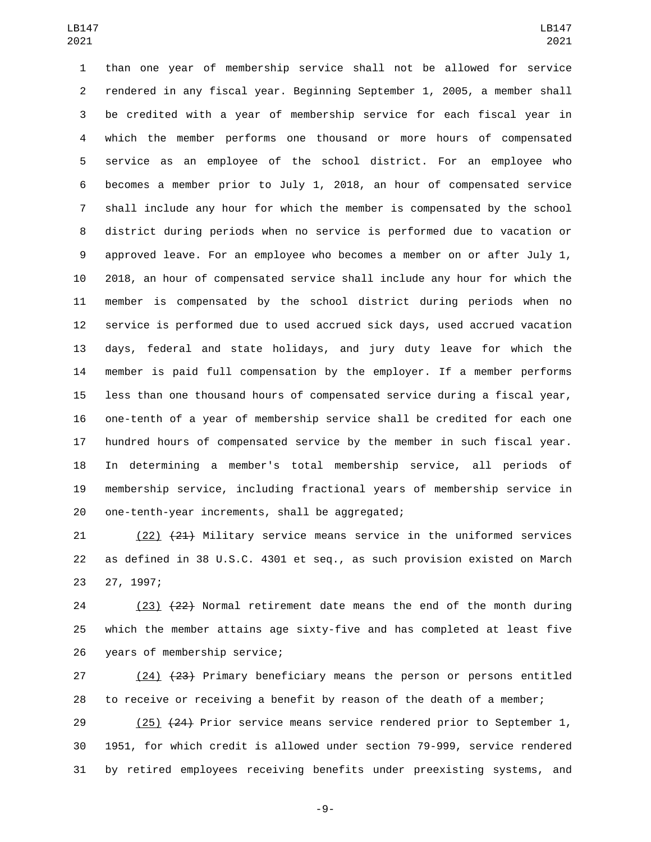than one year of membership service shall not be allowed for service rendered in any fiscal year. Beginning September 1, 2005, a member shall be credited with a year of membership service for each fiscal year in which the member performs one thousand or more hours of compensated service as an employee of the school district. For an employee who becomes a member prior to July 1, 2018, an hour of compensated service shall include any hour for which the member is compensated by the school district during periods when no service is performed due to vacation or approved leave. For an employee who becomes a member on or after July 1, 2018, an hour of compensated service shall include any hour for which the member is compensated by the school district during periods when no service is performed due to used accrued sick days, used accrued vacation days, federal and state holidays, and jury duty leave for which the member is paid full compensation by the employer. If a member performs less than one thousand hours of compensated service during a fiscal year, one-tenth of a year of membership service shall be credited for each one hundred hours of compensated service by the member in such fiscal year. In determining a member's total membership service, all periods of membership service, including fractional years of membership service in 20 one-tenth-year increments, shall be aggregated;

 (22) (21) Military service means service in the uniformed services as defined in 38 U.S.C. 4301 et seq., as such provision existed on March 23 27, 1997;

 (23) (22) Normal retirement date means the end of the month during which the member attains age sixty-five and has completed at least five 26 years of membership service;

27 (24) (23) Primary beneficiary means the person or persons entitled to receive or receiving a benefit by reason of the death of a member;

 (25) (24) Prior service means service rendered prior to September 1, 1951, for which credit is allowed under section 79-999, service rendered by retired employees receiving benefits under preexisting systems, and

-9-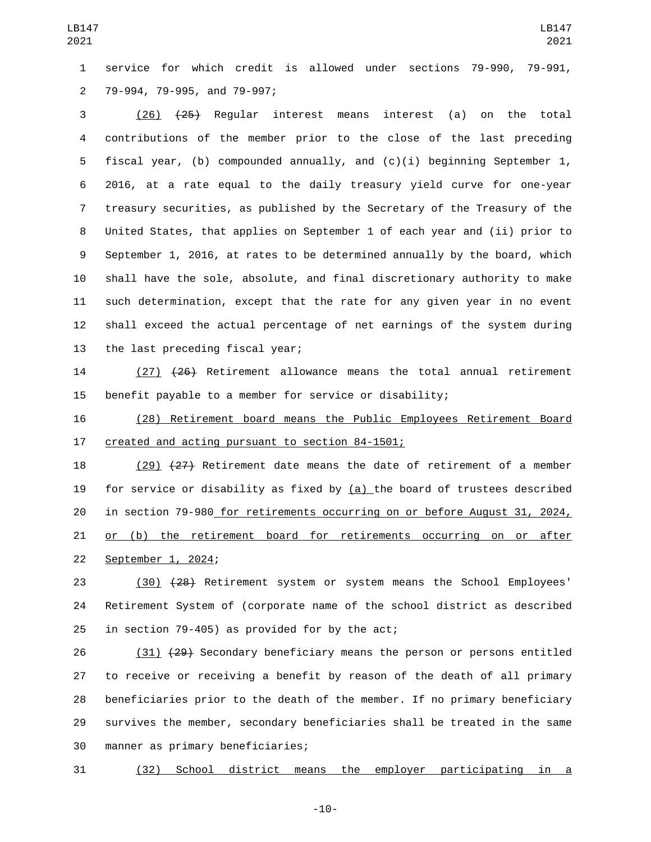service for which credit is allowed under sections 79-990, 79-991, 79-994, 79-995, and 79-997;2

 (26) (25) Regular interest means interest (a) on the total contributions of the member prior to the close of the last preceding fiscal year, (b) compounded annually, and (c)(i) beginning September 1, 2016, at a rate equal to the daily treasury yield curve for one-year treasury securities, as published by the Secretary of the Treasury of the United States, that applies on September 1 of each year and (ii) prior to September 1, 2016, at rates to be determined annually by the board, which shall have the sole, absolute, and final discretionary authority to make such determination, except that the rate for any given year in no event shall exceed the actual percentage of net earnings of the system during 13 the last preceding fiscal year;

 (27) (26) Retirement allowance means the total annual retirement benefit payable to a member for service or disability;

 (28) Retirement board means the Public Employees Retirement Board 17 created and acting pursuant to section 84-1501;

 (29) (27) Retirement date means the date of retirement of a member 19 for service or disability as fixed by  $(a)$  the board of trustees described in section 79-980 for retirements occurring on or before August 31, 2024, or (b) the retirement board for retirements occurring on or after 22 September 1, 2024;

 (30) (28) Retirement system or system means the School Employees' Retirement System of (corporate name of the school district as described 25 in section 79-405) as provided for by the act;

 (31) (29) Secondary beneficiary means the person or persons entitled to receive or receiving a benefit by reason of the death of all primary beneficiaries prior to the death of the member. If no primary beneficiary survives the member, secondary beneficiaries shall be treated in the same 30 manner as primary beneficiaries;

(32) School district means the employer participating in a

-10-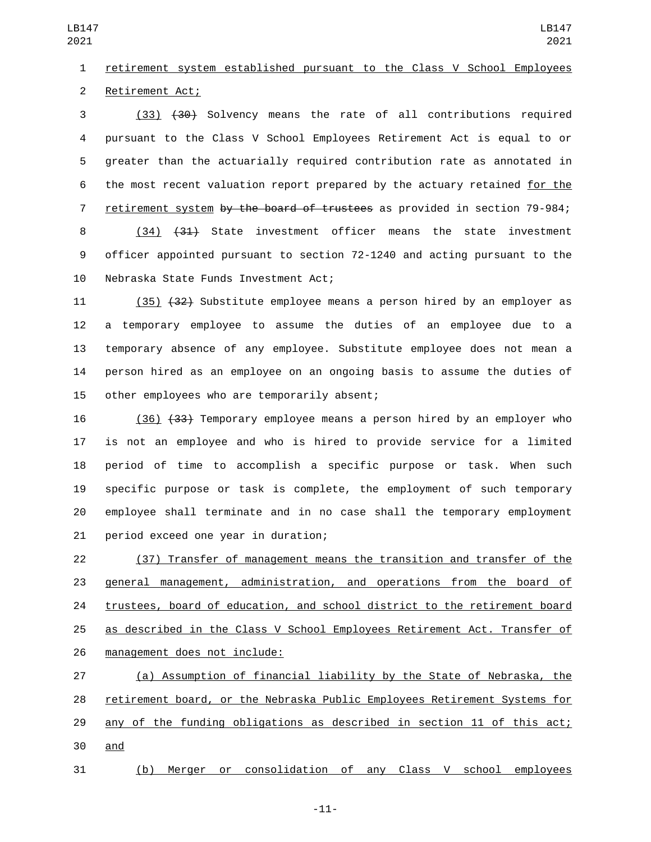LB147 

## retirement system established pursuant to the Class V School Employees 2 Retirement Act;

 (33) (30) Solvency means the rate of all contributions required pursuant to the Class V School Employees Retirement Act is equal to or greater than the actuarially required contribution rate as annotated in the most recent valuation report prepared by the actuary retained for the 7 retirement system by the board of trustees as provided in section 79-984; (34) (31) State investment officer means the state investment officer appointed pursuant to section 72-1240 and acting pursuant to the

10 Nebraska State Funds Investment Act;

 (35) (32) Substitute employee means a person hired by an employer as a temporary employee to assume the duties of an employee due to a temporary absence of any employee. Substitute employee does not mean a person hired as an employee on an ongoing basis to assume the duties of 15 other employees who are temporarily absent;

 (36) (33) Temporary employee means a person hired by an employer who is not an employee and who is hired to provide service for a limited period of time to accomplish a specific purpose or task. When such specific purpose or task is complete, the employment of such temporary employee shall terminate and in no case shall the temporary employment 21 period exceed one year in duration;

 (37) Transfer of management means the transition and transfer of the general management, administration, and operations from the board of trustees, board of education, and school district to the retirement board as described in the Class V School Employees Retirement Act. Transfer of 26 management does not include:

 (a) Assumption of financial liability by the State of Nebraska, the retirement board, or the Nebraska Public Employees Retirement Systems for any of the funding obligations as described in section 11 of this act; 30 and

(b) Merger or consolidation of any Class V school employees

-11-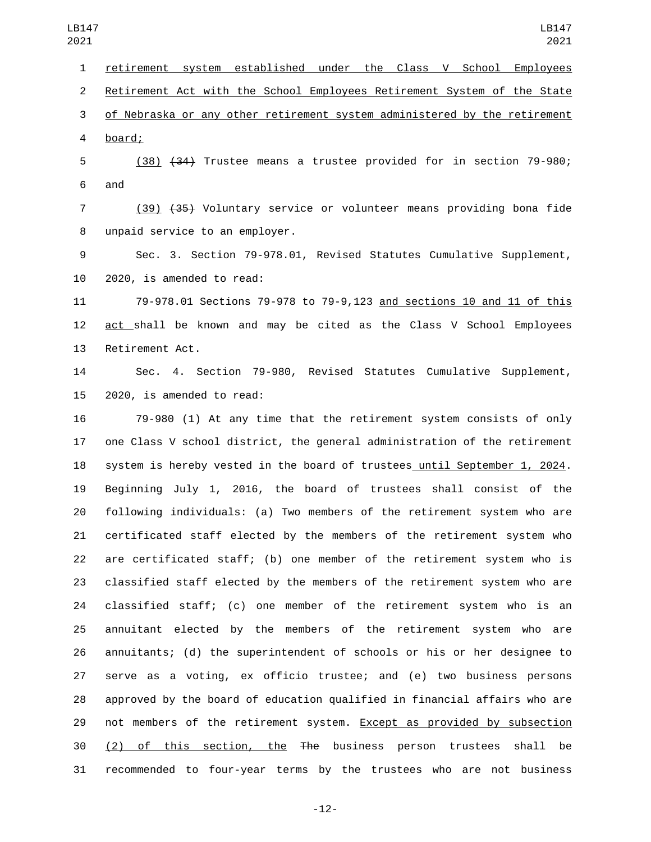retirement system established under the Class V School Employees Retirement Act with the School Employees Retirement System of the State of Nebraska or any other retirement system administered by the retirement board;4

 (38) (34) Trustee means a trustee provided for in section 79-980; 6 and

 (39) (35) Voluntary service or volunteer means providing bona fide 8 unpaid service to an employer.

 Sec. 3. Section 79-978.01, Revised Statutes Cumulative Supplement, 10 2020, is amended to read:

 79-978.01 Sections 79-978 to 79-9,123 and sections 10 and 11 of this 12 act shall be known and may be cited as the Class V School Employees 13 Retirement Act.

 Sec. 4. Section 79-980, Revised Statutes Cumulative Supplement, 15 2020, is amended to read:

 79-980 (1) At any time that the retirement system consists of only one Class V school district, the general administration of the retirement system is hereby vested in the board of trustees until September 1, 2024. Beginning July 1, 2016, the board of trustees shall consist of the following individuals: (a) Two members of the retirement system who are certificated staff elected by the members of the retirement system who are certificated staff; (b) one member of the retirement system who is classified staff elected by the members of the retirement system who are classified staff; (c) one member of the retirement system who is an annuitant elected by the members of the retirement system who are annuitants; (d) the superintendent of schools or his or her designee to serve as a voting, ex officio trustee; and (e) two business persons approved by the board of education qualified in financial affairs who are 29 not members of the retirement system. Except as provided by subsection 30 (2) of this section, the  $\overline{f}$  the business person trustees shall be recommended to four-year terms by the trustees who are not business

-12-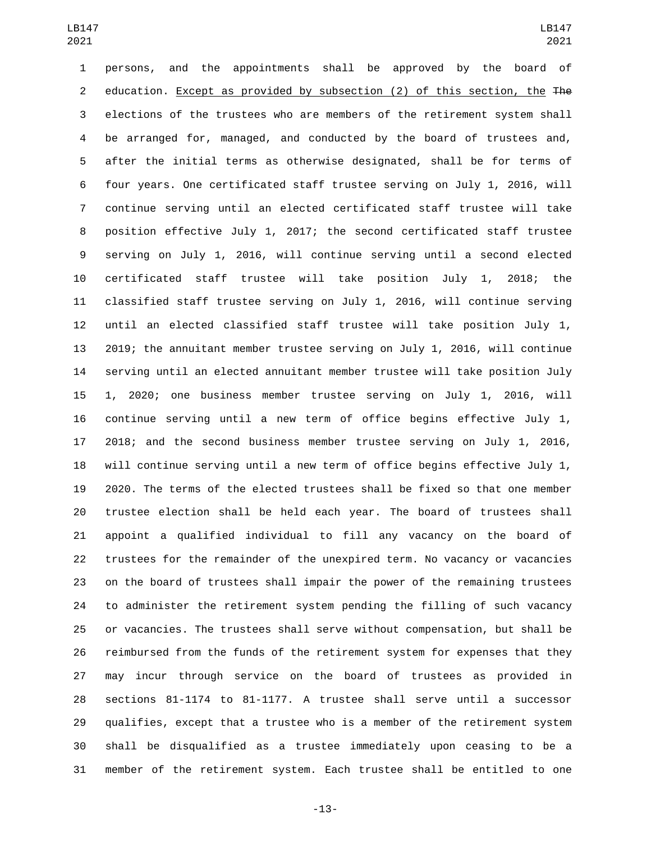persons, and the appointments shall be approved by the board of 2 education. Except as provided by subsection (2) of this section, the The elections of the trustees who are members of the retirement system shall be arranged for, managed, and conducted by the board of trustees and, after the initial terms as otherwise designated, shall be for terms of four years. One certificated staff trustee serving on July 1, 2016, will continue serving until an elected certificated staff trustee will take position effective July 1, 2017; the second certificated staff trustee serving on July 1, 2016, will continue serving until a second elected certificated staff trustee will take position July 1, 2018; the classified staff trustee serving on July 1, 2016, will continue serving until an elected classified staff trustee will take position July 1, 2019; the annuitant member trustee serving on July 1, 2016, will continue serving until an elected annuitant member trustee will take position July 1, 2020; one business member trustee serving on July 1, 2016, will continue serving until a new term of office begins effective July 1, 2018; and the second business member trustee serving on July 1, 2016, will continue serving until a new term of office begins effective July 1, 2020. The terms of the elected trustees shall be fixed so that one member trustee election shall be held each year. The board of trustees shall appoint a qualified individual to fill any vacancy on the board of trustees for the remainder of the unexpired term. No vacancy or vacancies on the board of trustees shall impair the power of the remaining trustees to administer the retirement system pending the filling of such vacancy or vacancies. The trustees shall serve without compensation, but shall be reimbursed from the funds of the retirement system for expenses that they may incur through service on the board of trustees as provided in sections 81-1174 to 81-1177. A trustee shall serve until a successor qualifies, except that a trustee who is a member of the retirement system shall be disqualified as a trustee immediately upon ceasing to be a member of the retirement system. Each trustee shall be entitled to one

-13-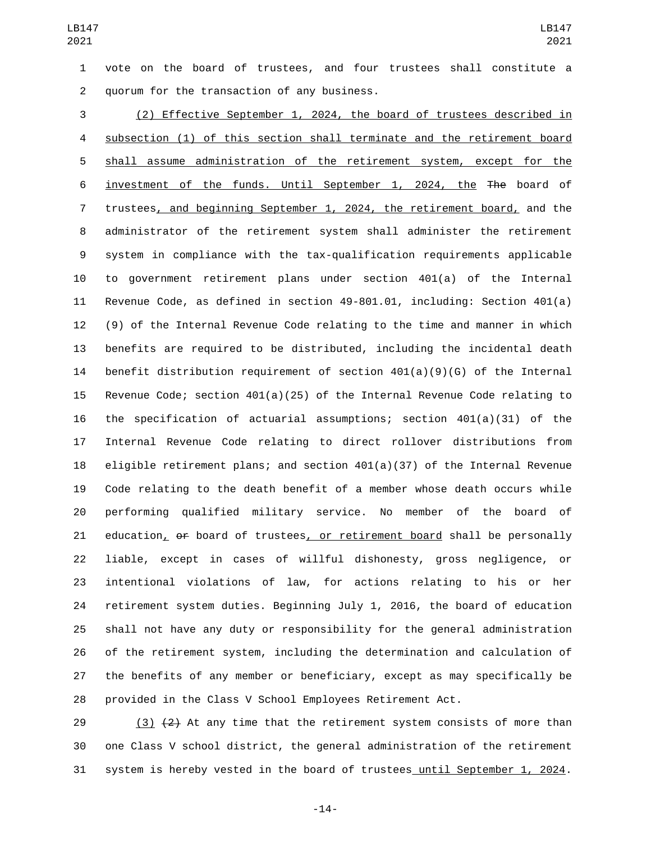vote on the board of trustees, and four trustees shall constitute a quorum for the transaction of any business.2

 (2) Effective September 1, 2024, the board of trustees described in subsection (1) of this section shall terminate and the retirement board shall assume administration of the retirement system, except for the investment of the funds. Until September 1, 2024, the The board of trustees, and beginning September 1, 2024, the retirement board, and the administrator of the retirement system shall administer the retirement system in compliance with the tax-qualification requirements applicable to government retirement plans under section 401(a) of the Internal Revenue Code, as defined in section 49-801.01, including: Section 401(a) (9) of the Internal Revenue Code relating to the time and manner in which benefits are required to be distributed, including the incidental death benefit distribution requirement of section 401(a)(9)(G) of the Internal Revenue Code; section 401(a)(25) of the Internal Revenue Code relating to the specification of actuarial assumptions; section 401(a)(31) of the Internal Revenue Code relating to direct rollover distributions from eligible retirement plans; and section 401(a)(37) of the Internal Revenue Code relating to the death benefit of a member whose death occurs while performing qualified military service. No member of the board of 21 education, of board of trustees, or retirement board shall be personally liable, except in cases of willful dishonesty, gross negligence, or intentional violations of law, for actions relating to his or her retirement system duties. Beginning July 1, 2016, the board of education shall not have any duty or responsibility for the general administration of the retirement system, including the determination and calculation of the benefits of any member or beneficiary, except as may specifically be provided in the Class V School Employees Retirement Act.

29  $(3)$   $(2)$  At any time that the retirement system consists of more than one Class V school district, the general administration of the retirement system is hereby vested in the board of trustees until September 1, 2024.

-14-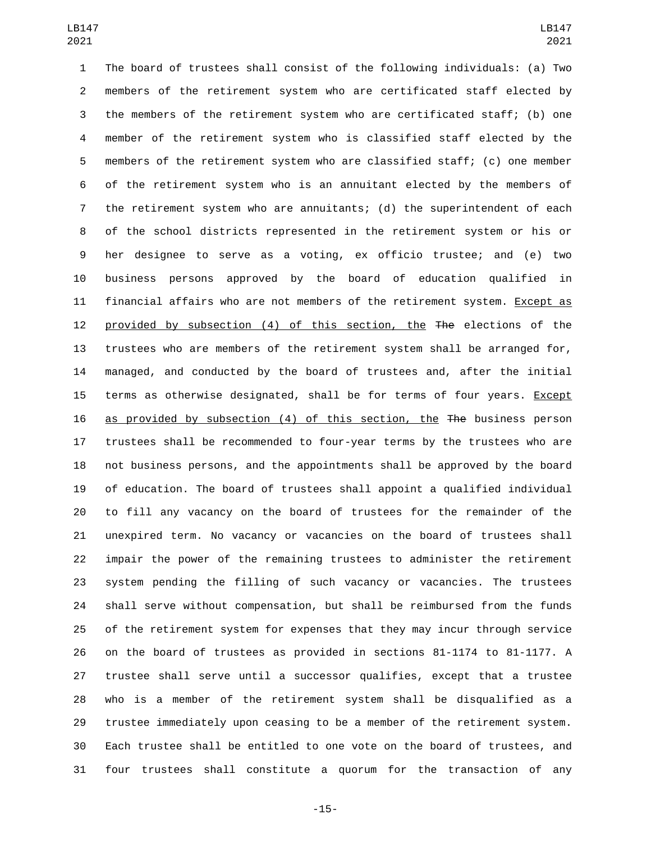The board of trustees shall consist of the following individuals: (a) Two members of the retirement system who are certificated staff elected by the members of the retirement system who are certificated staff; (b) one member of the retirement system who is classified staff elected by the members of the retirement system who are classified staff; (c) one member of the retirement system who is an annuitant elected by the members of the retirement system who are annuitants; (d) the superintendent of each of the school districts represented in the retirement system or his or her designee to serve as a voting, ex officio trustee; and (e) two business persons approved by the board of education qualified in financial affairs who are not members of the retirement system. Except as provided by subsection (4) of this section, the The elections of the trustees who are members of the retirement system shall be arranged for, managed, and conducted by the board of trustees and, after the initial terms as otherwise designated, shall be for terms of four years. Except as provided by subsection (4) of this section, the The business person trustees shall be recommended to four-year terms by the trustees who are not business persons, and the appointments shall be approved by the board of education. The board of trustees shall appoint a qualified individual to fill any vacancy on the board of trustees for the remainder of the unexpired term. No vacancy or vacancies on the board of trustees shall impair the power of the remaining trustees to administer the retirement system pending the filling of such vacancy or vacancies. The trustees shall serve without compensation, but shall be reimbursed from the funds of the retirement system for expenses that they may incur through service on the board of trustees as provided in sections 81-1174 to 81-1177. A trustee shall serve until a successor qualifies, except that a trustee who is a member of the retirement system shall be disqualified as a trustee immediately upon ceasing to be a member of the retirement system. Each trustee shall be entitled to one vote on the board of trustees, and four trustees shall constitute a quorum for the transaction of any

-15-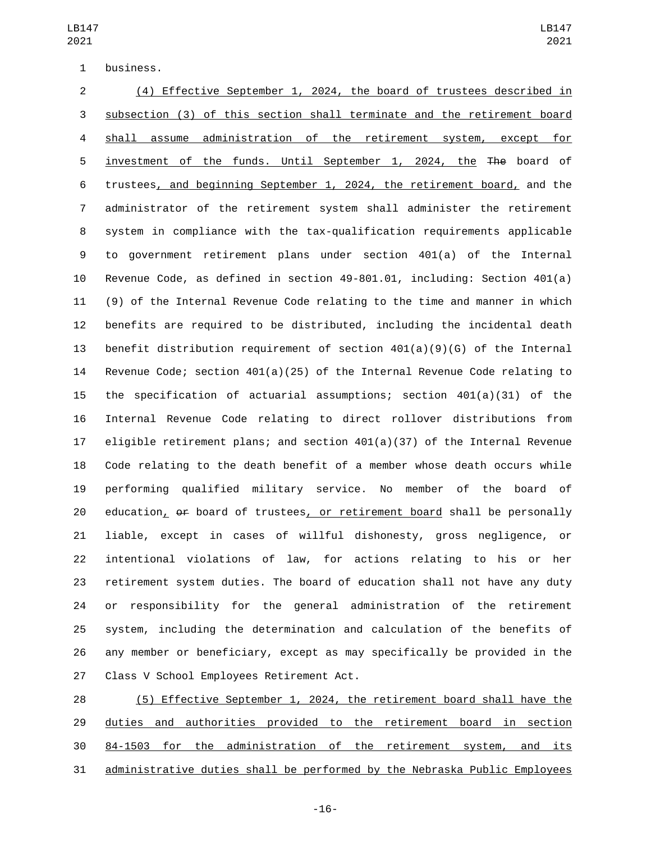1 business.

 (4) Effective September 1, 2024, the board of trustees described in subsection (3) of this section shall terminate and the retirement board shall assume administration of the retirement system, except for investment of the funds. Until September 1, 2024, the The board of trustees, and beginning September 1, 2024, the retirement board, and the administrator of the retirement system shall administer the retirement system in compliance with the tax-qualification requirements applicable to government retirement plans under section 401(a) of the Internal Revenue Code, as defined in section 49-801.01, including: Section 401(a) (9) of the Internal Revenue Code relating to the time and manner in which benefits are required to be distributed, including the incidental death benefit distribution requirement of section 401(a)(9)(G) of the Internal Revenue Code; section 401(a)(25) of the Internal Revenue Code relating to the specification of actuarial assumptions; section 401(a)(31) of the Internal Revenue Code relating to direct rollover distributions from eligible retirement plans; and section 401(a)(37) of the Internal Revenue Code relating to the death benefit of a member whose death occurs while performing qualified military service. No member of the board of 20 education, of board of trustees, or retirement board shall be personally liable, except in cases of willful dishonesty, gross negligence, or intentional violations of law, for actions relating to his or her retirement system duties. The board of education shall not have any duty or responsibility for the general administration of the retirement system, including the determination and calculation of the benefits of any member or beneficiary, except as may specifically be provided in the 27 Class V School Employees Retirement Act.

 (5) Effective September 1, 2024, the retirement board shall have the duties and authorities provided to the retirement board in section 84-1503 for the administration of the retirement system, and its administrative duties shall be performed by the Nebraska Public Employees

-16-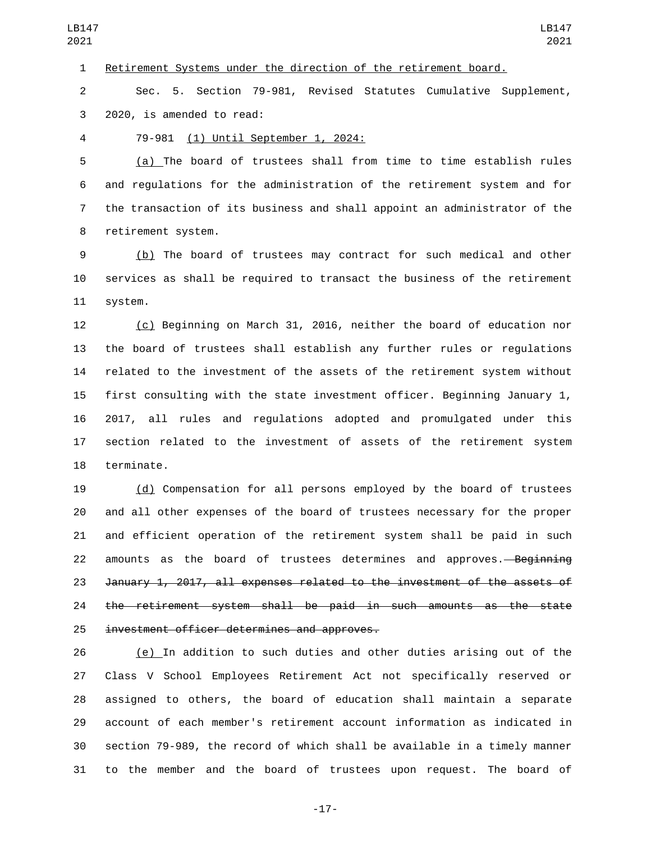Retirement Systems under the direction of the retirement board.

 Sec. 5. Section 79-981, Revised Statutes Cumulative Supplement, 3 2020, is amended to read:

79-981 (1) Until September 1, 2024:4

 (a) The board of trustees shall from time to time establish rules and regulations for the administration of the retirement system and for the transaction of its business and shall appoint an administrator of the 8 retirement system.

 (b) The board of trustees may contract for such medical and other services as shall be required to transact the business of the retirement 11 system.

 (c) Beginning on March 31, 2016, neither the board of education nor the board of trustees shall establish any further rules or regulations related to the investment of the assets of the retirement system without first consulting with the state investment officer. Beginning January 1, 2017, all rules and regulations adopted and promulgated under this section related to the investment of assets of the retirement system 18 terminate.

 (d) Compensation for all persons employed by the board of trustees and all other expenses of the board of trustees necessary for the proper and efficient operation of the retirement system shall be paid in such 22 amounts as the board of trustees determines and approves.—Beginning January 1, 2017, all expenses related to the investment of the assets of the retirement system shall be paid in such amounts as the state 25 investment officer determines and approves.

 (e) In addition to such duties and other duties arising out of the Class V School Employees Retirement Act not specifically reserved or assigned to others, the board of education shall maintain a separate account of each member's retirement account information as indicated in section 79-989, the record of which shall be available in a timely manner to the member and the board of trustees upon request. The board of

-17-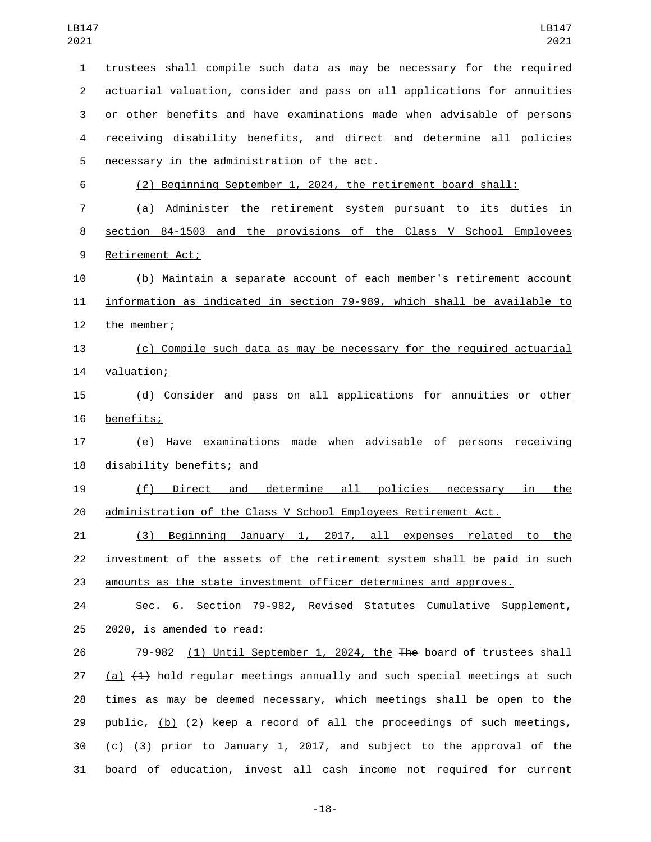trustees shall compile such data as may be necessary for the required actuarial valuation, consider and pass on all applications for annuities or other benefits and have examinations made when advisable of persons receiving disability benefits, and direct and determine all policies 5 necessary in the administration of the act. (2) Beginning September 1, 2024, the retirement board shall: (a) Administer the retirement system pursuant to its duties in section 84-1503 and the provisions of the Class V School Employees 9 Retirement Act; (b) Maintain a separate account of each member's retirement account information as indicated in section 79-989, which shall be available to 12 the member; (c) Compile such data as may be necessary for the required actuarial 14 valuation; (d) Consider and pass on all applications for annuities or other 16 benefits; (e) Have examinations made when advisable of persons receiving 18 disability benefits; and (f) Direct and determine all policies necessary in the administration of the Class V School Employees Retirement Act. (3) Beginning January 1, 2017, all expenses related to the investment of the assets of the retirement system shall be paid in such amounts as the state investment officer determines and approves. Sec. 6. Section 79-982, Revised Statutes Cumulative Supplement,  $2020$ , is amended to read: 79-982 (1) Until September 1, 2024, the The board of trustees shall 27 (a)  $(1)$  hold regular meetings annually and such special meetings at such times as may be deemed necessary, which meetings shall be open to the 29 public,  $(b)$   $(2)$  keep a record of all the proceedings of such meetings, 30 (c)  $(3)$  prior to January 1, 2017, and subject to the approval of the board of education, invest all cash income not required for current

-18-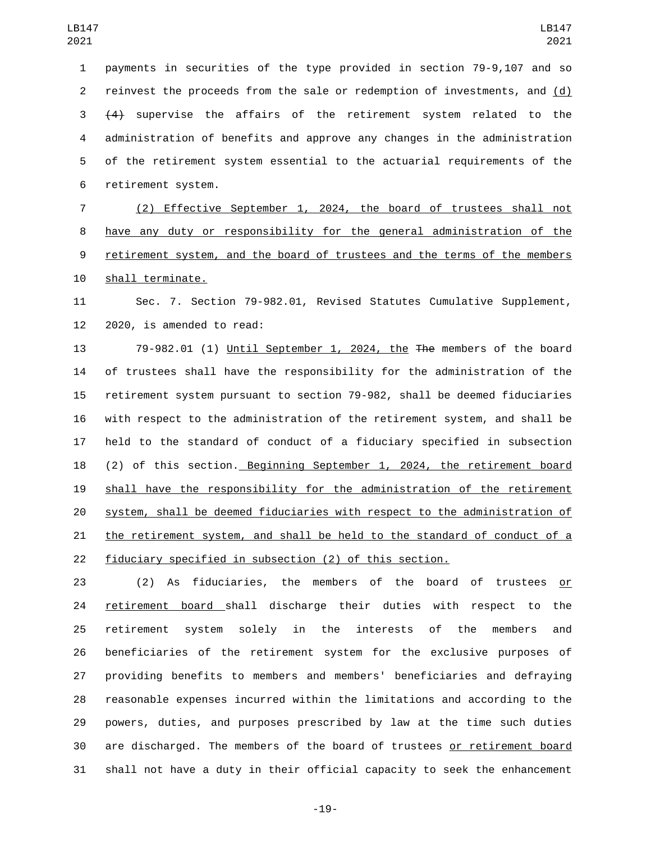payments in securities of the type provided in section 79-9,107 and so reinvest the proceeds from the sale or redemption of investments, and (d) (4) supervise the affairs of the retirement system related to the administration of benefits and approve any changes in the administration of the retirement system essential to the actuarial requirements of the 6 retirement system.

 (2) Effective September 1, 2024, the board of trustees shall not have any duty or responsibility for the general administration of the retirement system, and the board of trustees and the terms of the members 10 shall terminate.

 Sec. 7. Section 79-982.01, Revised Statutes Cumulative Supplement, 2020, is amended to read:

13 79-982.01 (1) Until September 1, 2024, the The members of the board of trustees shall have the responsibility for the administration of the retirement system pursuant to section 79-982, shall be deemed fiduciaries with respect to the administration of the retirement system, and shall be held to the standard of conduct of a fiduciary specified in subsection 18 (2) of this section. Beginning September 1, 2024, the retirement board shall have the responsibility for the administration of the retirement system, shall be deemed fiduciaries with respect to the administration of the retirement system, and shall be held to the standard of conduct of a fiduciary specified in subsection (2) of this section.

 (2) As fiduciaries, the members of the board of trustees or 24 retirement board shall discharge their duties with respect to the retirement system solely in the interests of the members and beneficiaries of the retirement system for the exclusive purposes of providing benefits to members and members' beneficiaries and defraying reasonable expenses incurred within the limitations and according to the powers, duties, and purposes prescribed by law at the time such duties are discharged. The members of the board of trustees or retirement board shall not have a duty in their official capacity to seek the enhancement

-19-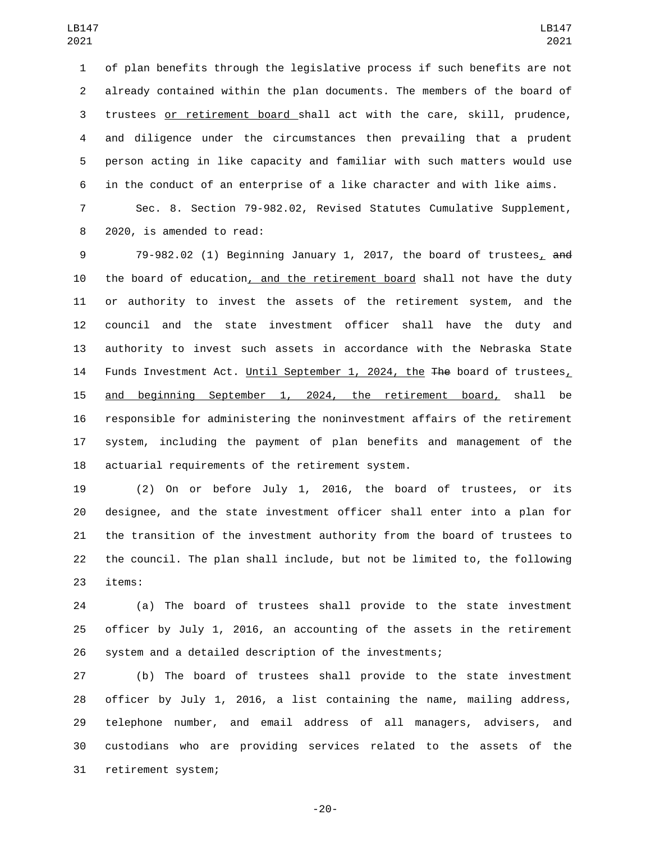of plan benefits through the legislative process if such benefits are not already contained within the plan documents. The members of the board of trustees or retirement board shall act with the care, skill, prudence, and diligence under the circumstances then prevailing that a prudent person acting in like capacity and familiar with such matters would use in the conduct of an enterprise of a like character and with like aims.

 Sec. 8. Section 79-982.02, Revised Statutes Cumulative Supplement, 8 2020, is amended to read:

 79-982.02 (1) Beginning January 1, 2017, the board of trustees, and the board of education, and the retirement board shall not have the duty or authority to invest the assets of the retirement system, and the council and the state investment officer shall have the duty and authority to invest such assets in accordance with the Nebraska State 14 Funds Investment Act. Until September 1, 2024, the The board of trustees, and beginning September 1, 2024, the retirement board, shall be responsible for administering the noninvestment affairs of the retirement system, including the payment of plan benefits and management of the 18 actuarial requirements of the retirement system.

 (2) On or before July 1, 2016, the board of trustees, or its designee, and the state investment officer shall enter into a plan for the transition of the investment authority from the board of trustees to the council. The plan shall include, but not be limited to, the following 23 items:

 (a) The board of trustees shall provide to the state investment officer by July 1, 2016, an accounting of the assets in the retirement system and a detailed description of the investments;

 (b) The board of trustees shall provide to the state investment officer by July 1, 2016, a list containing the name, mailing address, telephone number, and email address of all managers, advisers, and custodians who are providing services related to the assets of the 31 retirement system;

-20-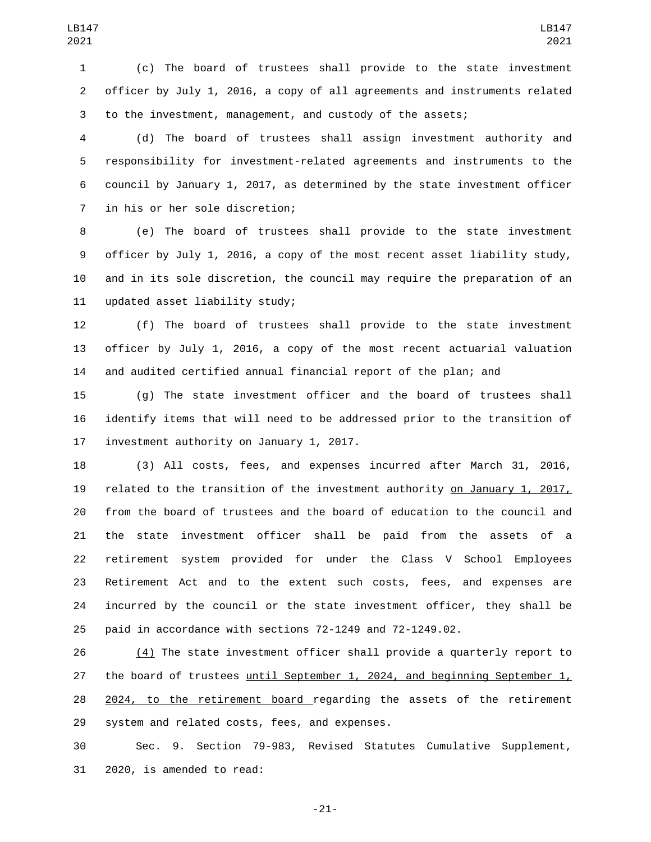(c) The board of trustees shall provide to the state investment officer by July 1, 2016, a copy of all agreements and instruments related to the investment, management, and custody of the assets;

 (d) The board of trustees shall assign investment authority and responsibility for investment-related agreements and instruments to the council by January 1, 2017, as determined by the state investment officer 7 in his or her sole discretion;

 (e) The board of trustees shall provide to the state investment officer by July 1, 2016, a copy of the most recent asset liability study, and in its sole discretion, the council may require the preparation of an 11 updated asset liability study;

 (f) The board of trustees shall provide to the state investment officer by July 1, 2016, a copy of the most recent actuarial valuation and audited certified annual financial report of the plan; and

 (g) The state investment officer and the board of trustees shall identify items that will need to be addressed prior to the transition of 17 investment authority on January 1, 2017.

 (3) All costs, fees, and expenses incurred after March 31, 2016, related to the transition of the investment authority on January 1, 2017, from the board of trustees and the board of education to the council and the state investment officer shall be paid from the assets of a retirement system provided for under the Class V School Employees Retirement Act and to the extent such costs, fees, and expenses are incurred by the council or the state investment officer, they shall be paid in accordance with sections 72-1249 and 72-1249.02.

 (4) The state investment officer shall provide a quarterly report to the board of trustees until September 1, 2024, and beginning September 1, 2024, to the retirement board regarding the assets of the retirement 29 system and related costs, fees, and expenses.

 Sec. 9. Section 79-983, Revised Statutes Cumulative Supplement, 31 2020, is amended to read:

-21-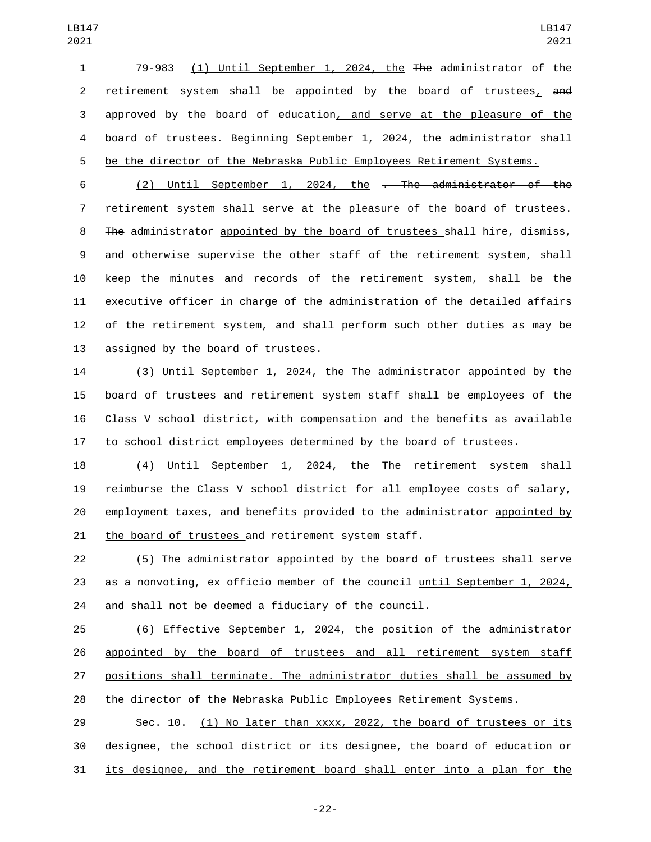79-983 (1) Until September 1, 2024, the The administrator of the 2 retirement system shall be appointed by the board of trustees, and approved by the board of education, and serve at the pleasure of the board of trustees. Beginning September 1, 2024, the administrator shall be the director of the Nebraska Public Employees Retirement Systems.

6 (2) Until September 1, 2024, the <del>. The administrator of the</del> retirement system shall serve at the pleasure of the board of trustees. 8 The administrator appointed by the board of trustees shall hire, dismiss, and otherwise supervise the other staff of the retirement system, shall keep the minutes and records of the retirement system, shall be the executive officer in charge of the administration of the detailed affairs of the retirement system, and shall perform such other duties as may be 13 assigned by the board of trustees.

 (3) Until September 1, 2024, the The administrator appointed by the board of trustees and retirement system staff shall be employees of the Class V school district, with compensation and the benefits as available to school district employees determined by the board of trustees.

 (4) Until September 1, 2024, the The retirement system shall reimburse the Class V school district for all employee costs of salary, employment taxes, and benefits provided to the administrator appointed by 21 the board of trustees and retirement system staff.

 (5) The administrator appointed by the board of trustees shall serve as a nonvoting, ex officio member of the council until September 1, 2024, and shall not be deemed a fiduciary of the council.

 (6) Effective September 1, 2024, the position of the administrator appointed by the board of trustees and all retirement system staff positions shall terminate. The administrator duties shall be assumed by the director of the Nebraska Public Employees Retirement Systems.

 Sec. 10. (1) No later than xxxx, 2022, the board of trustees or its designee, the school district or its designee, the board of education or its designee, and the retirement board shall enter into a plan for the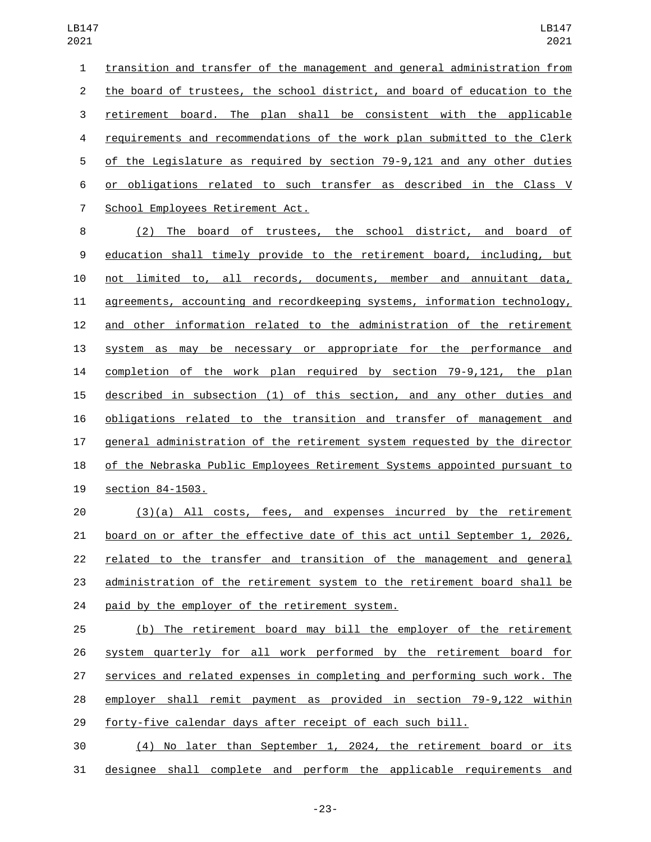transition and transfer of the management and general administration from the board of trustees, the school district, and board of education to the retirement board. The plan shall be consistent with the applicable requirements and recommendations of the work plan submitted to the Clerk of the Legislature as required by section 79-9,121 and any other duties or obligations related to such transfer as described in the Class V 7 School Employees Retirement Act.

 (2) The board of trustees, the school district, and board of education shall timely provide to the retirement board, including, but not limited to, all records, documents, member and annuitant data, agreements, accounting and recordkeeping systems, information technology, and other information related to the administration of the retirement system as may be necessary or appropriate for the performance and completion of the work plan required by section 79-9,121, the plan described in subsection (1) of this section, and any other duties and obligations related to the transition and transfer of management and general administration of the retirement system requested by the director of the Nebraska Public Employees Retirement Systems appointed pursuant to 19 section 84-1503.

 (3)(a) All costs, fees, and expenses incurred by the retirement board on or after the effective date of this act until September 1, 2026, related to the transfer and transition of the management and general administration of the retirement system to the retirement board shall be 24 paid by the employer of the retirement system.

 (b) The retirement board may bill the employer of the retirement system quarterly for all work performed by the retirement board for services and related expenses in completing and performing such work. The employer shall remit payment as provided in section 79-9,122 within forty-five calendar days after receipt of each such bill.

 (4) No later than September 1, 2024, the retirement board or its designee shall complete and perform the applicable requirements and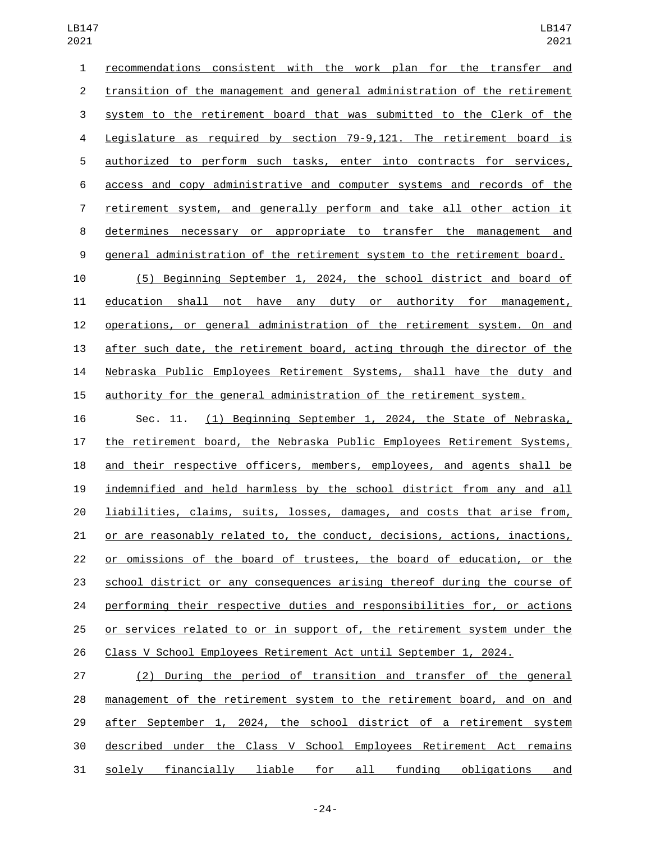recommendations consistent with the work plan for the transfer and transition of the management and general administration of the retirement system to the retirement board that was submitted to the Clerk of the Legislature as required by section 79-9,121. The retirement board is authorized to perform such tasks, enter into contracts for services, access and copy administrative and computer systems and records of the retirement system, and generally perform and take all other action it determines necessary or appropriate to transfer the management and general administration of the retirement system to the retirement board. (5) Beginning September 1, 2024, the school district and board of

 education shall not have any duty or authority for management, operations, or general administration of the retirement system. On and 13 after such date, the retirement board, acting through the director of the Nebraska Public Employees Retirement Systems, shall have the duty and authority for the general administration of the retirement system.

 Sec. 11. (1) Beginning September 1, 2024, the State of Nebraska, the retirement board, the Nebraska Public Employees Retirement Systems, and their respective officers, members, employees, and agents shall be indemnified and held harmless by the school district from any and all liabilities, claims, suits, losses, damages, and costs that arise from, or are reasonably related to, the conduct, decisions, actions, inactions, or omissions of the board of trustees, the board of education, or the school district or any consequences arising thereof during the course of performing their respective duties and responsibilities for, or actions or services related to or in support of, the retirement system under the Class V School Employees Retirement Act until September 1, 2024.

 (2) During the period of transition and transfer of the general management of the retirement system to the retirement board, and on and after September 1, 2024, the school district of a retirement system described under the Class V School Employees Retirement Act remains solely financially liable for all funding obligations and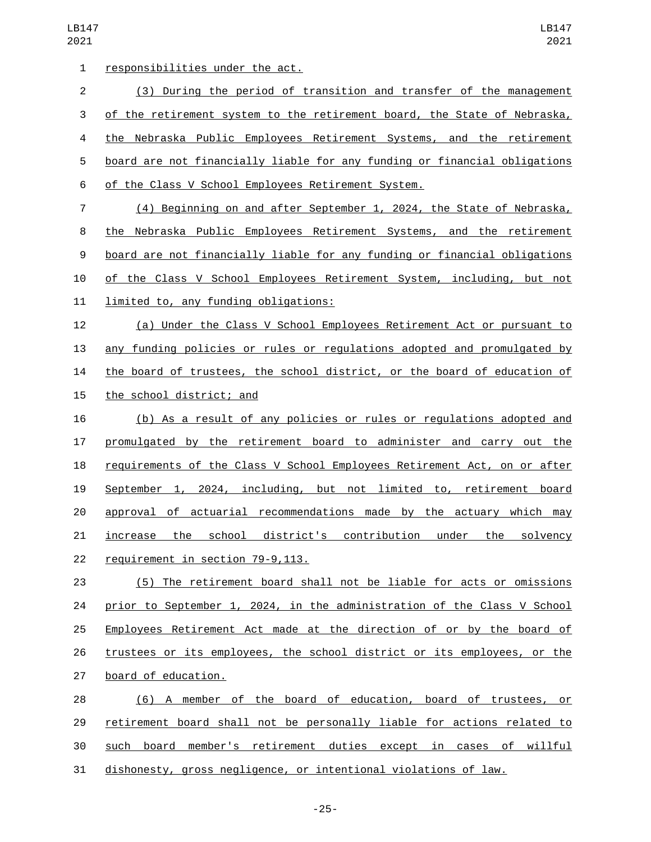1 responsibilities under the act. (3) During the period of transition and transfer of the management of the retirement system to the retirement board, the State of Nebraska, the Nebraska Public Employees Retirement Systems, and the retirement board are not financially liable for any funding or financial obligations 6 of the Class V School Employees Retirement System. (4) Beginning on and after September 1, 2024, the State of Nebraska, the Nebraska Public Employees Retirement Systems, and the retirement board are not financially liable for any funding or financial obligations 10 of the Class V School Employees Retirement System, including, but not 11 limited to, any funding obligations: (a) Under the Class V School Employees Retirement Act or pursuant to any funding policies or rules or regulations adopted and promulgated by 14 the board of trustees, the school district, or the board of education of 15 the school district; and (b) As a result of any policies or rules or regulations adopted and promulgated by the retirement board to administer and carry out the requirements of the Class V School Employees Retirement Act, on or after September 1, 2024, including, but not limited to, retirement board approval of actuarial recommendations made by the actuary which may increase the school district's contribution under the solvency 22 requirement in section 79-9,113. (5) The retirement board shall not be liable for acts or omissions prior to September 1, 2024, in the administration of the Class V School Employees Retirement Act made at the direction of or by the board of trustees or its employees, the school district or its employees, or the 27 board of education. (6) A member of the board of education, board of trustees, or retirement board shall not be personally liable for actions related to such board member's retirement duties except in cases of willful

dishonesty, gross negligence, or intentional violations of law.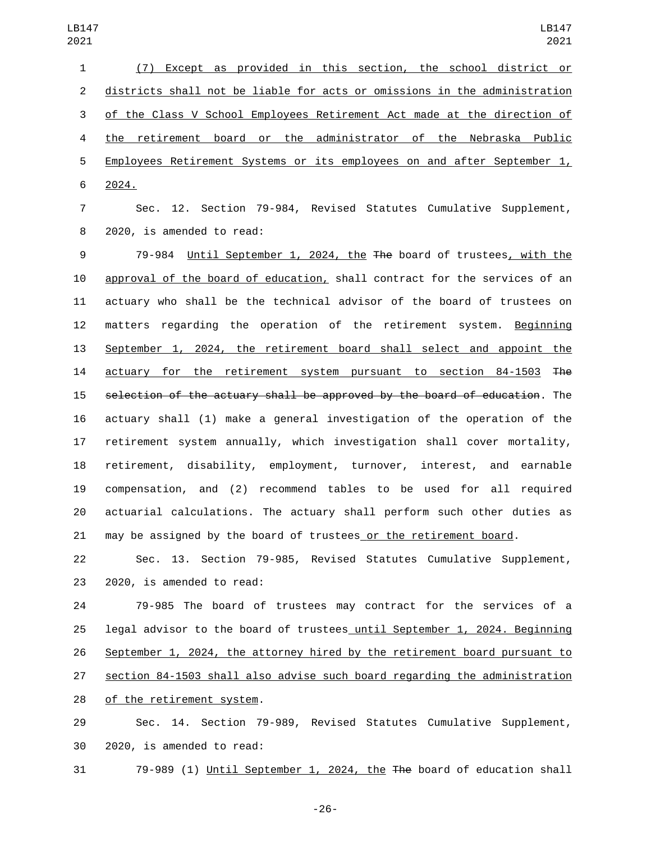(7) Except as provided in this section, the school district or districts shall not be liable for acts or omissions in the administration of the Class V School Employees Retirement Act made at the direction of the retirement board or the administrator of the Nebraska Public Employees Retirement Systems or its employees on and after September 1, 6 2024.

 Sec. 12. Section 79-984, Revised Statutes Cumulative Supplement, 8 2020, is amended to read:

 79-984 Until September 1, 2024, the The board of trustees, with the approval of the board of education, shall contract for the services of an actuary who shall be the technical advisor of the board of trustees on 12 matters regarding the operation of the retirement system. Beginning September 1, 2024, the retirement board shall select and appoint the 14 actuary for the retirement system pursuant to section 84-1503 The selection of the actuary shall be approved by the board of education. The actuary shall (1) make a general investigation of the operation of the retirement system annually, which investigation shall cover mortality, retirement, disability, employment, turnover, interest, and earnable compensation, and (2) recommend tables to be used for all required actuarial calculations. The actuary shall perform such other duties as may be assigned by the board of trustees or the retirement board.

 Sec. 13. Section 79-985, Revised Statutes Cumulative Supplement, 23 2020, is amended to read:

 79-985 The board of trustees may contract for the services of a legal advisor to the board of trustees until September 1, 2024. Beginning September 1, 2024, the attorney hired by the retirement board pursuant to section 84-1503 shall also advise such board regarding the administration 28 of the retirement system.

 Sec. 14. Section 79-989, Revised Statutes Cumulative Supplement, 30 2020, is amended to read:

79-989 (1) Until September 1, 2024, the The board of education shall

-26-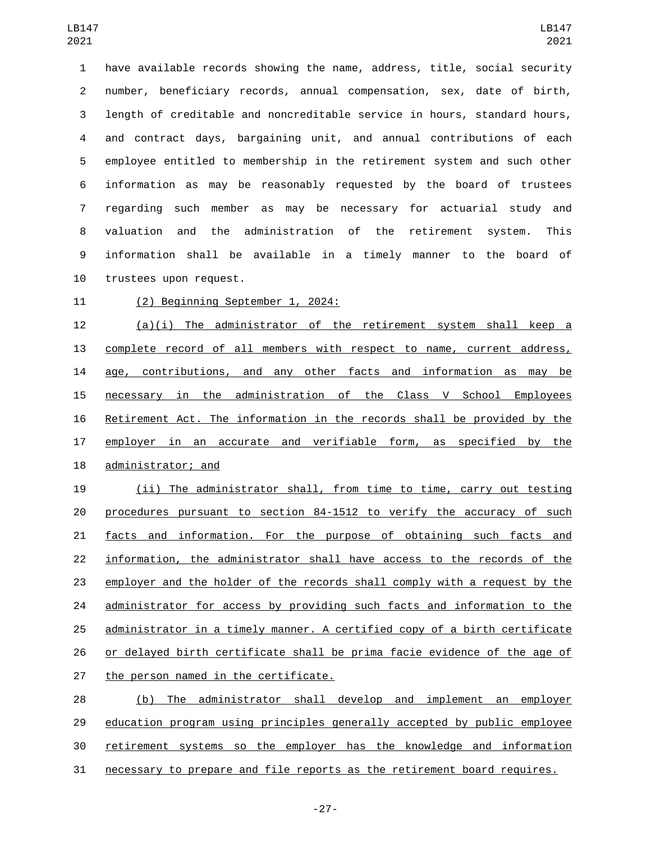have available records showing the name, address, title, social security number, beneficiary records, annual compensation, sex, date of birth, length of creditable and noncreditable service in hours, standard hours, and contract days, bargaining unit, and annual contributions of each employee entitled to membership in the retirement system and such other information as may be reasonably requested by the board of trustees regarding such member as may be necessary for actuarial study and valuation and the administration of the retirement system. This information shall be available in a timely manner to the board of 10 trustees upon request.

11 (2) Beginning September 1, 2024:

 (a)(i) The administrator of the retirement system shall keep a complete record of all members with respect to name, current address, age, contributions, and any other facts and information as may be necessary in the administration of the Class V School Employees Retirement Act. The information in the records shall be provided by the 17 employer in an accurate and verifiable form, as specified by the 18 administrator; and

 (ii) The administrator shall, from time to time, carry out testing procedures pursuant to section 84-1512 to verify the accuracy of such facts and information. For the purpose of obtaining such facts and information, the administrator shall have access to the records of the employer and the holder of the records shall comply with a request by the 24 administrator for access by providing such facts and information to the administrator in a timely manner. A certified copy of a birth certificate or delayed birth certificate shall be prima facie evidence of the age of 27 the person named in the certificate.

 (b) The administrator shall develop and implement an employer education program using principles generally accepted by public employee retirement systems so the employer has the knowledge and information necessary to prepare and file reports as the retirement board requires.

-27-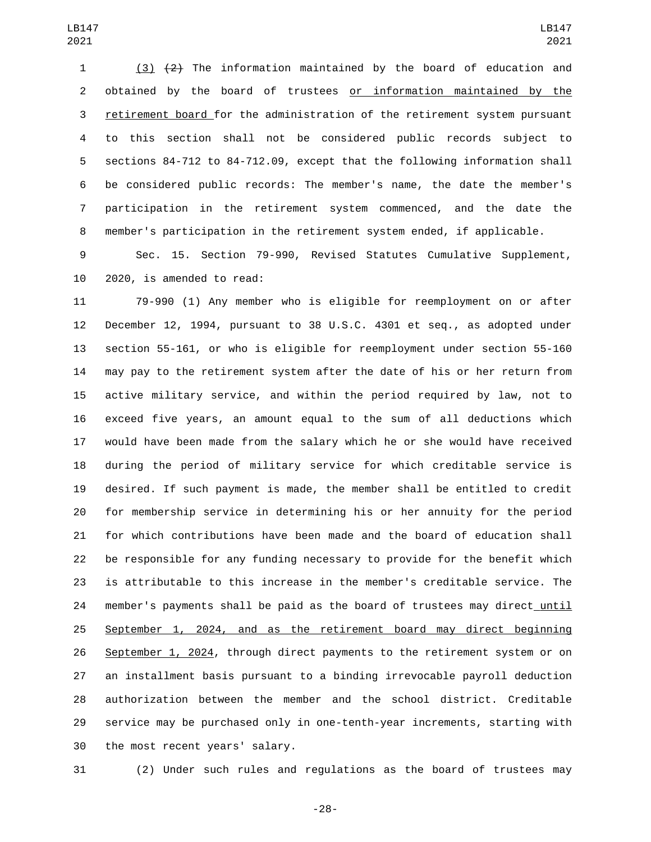(3) (2) The information maintained by the board of education and obtained by the board of trustees or information maintained by the retirement board for the administration of the retirement system pursuant to this section shall not be considered public records subject to sections 84-712 to 84-712.09, except that the following information shall be considered public records: The member's name, the date the member's participation in the retirement system commenced, and the date the member's participation in the retirement system ended, if applicable.

 Sec. 15. Section 79-990, Revised Statutes Cumulative Supplement, 10 2020, is amended to read:

 79-990 (1) Any member who is eligible for reemployment on or after December 12, 1994, pursuant to 38 U.S.C. 4301 et seq., as adopted under section 55-161, or who is eligible for reemployment under section 55-160 may pay to the retirement system after the date of his or her return from active military service, and within the period required by law, not to exceed five years, an amount equal to the sum of all deductions which would have been made from the salary which he or she would have received during the period of military service for which creditable service is desired. If such payment is made, the member shall be entitled to credit for membership service in determining his or her annuity for the period for which contributions have been made and the board of education shall be responsible for any funding necessary to provide for the benefit which is attributable to this increase in the member's creditable service. The member's payments shall be paid as the board of trustees may direct until September 1, 2024, and as the retirement board may direct beginning September 1, 2024, through direct payments to the retirement system or on an installment basis pursuant to a binding irrevocable payroll deduction authorization between the member and the school district. Creditable service may be purchased only in one-tenth-year increments, starting with 30 the most recent years' salary.

(2) Under such rules and regulations as the board of trustees may

-28-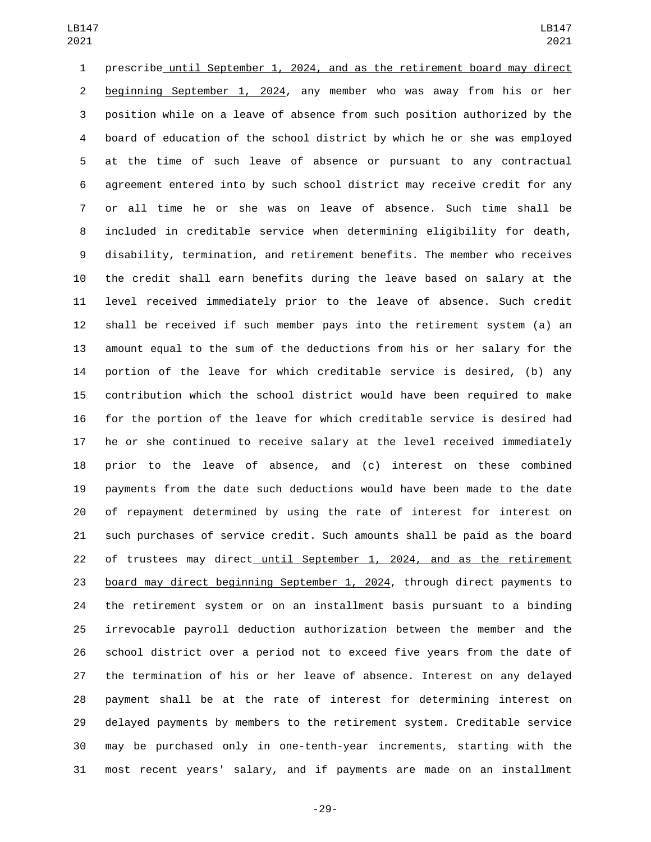prescribe until September 1, 2024, and as the retirement board may direct beginning September 1, 2024, any member who was away from his or her position while on a leave of absence from such position authorized by the board of education of the school district by which he or she was employed at the time of such leave of absence or pursuant to any contractual agreement entered into by such school district may receive credit for any or all time he or she was on leave of absence. Such time shall be included in creditable service when determining eligibility for death, disability, termination, and retirement benefits. The member who receives the credit shall earn benefits during the leave based on salary at the level received immediately prior to the leave of absence. Such credit shall be received if such member pays into the retirement system (a) an amount equal to the sum of the deductions from his or her salary for the portion of the leave for which creditable service is desired, (b) any contribution which the school district would have been required to make for the portion of the leave for which creditable service is desired had he or she continued to receive salary at the level received immediately prior to the leave of absence, and (c) interest on these combined payments from the date such deductions would have been made to the date of repayment determined by using the rate of interest for interest on such purchases of service credit. Such amounts shall be paid as the board of trustees may direct until September 1, 2024, and as the retirement board may direct beginning September 1, 2024, through direct payments to the retirement system or on an installment basis pursuant to a binding irrevocable payroll deduction authorization between the member and the school district over a period not to exceed five years from the date of the termination of his or her leave of absence. Interest on any delayed payment shall be at the rate of interest for determining interest on delayed payments by members to the retirement system. Creditable service may be purchased only in one-tenth-year increments, starting with the most recent years' salary, and if payments are made on an installment

-29-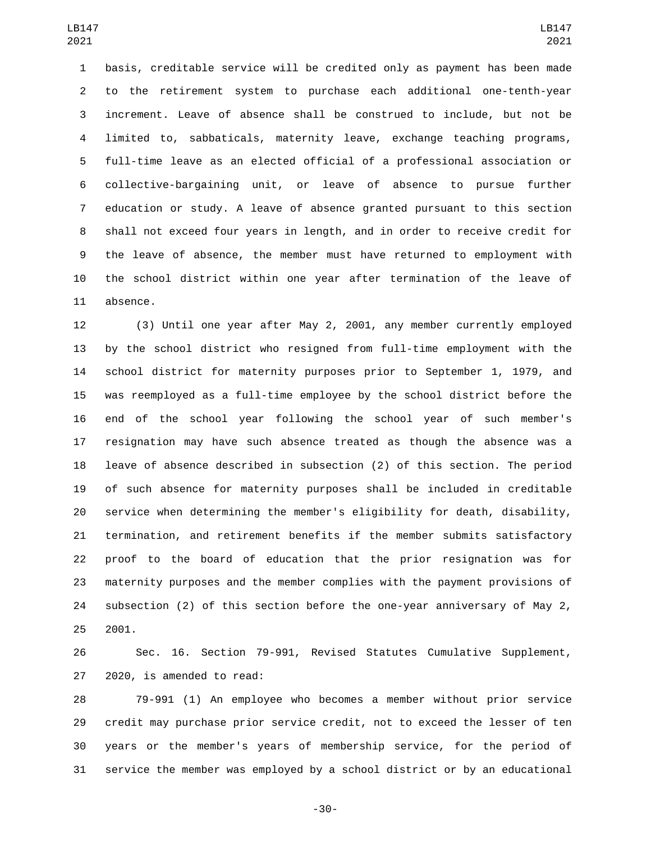basis, creditable service will be credited only as payment has been made to the retirement system to purchase each additional one-tenth-year increment. Leave of absence shall be construed to include, but not be limited to, sabbaticals, maternity leave, exchange teaching programs, full-time leave as an elected official of a professional association or collective-bargaining unit, or leave of absence to pursue further education or study. A leave of absence granted pursuant to this section shall not exceed four years in length, and in order to receive credit for the leave of absence, the member must have returned to employment with the school district within one year after termination of the leave of 11 absence.

 (3) Until one year after May 2, 2001, any member currently employed by the school district who resigned from full-time employment with the school district for maternity purposes prior to September 1, 1979, and was reemployed as a full-time employee by the school district before the end of the school year following the school year of such member's resignation may have such absence treated as though the absence was a leave of absence described in subsection (2) of this section. The period of such absence for maternity purposes shall be included in creditable service when determining the member's eligibility for death, disability, termination, and retirement benefits if the member submits satisfactory proof to the board of education that the prior resignation was for maternity purposes and the member complies with the payment provisions of subsection (2) of this section before the one-year anniversary of May 2, 2001.

 Sec. 16. Section 79-991, Revised Statutes Cumulative Supplement, 27 2020, is amended to read:

 79-991 (1) An employee who becomes a member without prior service credit may purchase prior service credit, not to exceed the lesser of ten years or the member's years of membership service, for the period of service the member was employed by a school district or by an educational

-30-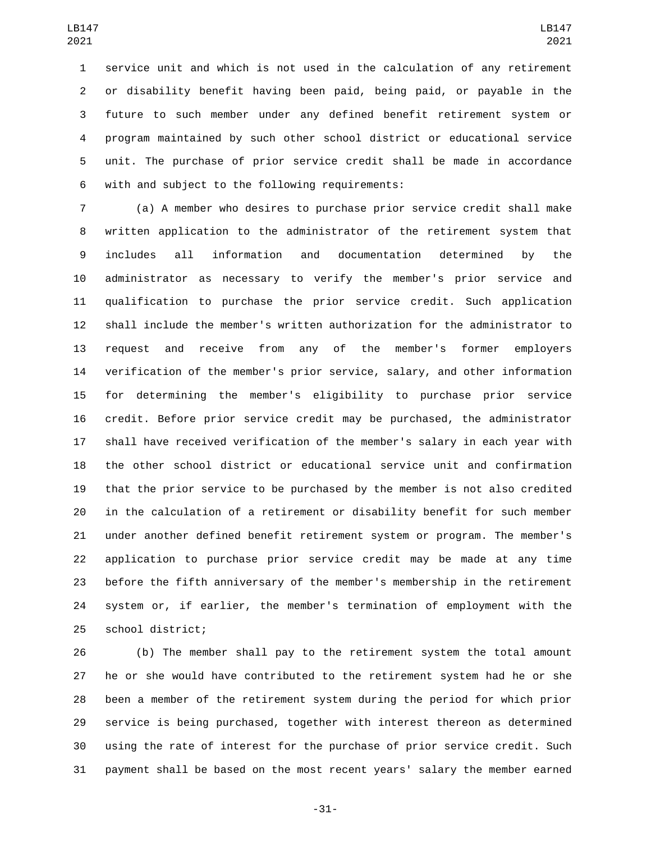service unit and which is not used in the calculation of any retirement or disability benefit having been paid, being paid, or payable in the future to such member under any defined benefit retirement system or program maintained by such other school district or educational service unit. The purchase of prior service credit shall be made in accordance 6 with and subject to the following requirements:

 (a) A member who desires to purchase prior service credit shall make written application to the administrator of the retirement system that includes all information and documentation determined by the administrator as necessary to verify the member's prior service and qualification to purchase the prior service credit. Such application shall include the member's written authorization for the administrator to request and receive from any of the member's former employers verification of the member's prior service, salary, and other information for determining the member's eligibility to purchase prior service credit. Before prior service credit may be purchased, the administrator shall have received verification of the member's salary in each year with the other school district or educational service unit and confirmation that the prior service to be purchased by the member is not also credited in the calculation of a retirement or disability benefit for such member under another defined benefit retirement system or program. The member's application to purchase prior service credit may be made at any time before the fifth anniversary of the member's membership in the retirement system or, if earlier, the member's termination of employment with the 25 school district;

 (b) The member shall pay to the retirement system the total amount he or she would have contributed to the retirement system had he or she been a member of the retirement system during the period for which prior service is being purchased, together with interest thereon as determined using the rate of interest for the purchase of prior service credit. Such payment shall be based on the most recent years' salary the member earned

-31-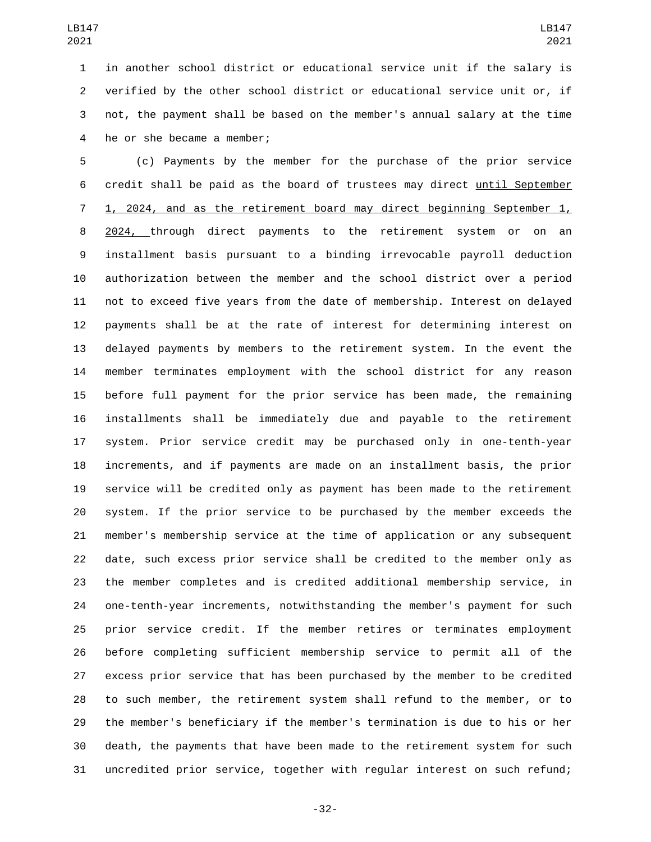in another school district or educational service unit if the salary is verified by the other school district or educational service unit or, if not, the payment shall be based on the member's annual salary at the time 4 he or she became a member;

 (c) Payments by the member for the purchase of the prior service credit shall be paid as the board of trustees may direct until September 1, 2024, and as the retirement board may direct beginning September 1, 8 2024, through direct payments to the retirement system or on an installment basis pursuant to a binding irrevocable payroll deduction authorization between the member and the school district over a period not to exceed five years from the date of membership. Interest on delayed payments shall be at the rate of interest for determining interest on delayed payments by members to the retirement system. In the event the member terminates employment with the school district for any reason before full payment for the prior service has been made, the remaining installments shall be immediately due and payable to the retirement system. Prior service credit may be purchased only in one-tenth-year increments, and if payments are made on an installment basis, the prior service will be credited only as payment has been made to the retirement system. If the prior service to be purchased by the member exceeds the member's membership service at the time of application or any subsequent date, such excess prior service shall be credited to the member only as the member completes and is credited additional membership service, in one-tenth-year increments, notwithstanding the member's payment for such prior service credit. If the member retires or terminates employment before completing sufficient membership service to permit all of the excess prior service that has been purchased by the member to be credited to such member, the retirement system shall refund to the member, or to the member's beneficiary if the member's termination is due to his or her death, the payments that have been made to the retirement system for such uncredited prior service, together with regular interest on such refund;

-32-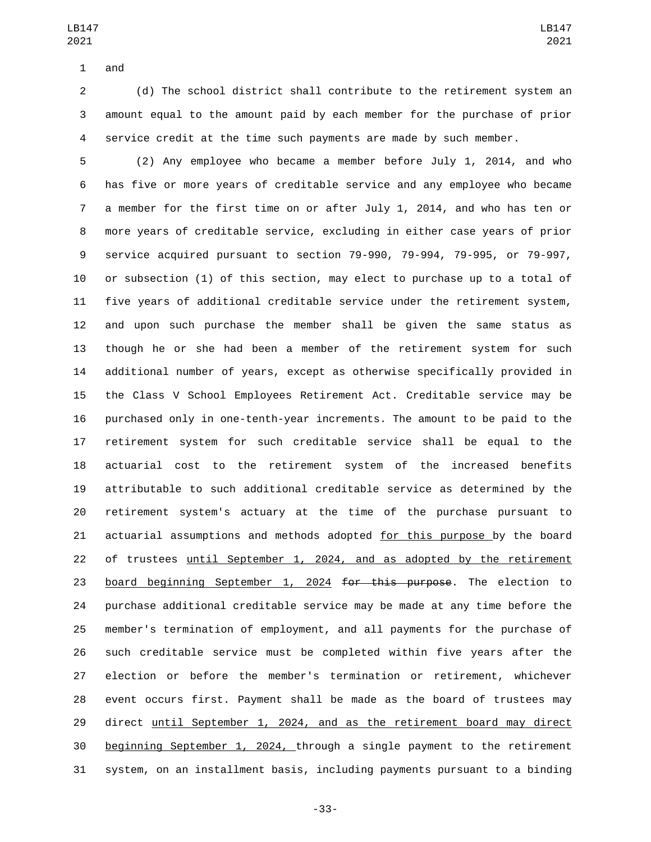1 and

 (d) The school district shall contribute to the retirement system an amount equal to the amount paid by each member for the purchase of prior service credit at the time such payments are made by such member.

 (2) Any employee who became a member before July 1, 2014, and who has five or more years of creditable service and any employee who became a member for the first time on or after July 1, 2014, and who has ten or more years of creditable service, excluding in either case years of prior service acquired pursuant to section 79-990, 79-994, 79-995, or 79-997, or subsection (1) of this section, may elect to purchase up to a total of five years of additional creditable service under the retirement system, and upon such purchase the member shall be given the same status as though he or she had been a member of the retirement system for such additional number of years, except as otherwise specifically provided in the Class V School Employees Retirement Act. Creditable service may be purchased only in one-tenth-year increments. The amount to be paid to the retirement system for such creditable service shall be equal to the actuarial cost to the retirement system of the increased benefits attributable to such additional creditable service as determined by the retirement system's actuary at the time of the purchase pursuant to 21 actuarial assumptions and methods adopted for this purpose by the board of trustees until September 1, 2024, and as adopted by the retirement 23 board beginning September 1, 2024 for this purpose. The election to purchase additional creditable service may be made at any time before the member's termination of employment, and all payments for the purchase of such creditable service must be completed within five years after the election or before the member's termination or retirement, whichever event occurs first. Payment shall be made as the board of trustees may 29 direct until September 1, 2024, and as the retirement board may direct beginning September 1, 2024, through a single payment to the retirement system, on an installment basis, including payments pursuant to a binding

-33-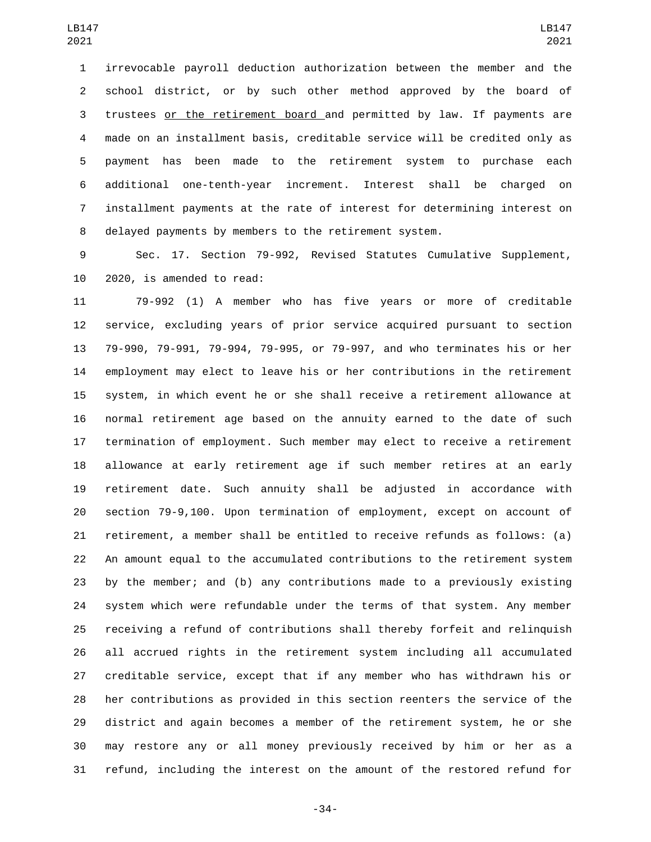irrevocable payroll deduction authorization between the member and the school district, or by such other method approved by the board of trustees or the retirement board and permitted by law. If payments are made on an installment basis, creditable service will be credited only as payment has been made to the retirement system to purchase each additional one-tenth-year increment. Interest shall be charged on installment payments at the rate of interest for determining interest on delayed payments by members to the retirement system.

 Sec. 17. Section 79-992, Revised Statutes Cumulative Supplement, 10 2020, is amended to read:

 79-992 (1) A member who has five years or more of creditable service, excluding years of prior service acquired pursuant to section 79-990, 79-991, 79-994, 79-995, or 79-997, and who terminates his or her employment may elect to leave his or her contributions in the retirement system, in which event he or she shall receive a retirement allowance at normal retirement age based on the annuity earned to the date of such termination of employment. Such member may elect to receive a retirement allowance at early retirement age if such member retires at an early retirement date. Such annuity shall be adjusted in accordance with section 79-9,100. Upon termination of employment, except on account of retirement, a member shall be entitled to receive refunds as follows: (a) An amount equal to the accumulated contributions to the retirement system by the member; and (b) any contributions made to a previously existing system which were refundable under the terms of that system. Any member receiving a refund of contributions shall thereby forfeit and relinquish all accrued rights in the retirement system including all accumulated creditable service, except that if any member who has withdrawn his or her contributions as provided in this section reenters the service of the district and again becomes a member of the retirement system, he or she may restore any or all money previously received by him or her as a refund, including the interest on the amount of the restored refund for

-34-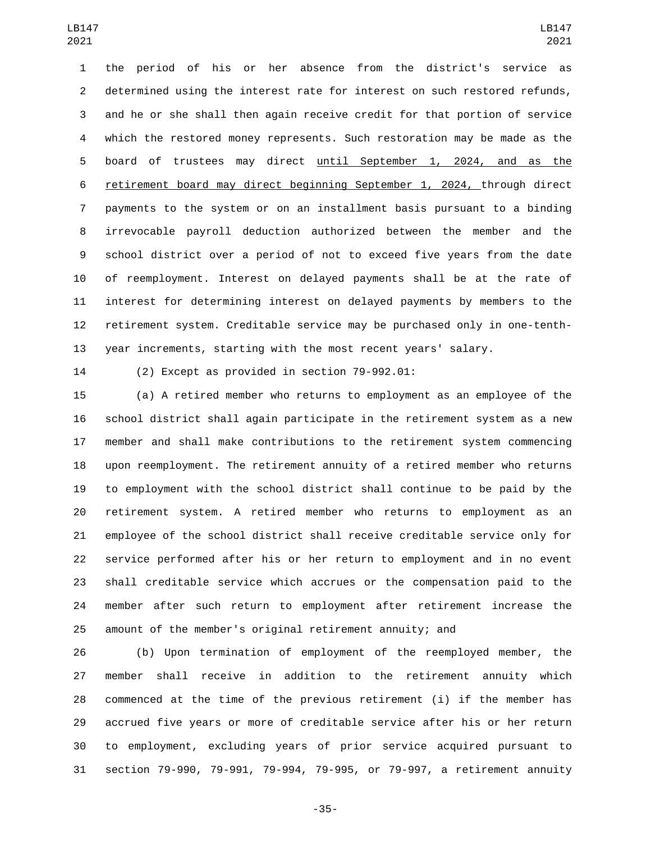the period of his or her absence from the district's service as determined using the interest rate for interest on such restored refunds, and he or she shall then again receive credit for that portion of service which the restored money represents. Such restoration may be made as the board of trustees may direct until September 1, 2024, and as the retirement board may direct beginning September 1, 2024, through direct payments to the system or on an installment basis pursuant to a binding irrevocable payroll deduction authorized between the member and the school district over a period of not to exceed five years from the date of reemployment. Interest on delayed payments shall be at the rate of interest for determining interest on delayed payments by members to the retirement system. Creditable service may be purchased only in one-tenth-year increments, starting with the most recent years' salary.

(2) Except as provided in section  $79-992.01$ :

 (a) A retired member who returns to employment as an employee of the school district shall again participate in the retirement system as a new member and shall make contributions to the retirement system commencing upon reemployment. The retirement annuity of a retired member who returns to employment with the school district shall continue to be paid by the retirement system. A retired member who returns to employment as an employee of the school district shall receive creditable service only for service performed after his or her return to employment and in no event shall creditable service which accrues or the compensation paid to the member after such return to employment after retirement increase the amount of the member's original retirement annuity; and

 (b) Upon termination of employment of the reemployed member, the member shall receive in addition to the retirement annuity which commenced at the time of the previous retirement (i) if the member has accrued five years or more of creditable service after his or her return to employment, excluding years of prior service acquired pursuant to section 79-990, 79-991, 79-994, 79-995, or 79-997, a retirement annuity

-35-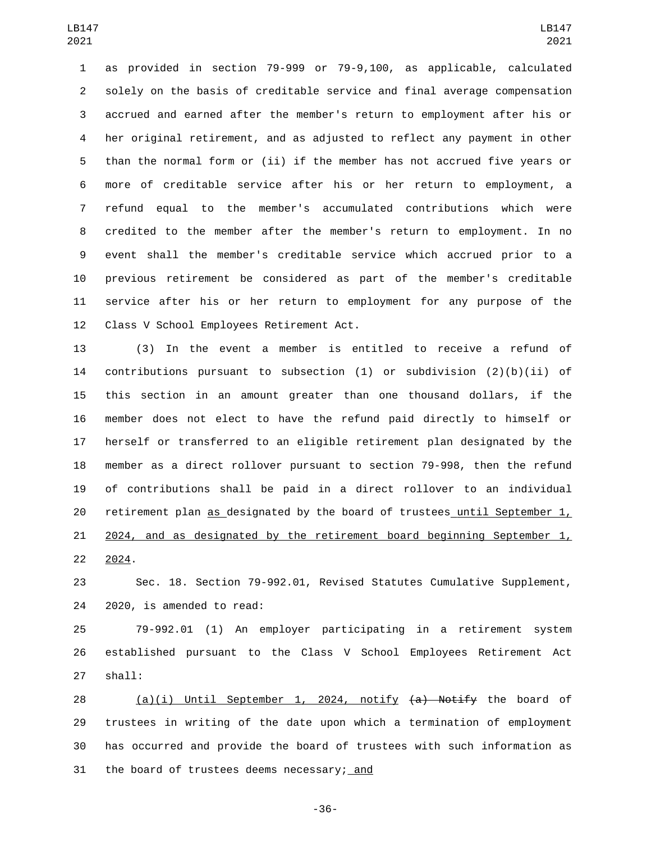as provided in section 79-999 or 79-9,100, as applicable, calculated solely on the basis of creditable service and final average compensation accrued and earned after the member's return to employment after his or her original retirement, and as adjusted to reflect any payment in other than the normal form or (ii) if the member has not accrued five years or more of creditable service after his or her return to employment, a refund equal to the member's accumulated contributions which were credited to the member after the member's return to employment. In no event shall the member's creditable service which accrued prior to a previous retirement be considered as part of the member's creditable service after his or her return to employment for any purpose of the 12 Class V School Employees Retirement Act.

 (3) In the event a member is entitled to receive a refund of 14 contributions pursuant to subsection  $(1)$  or subdivision  $(2)(b)(ii)$  of this section in an amount greater than one thousand dollars, if the member does not elect to have the refund paid directly to himself or herself or transferred to an eligible retirement plan designated by the member as a direct rollover pursuant to section 79-998, then the refund of contributions shall be paid in a direct rollover to an individual retirement plan as designated by the board of trustees until September 1, 2024, and as designated by the retirement board beginning September 1, 2024.

 Sec. 18. Section 79-992.01, Revised Statutes Cumulative Supplement, 24 2020, is amended to read:

 79-992.01 (1) An employer participating in a retirement system established pursuant to the Class V School Employees Retirement Act 27 shall:

28 (a)(i) Until September 1, 2024, notify (a) Notify the board of trustees in writing of the date upon which a termination of employment has occurred and provide the board of trustees with such information as 31 the board of trustees deems necessary; and

-36-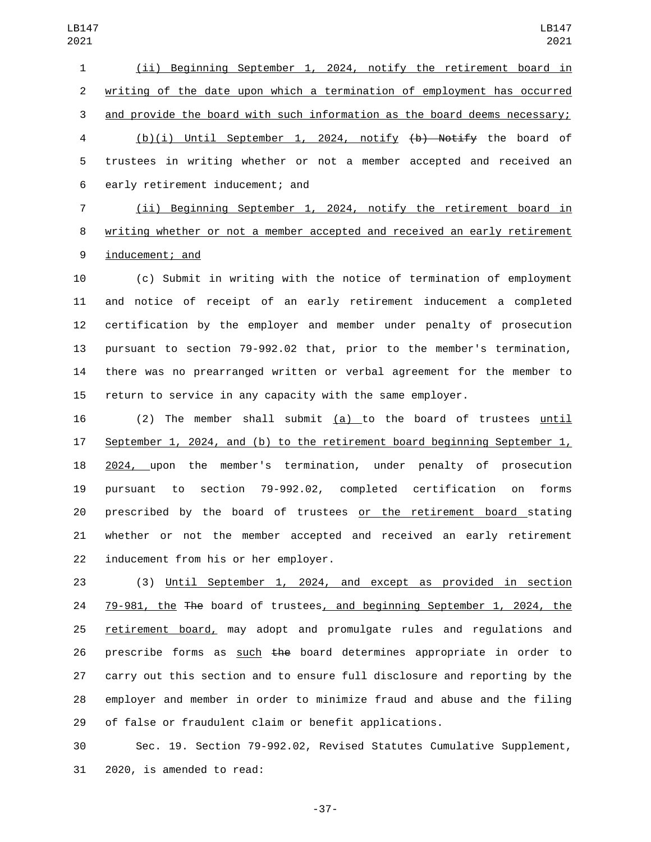(ii) Beginning September 1, 2024, notify the retirement board in writing of the date upon which a termination of employment has occurred and provide the board with such information as the board deems necessary; (b)(i) Until September 1, 2024, notify (b) Notify the board of trustees in writing whether or not a member accepted and received an 6 early retirement inducement; and

 (ii) Beginning September 1, 2024, notify the retirement board in writing whether or not a member accepted and received an early retirement 9 inducement; and

 (c) Submit in writing with the notice of termination of employment and notice of receipt of an early retirement inducement a completed certification by the employer and member under penalty of prosecution pursuant to section 79-992.02 that, prior to the member's termination, there was no prearranged written or verbal agreement for the member to return to service in any capacity with the same employer.

 (2) The member shall submit (a) to the board of trustees until September 1, 2024, and (b) to the retirement board beginning September 1, 2024, upon the member's termination, under penalty of prosecution pursuant to section 79-992.02, completed certification on forms prescribed by the board of trustees or the retirement board stating whether or not the member accepted and received an early retirement 22 inducement from his or her employer.

 (3) Until September 1, 2024, and except as provided in section 79-981, the The board of trustees, and beginning September 1, 2024, the retirement board, may adopt and promulgate rules and regulations and 26 prescribe forms as such the board determines appropriate in order to carry out this section and to ensure full disclosure and reporting by the employer and member in order to minimize fraud and abuse and the filing of false or fraudulent claim or benefit applications.

 Sec. 19. Section 79-992.02, Revised Statutes Cumulative Supplement, 31 2020, is amended to read:

-37-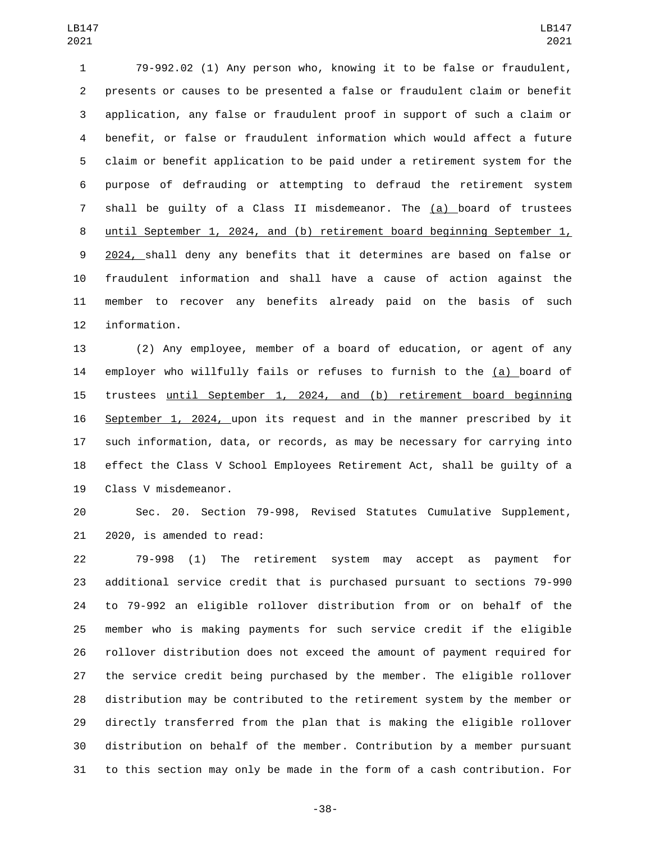79-992.02 (1) Any person who, knowing it to be false or fraudulent, presents or causes to be presented a false or fraudulent claim or benefit application, any false or fraudulent proof in support of such a claim or benefit, or false or fraudulent information which would affect a future claim or benefit application to be paid under a retirement system for the purpose of defrauding or attempting to defraud the retirement system shall be guilty of a Class II misdemeanor. The (a) board of trustees until September 1, 2024, and (b) retirement board beginning September 1, 2024, shall deny any benefits that it determines are based on false or fraudulent information and shall have a cause of action against the member to recover any benefits already paid on the basis of such 12 information.

 (2) Any employee, member of a board of education, or agent of any employer who willfully fails or refuses to furnish to the (a) board of trustees until September 1, 2024, and (b) retirement board beginning September 1, 2024, upon its request and in the manner prescribed by it such information, data, or records, as may be necessary for carrying into effect the Class V School Employees Retirement Act, shall be guilty of a 19 Class V misdemeanor.

 Sec. 20. Section 79-998, Revised Statutes Cumulative Supplement, 21 2020, is amended to read:

 79-998 (1) The retirement system may accept as payment for additional service credit that is purchased pursuant to sections 79-990 to 79-992 an eligible rollover distribution from or on behalf of the member who is making payments for such service credit if the eligible rollover distribution does not exceed the amount of payment required for the service credit being purchased by the member. The eligible rollover distribution may be contributed to the retirement system by the member or directly transferred from the plan that is making the eligible rollover distribution on behalf of the member. Contribution by a member pursuant to this section may only be made in the form of a cash contribution. For

-38-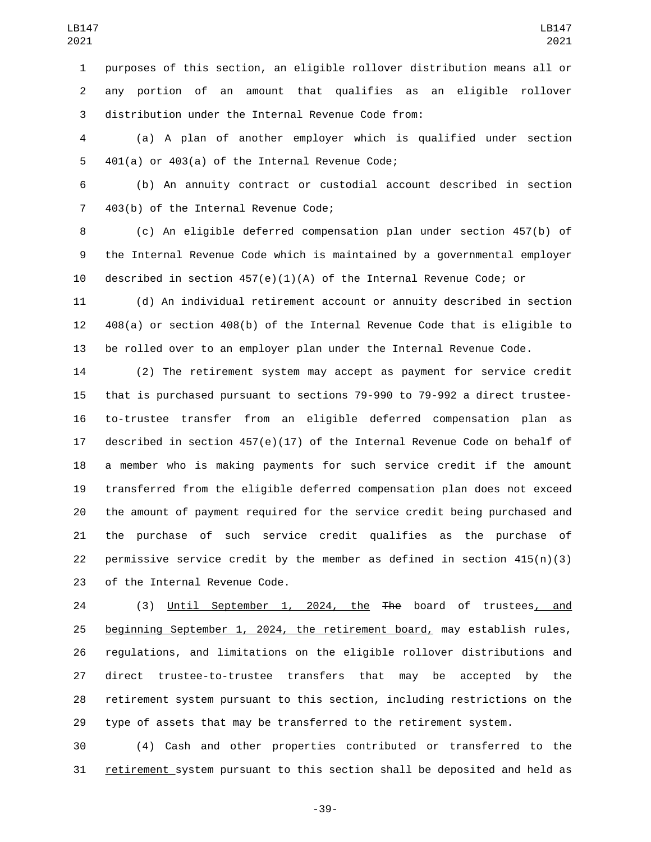purposes of this section, an eligible rollover distribution means all or any portion of an amount that qualifies as an eligible rollover 3 distribution under the Internal Revenue Code from:

 (a) A plan of another employer which is qualified under section 401(a) or 403(a) of the Internal Revenue Code;

 (b) An annuity contract or custodial account described in section 7 403(b) of the Internal Revenue Code;

 (c) An eligible deferred compensation plan under section 457(b) of the Internal Revenue Code which is maintained by a governmental employer described in section 457(e)(1)(A) of the Internal Revenue Code; or

 (d) An individual retirement account or annuity described in section 408(a) or section 408(b) of the Internal Revenue Code that is eligible to be rolled over to an employer plan under the Internal Revenue Code.

 (2) The retirement system may accept as payment for service credit that is purchased pursuant to sections 79-990 to 79-992 a direct trustee- to-trustee transfer from an eligible deferred compensation plan as described in section 457(e)(17) of the Internal Revenue Code on behalf of a member who is making payments for such service credit if the amount transferred from the eligible deferred compensation plan does not exceed the amount of payment required for the service credit being purchased and the purchase of such service credit qualifies as the purchase of 22 permissive service credit by the member as defined in section  $415(n)(3)$ 23 of the Internal Revenue Code.

 (3) Until September 1, 2024, the The board of trustees, and 25 beginning September 1, 2024, the retirement board, may establish rules, regulations, and limitations on the eligible rollover distributions and direct trustee-to-trustee transfers that may be accepted by the retirement system pursuant to this section, including restrictions on the type of assets that may be transferred to the retirement system.

 (4) Cash and other properties contributed or transferred to the retirement system pursuant to this section shall be deposited and held as

-39-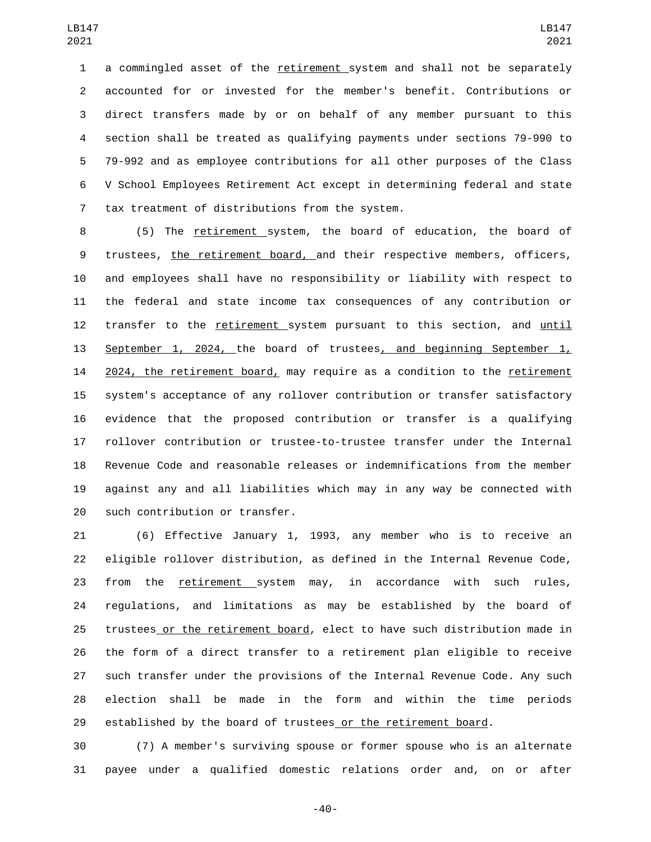a commingled asset of the retirement system and shall not be separately accounted for or invested for the member's benefit. Contributions or direct transfers made by or on behalf of any member pursuant to this section shall be treated as qualifying payments under sections 79-990 to 79-992 and as employee contributions for all other purposes of the Class V School Employees Retirement Act except in determining federal and state 7 tax treatment of distributions from the system.

 (5) The retirement system, the board of education, the board of trustees, the retirement board, and their respective members, officers, and employees shall have no responsibility or liability with respect to the federal and state income tax consequences of any contribution or transfer to the retirement system pursuant to this section, and until September 1, 2024, the board of trustees, and beginning September 1, 14 2024, the retirement board, may require as a condition to the retirement system's acceptance of any rollover contribution or transfer satisfactory evidence that the proposed contribution or transfer is a qualifying rollover contribution or trustee-to-trustee transfer under the Internal Revenue Code and reasonable releases or indemnifications from the member against any and all liabilities which may in any way be connected with 20 such contribution or transfer.

 (6) Effective January 1, 1993, any member who is to receive an eligible rollover distribution, as defined in the Internal Revenue Code, from the retirement system may, in accordance with such rules, regulations, and limitations as may be established by the board of trustees or the retirement board, elect to have such distribution made in the form of a direct transfer to a retirement plan eligible to receive such transfer under the provisions of the Internal Revenue Code. Any such election shall be made in the form and within the time periods established by the board of trustees or the retirement board.

 (7) A member's surviving spouse or former spouse who is an alternate payee under a qualified domestic relations order and, on or after

-40-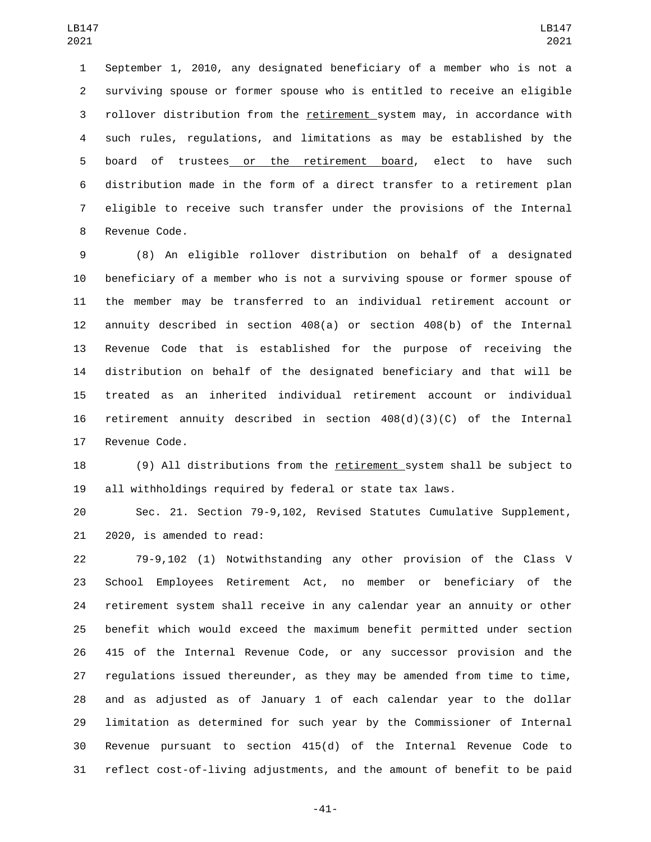September 1, 2010, any designated beneficiary of a member who is not a surviving spouse or former spouse who is entitled to receive an eligible rollover distribution from the retirement system may, in accordance with such rules, regulations, and limitations as may be established by the board of trustees or the retirement board, elect to have such distribution made in the form of a direct transfer to a retirement plan eligible to receive such transfer under the provisions of the Internal 8 Revenue Code.

 (8) An eligible rollover distribution on behalf of a designated beneficiary of a member who is not a surviving spouse or former spouse of the member may be transferred to an individual retirement account or annuity described in section 408(a) or section 408(b) of the Internal Revenue Code that is established for the purpose of receiving the distribution on behalf of the designated beneficiary and that will be treated as an inherited individual retirement account or individual 16 retirement annuity described in section  $408(d)(3)(C)$  of the Internal 17 Revenue Code.

 (9) All distributions from the retirement system shall be subject to all withholdings required by federal or state tax laws.

 Sec. 21. Section 79-9,102, Revised Statutes Cumulative Supplement, 21 2020, is amended to read:

 79-9,102 (1) Notwithstanding any other provision of the Class V School Employees Retirement Act, no member or beneficiary of the retirement system shall receive in any calendar year an annuity or other benefit which would exceed the maximum benefit permitted under section 415 of the Internal Revenue Code, or any successor provision and the regulations issued thereunder, as they may be amended from time to time, and as adjusted as of January 1 of each calendar year to the dollar limitation as determined for such year by the Commissioner of Internal Revenue pursuant to section 415(d) of the Internal Revenue Code to reflect cost-of-living adjustments, and the amount of benefit to be paid

-41-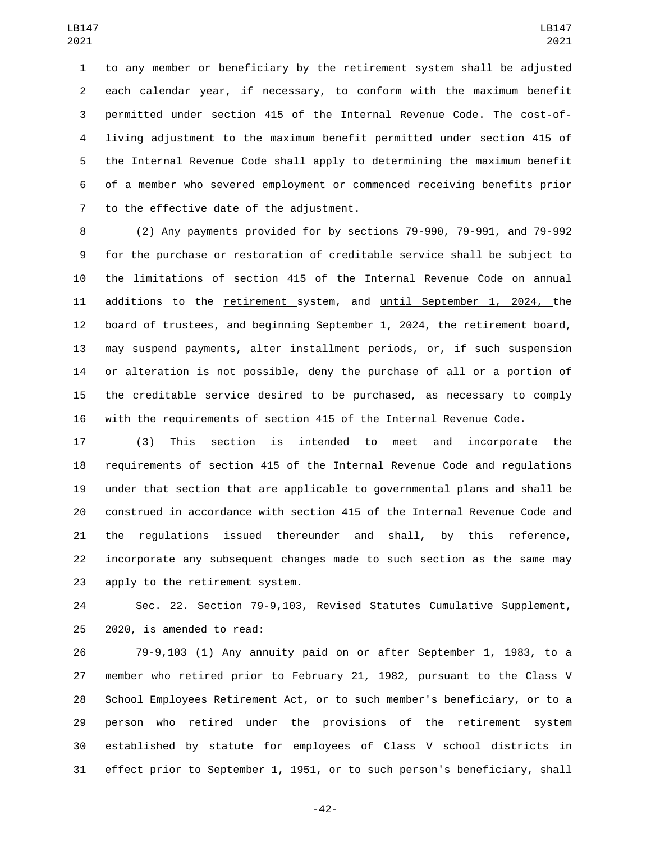to any member or beneficiary by the retirement system shall be adjusted each calendar year, if necessary, to conform with the maximum benefit permitted under section 415 of the Internal Revenue Code. The cost-of- living adjustment to the maximum benefit permitted under section 415 of the Internal Revenue Code shall apply to determining the maximum benefit of a member who severed employment or commenced receiving benefits prior 7 to the effective date of the adjustment.

 (2) Any payments provided for by sections 79-990, 79-991, and 79-992 for the purchase or restoration of creditable service shall be subject to the limitations of section 415 of the Internal Revenue Code on annual additions to the retirement system, and until September 1, 2024, the board of trustees, and beginning September 1, 2024, the retirement board, may suspend payments, alter installment periods, or, if such suspension or alteration is not possible, deny the purchase of all or a portion of the creditable service desired to be purchased, as necessary to comply with the requirements of section 415 of the Internal Revenue Code.

 (3) This section is intended to meet and incorporate the requirements of section 415 of the Internal Revenue Code and regulations under that section that are applicable to governmental plans and shall be construed in accordance with section 415 of the Internal Revenue Code and the regulations issued thereunder and shall, by this reference, incorporate any subsequent changes made to such section as the same may 23 apply to the retirement system.

 Sec. 22. Section 79-9,103, Revised Statutes Cumulative Supplement,  $2020$ , is amended to read:

 79-9,103 (1) Any annuity paid on or after September 1, 1983, to a member who retired prior to February 21, 1982, pursuant to the Class V School Employees Retirement Act, or to such member's beneficiary, or to a person who retired under the provisions of the retirement system established by statute for employees of Class V school districts in effect prior to September 1, 1951, or to such person's beneficiary, shall

-42-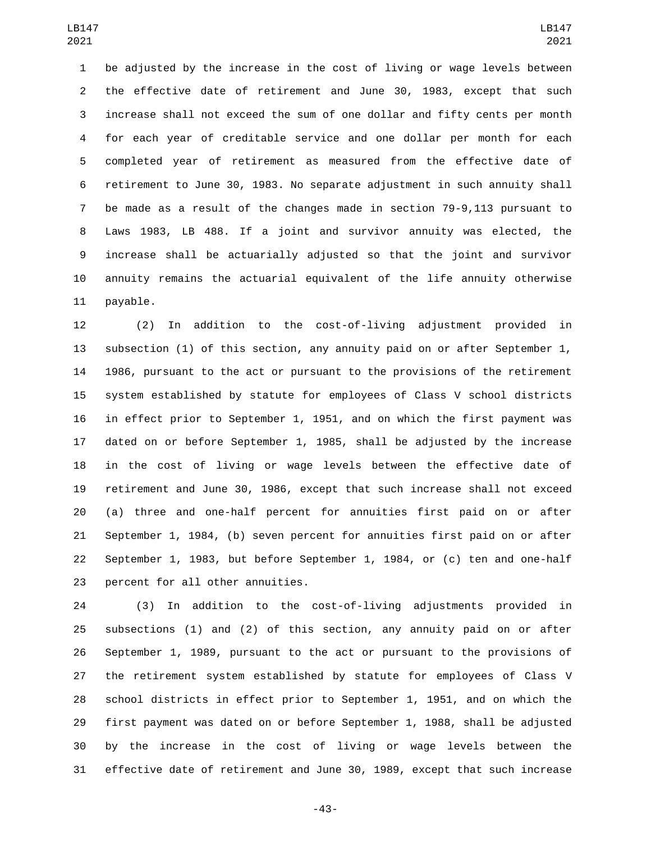be adjusted by the increase in the cost of living or wage levels between the effective date of retirement and June 30, 1983, except that such increase shall not exceed the sum of one dollar and fifty cents per month for each year of creditable service and one dollar per month for each completed year of retirement as measured from the effective date of retirement to June 30, 1983. No separate adjustment in such annuity shall be made as a result of the changes made in section 79-9,113 pursuant to Laws 1983, LB 488. If a joint and survivor annuity was elected, the increase shall be actuarially adjusted so that the joint and survivor annuity remains the actuarial equivalent of the life annuity otherwise 11 payable.

 (2) In addition to the cost-of-living adjustment provided in subsection (1) of this section, any annuity paid on or after September 1, 1986, pursuant to the act or pursuant to the provisions of the retirement system established by statute for employees of Class V school districts in effect prior to September 1, 1951, and on which the first payment was dated on or before September 1, 1985, shall be adjusted by the increase in the cost of living or wage levels between the effective date of retirement and June 30, 1986, except that such increase shall not exceed (a) three and one-half percent for annuities first paid on or after September 1, 1984, (b) seven percent for annuities first paid on or after September 1, 1983, but before September 1, 1984, or (c) ten and one-half 23 percent for all other annuities.

 (3) In addition to the cost-of-living adjustments provided in subsections (1) and (2) of this section, any annuity paid on or after September 1, 1989, pursuant to the act or pursuant to the provisions of the retirement system established by statute for employees of Class V school districts in effect prior to September 1, 1951, and on which the first payment was dated on or before September 1, 1988, shall be adjusted by the increase in the cost of living or wage levels between the effective date of retirement and June 30, 1989, except that such increase

-43-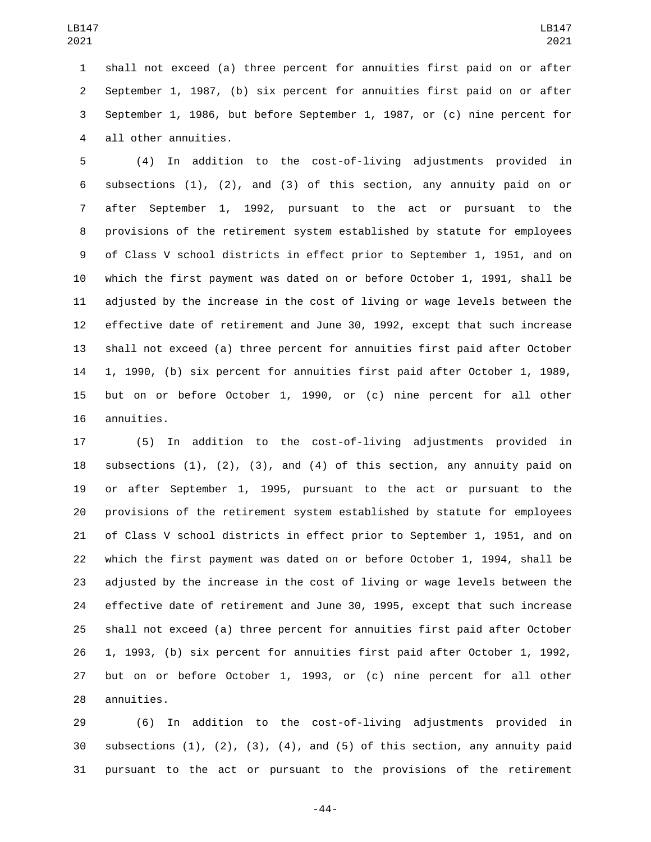shall not exceed (a) three percent for annuities first paid on or after September 1, 1987, (b) six percent for annuities first paid on or after September 1, 1986, but before September 1, 1987, or (c) nine percent for 4 all other annuities.

 (4) In addition to the cost-of-living adjustments provided in subsections (1), (2), and (3) of this section, any annuity paid on or after September 1, 1992, pursuant to the act or pursuant to the provisions of the retirement system established by statute for employees of Class V school districts in effect prior to September 1, 1951, and on which the first payment was dated on or before October 1, 1991, shall be adjusted by the increase in the cost of living or wage levels between the effective date of retirement and June 30, 1992, except that such increase shall not exceed (a) three percent for annuities first paid after October 1, 1990, (b) six percent for annuities first paid after October 1, 1989, but on or before October 1, 1990, or (c) nine percent for all other 16 annuities.

 (5) In addition to the cost-of-living adjustments provided in subsections (1), (2), (3), and (4) of this section, any annuity paid on or after September 1, 1995, pursuant to the act or pursuant to the provisions of the retirement system established by statute for employees of Class V school districts in effect prior to September 1, 1951, and on which the first payment was dated on or before October 1, 1994, shall be adjusted by the increase in the cost of living or wage levels between the effective date of retirement and June 30, 1995, except that such increase shall not exceed (a) three percent for annuities first paid after October 1, 1993, (b) six percent for annuities first paid after October 1, 1992, but on or before October 1, 1993, or (c) nine percent for all other 28 annuities.

 (6) In addition to the cost-of-living adjustments provided in 30 subsections  $(1)$ ,  $(2)$ ,  $(3)$ ,  $(4)$ , and  $(5)$  of this section, any annuity paid pursuant to the act or pursuant to the provisions of the retirement

-44-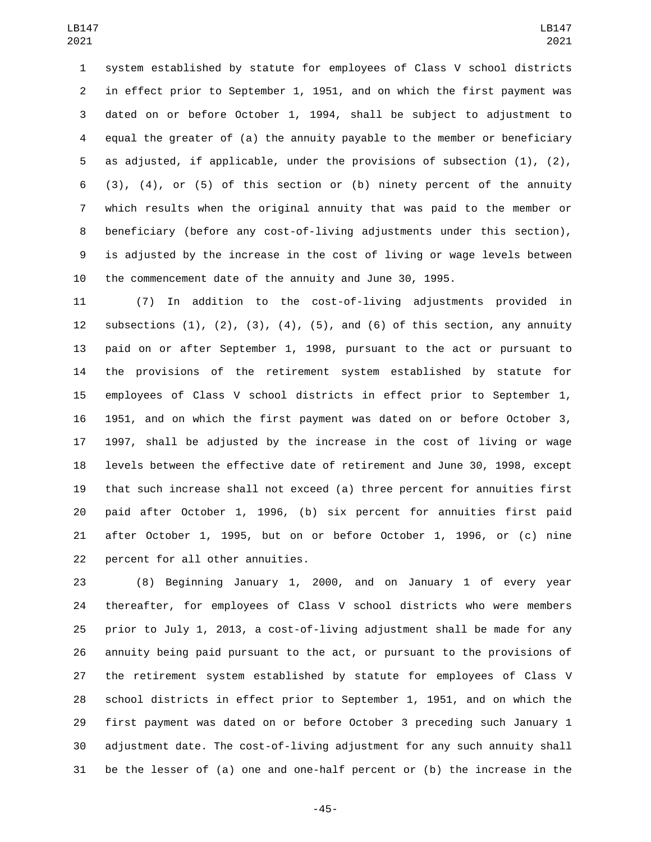system established by statute for employees of Class V school districts in effect prior to September 1, 1951, and on which the first payment was dated on or before October 1, 1994, shall be subject to adjustment to equal the greater of (a) the annuity payable to the member or beneficiary as adjusted, if applicable, under the provisions of subsection (1), (2), (3), (4), or (5) of this section or (b) ninety percent of the annuity which results when the original annuity that was paid to the member or beneficiary (before any cost-of-living adjustments under this section), is adjusted by the increase in the cost of living or wage levels between the commencement date of the annuity and June 30, 1995.

 (7) In addition to the cost-of-living adjustments provided in 12 subsections  $(1)$ ,  $(2)$ ,  $(3)$ ,  $(4)$ ,  $(5)$ , and  $(6)$  of this section, any annuity paid on or after September 1, 1998, pursuant to the act or pursuant to the provisions of the retirement system established by statute for employees of Class V school districts in effect prior to September 1, 1951, and on which the first payment was dated on or before October 3, 1997, shall be adjusted by the increase in the cost of living or wage levels between the effective date of retirement and June 30, 1998, except that such increase shall not exceed (a) three percent for annuities first paid after October 1, 1996, (b) six percent for annuities first paid after October 1, 1995, but on or before October 1, 1996, or (c) nine 22 percent for all other annuities.

 (8) Beginning January 1, 2000, and on January 1 of every year thereafter, for employees of Class V school districts who were members prior to July 1, 2013, a cost-of-living adjustment shall be made for any annuity being paid pursuant to the act, or pursuant to the provisions of the retirement system established by statute for employees of Class V school districts in effect prior to September 1, 1951, and on which the first payment was dated on or before October 3 preceding such January 1 adjustment date. The cost-of-living adjustment for any such annuity shall be the lesser of (a) one and one-half percent or (b) the increase in the

-45-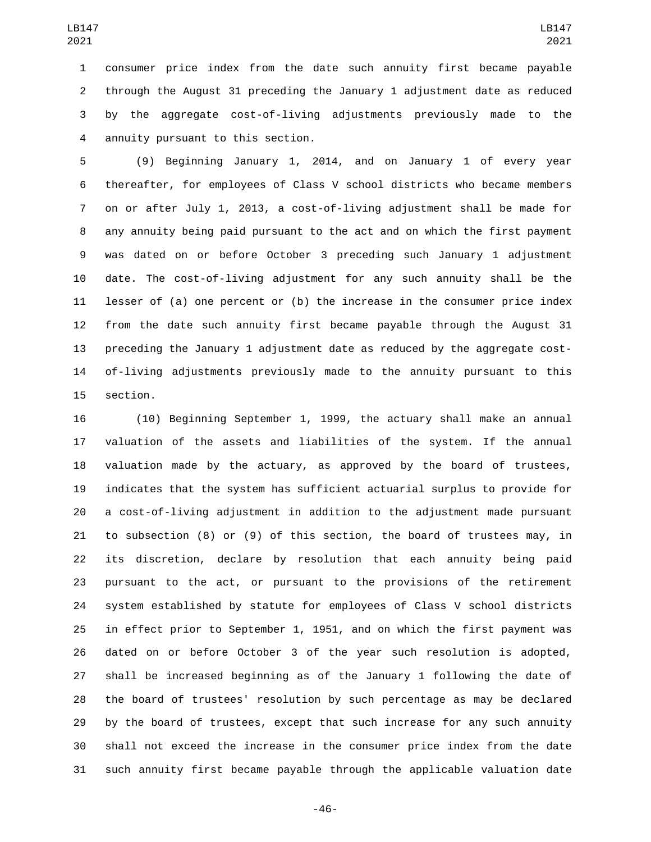consumer price index from the date such annuity first became payable through the August 31 preceding the January 1 adjustment date as reduced by the aggregate cost-of-living adjustments previously made to the annuity pursuant to this section.4

 (9) Beginning January 1, 2014, and on January 1 of every year thereafter, for employees of Class V school districts who became members on or after July 1, 2013, a cost-of-living adjustment shall be made for any annuity being paid pursuant to the act and on which the first payment was dated on or before October 3 preceding such January 1 adjustment date. The cost-of-living adjustment for any such annuity shall be the lesser of (a) one percent or (b) the increase in the consumer price index from the date such annuity first became payable through the August 31 preceding the January 1 adjustment date as reduced by the aggregate cost- of-living adjustments previously made to the annuity pursuant to this 15 section.

 (10) Beginning September 1, 1999, the actuary shall make an annual valuation of the assets and liabilities of the system. If the annual valuation made by the actuary, as approved by the board of trustees, indicates that the system has sufficient actuarial surplus to provide for a cost-of-living adjustment in addition to the adjustment made pursuant to subsection (8) or (9) of this section, the board of trustees may, in its discretion, declare by resolution that each annuity being paid pursuant to the act, or pursuant to the provisions of the retirement system established by statute for employees of Class V school districts in effect prior to September 1, 1951, and on which the first payment was dated on or before October 3 of the year such resolution is adopted, shall be increased beginning as of the January 1 following the date of the board of trustees' resolution by such percentage as may be declared by the board of trustees, except that such increase for any such annuity shall not exceed the increase in the consumer price index from the date such annuity first became payable through the applicable valuation date

-46-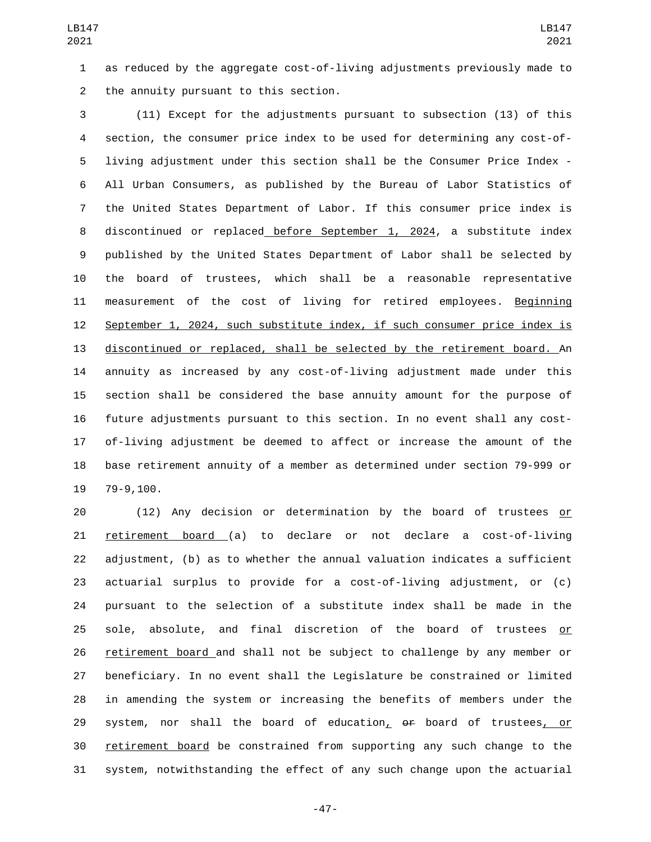as reduced by the aggregate cost-of-living adjustments previously made to 2 the annuity pursuant to this section.

 (11) Except for the adjustments pursuant to subsection (13) of this section, the consumer price index to be used for determining any cost-of- living adjustment under this section shall be the Consumer Price Index - All Urban Consumers, as published by the Bureau of Labor Statistics of the United States Department of Labor. If this consumer price index is discontinued or replaced before September 1, 2024, a substitute index published by the United States Department of Labor shall be selected by the board of trustees, which shall be a reasonable representative measurement of the cost of living for retired employees. Beginning September 1, 2024, such substitute index, if such consumer price index is discontinued or replaced, shall be selected by the retirement board. An annuity as increased by any cost-of-living adjustment made under this section shall be considered the base annuity amount for the purpose of future adjustments pursuant to this section. In no event shall any cost- of-living adjustment be deemed to affect or increase the amount of the base retirement annuity of a member as determined under section 79-999 or 19 79-9,100.

 (12) Any decision or determination by the board of trustees or retirement board (a) to declare or not declare a cost-of-living adjustment, (b) as to whether the annual valuation indicates a sufficient actuarial surplus to provide for a cost-of-living adjustment, or (c) pursuant to the selection of a substitute index shall be made in the sole, absolute, and final discretion of the board of trustees or retirement board and shall not be subject to challenge by any member or beneficiary. In no event shall the Legislature be constrained or limited in amending the system or increasing the benefits of members under the 29 system, nor shall the board of education, or board of trustees, or retirement board be constrained from supporting any such change to the system, notwithstanding the effect of any such change upon the actuarial

-47-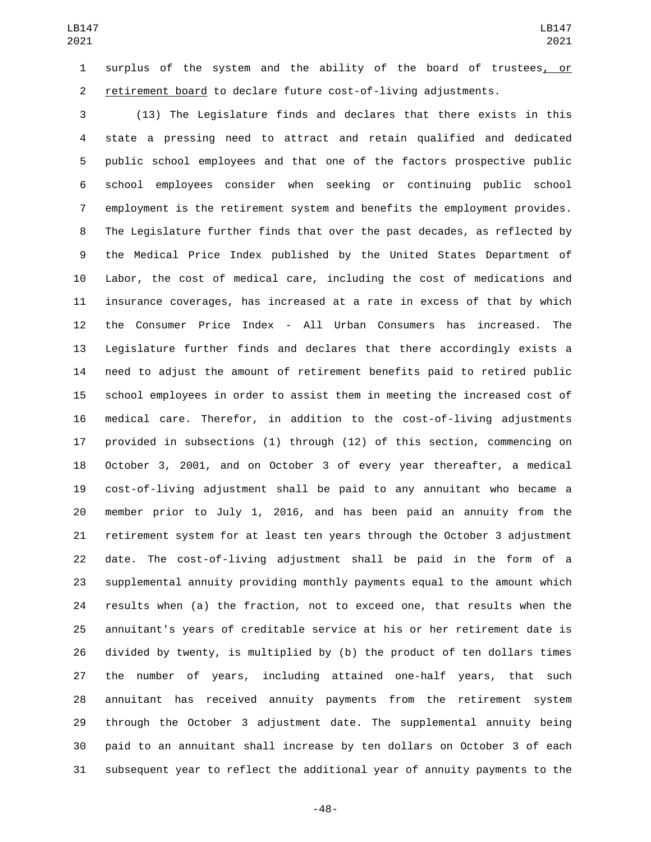surplus of the system and the ability of the board of trustees, or retirement board to declare future cost-of-living adjustments.

 (13) The Legislature finds and declares that there exists in this state a pressing need to attract and retain qualified and dedicated public school employees and that one of the factors prospective public school employees consider when seeking or continuing public school employment is the retirement system and benefits the employment provides. The Legislature further finds that over the past decades, as reflected by the Medical Price Index published by the United States Department of Labor, the cost of medical care, including the cost of medications and insurance coverages, has increased at a rate in excess of that by which the Consumer Price Index - All Urban Consumers has increased. The Legislature further finds and declares that there accordingly exists a need to adjust the amount of retirement benefits paid to retired public school employees in order to assist them in meeting the increased cost of medical care. Therefor, in addition to the cost-of-living adjustments provided in subsections (1) through (12) of this section, commencing on October 3, 2001, and on October 3 of every year thereafter, a medical cost-of-living adjustment shall be paid to any annuitant who became a member prior to July 1, 2016, and has been paid an annuity from the retirement system for at least ten years through the October 3 adjustment date. The cost-of-living adjustment shall be paid in the form of a supplemental annuity providing monthly payments equal to the amount which results when (a) the fraction, not to exceed one, that results when the annuitant's years of creditable service at his or her retirement date is divided by twenty, is multiplied by (b) the product of ten dollars times the number of years, including attained one-half years, that such annuitant has received annuity payments from the retirement system through the October 3 adjustment date. The supplemental annuity being paid to an annuitant shall increase by ten dollars on October 3 of each subsequent year to reflect the additional year of annuity payments to the

-48-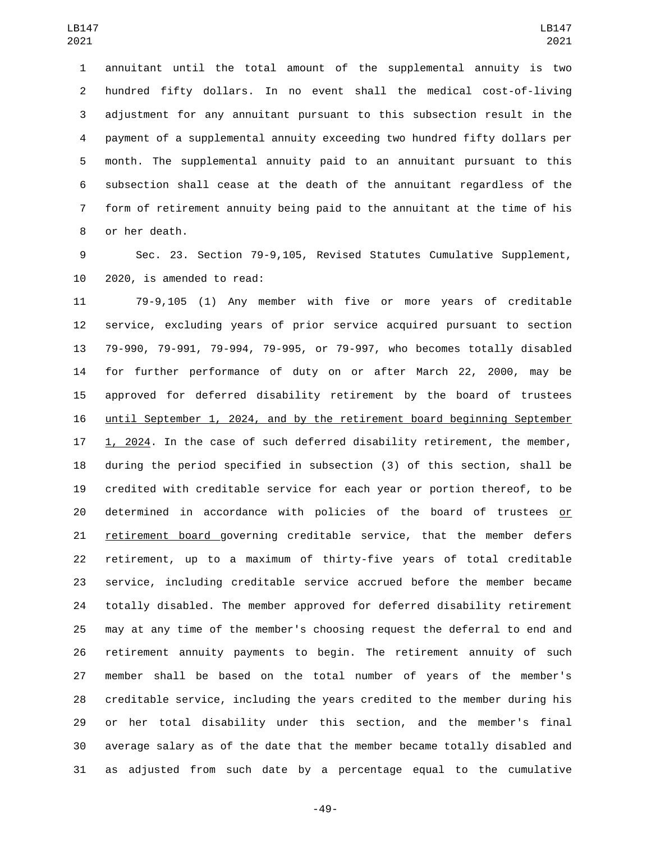annuitant until the total amount of the supplemental annuity is two hundred fifty dollars. In no event shall the medical cost-of-living adjustment for any annuitant pursuant to this subsection result in the payment of a supplemental annuity exceeding two hundred fifty dollars per month. The supplemental annuity paid to an annuitant pursuant to this subsection shall cease at the death of the annuitant regardless of the form of retirement annuity being paid to the annuitant at the time of his 8 or her death.

 Sec. 23. Section 79-9,105, Revised Statutes Cumulative Supplement, 10 2020, is amended to read:

 79-9,105 (1) Any member with five or more years of creditable service, excluding years of prior service acquired pursuant to section 79-990, 79-991, 79-994, 79-995, or 79-997, who becomes totally disabled for further performance of duty on or after March 22, 2000, may be approved for deferred disability retirement by the board of trustees until September 1, 2024, and by the retirement board beginning September 1, 2024. In the case of such deferred disability retirement, the member, during the period specified in subsection (3) of this section, shall be credited with creditable service for each year or portion thereof, to be determined in accordance with policies of the board of trustees or 21 retirement board governing creditable service, that the member defers retirement, up to a maximum of thirty-five years of total creditable service, including creditable service accrued before the member became totally disabled. The member approved for deferred disability retirement may at any time of the member's choosing request the deferral to end and retirement annuity payments to begin. The retirement annuity of such member shall be based on the total number of years of the member's creditable service, including the years credited to the member during his or her total disability under this section, and the member's final average salary as of the date that the member became totally disabled and as adjusted from such date by a percentage equal to the cumulative

-49-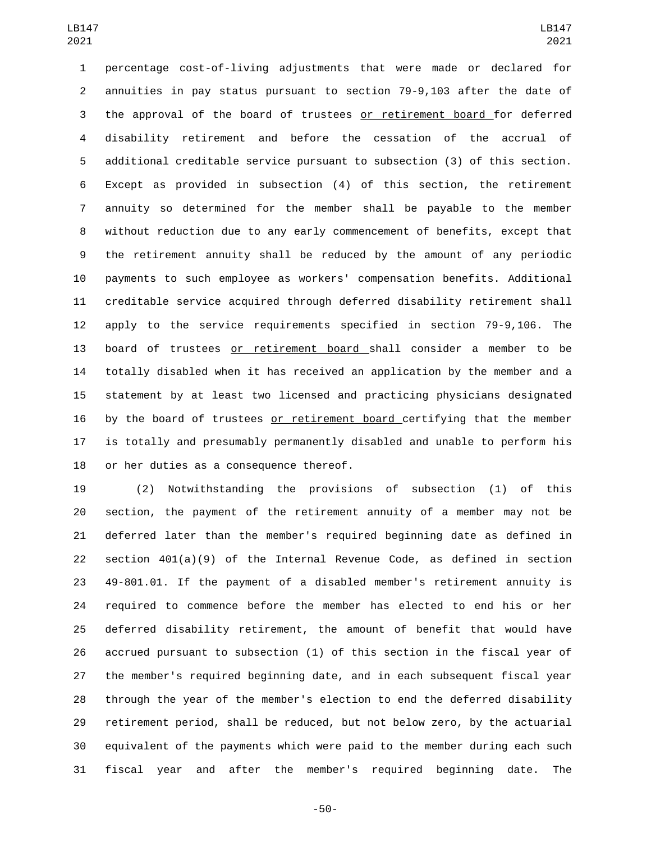percentage cost-of-living adjustments that were made or declared for annuities in pay status pursuant to section 79-9,103 after the date of the approval of the board of trustees or retirement board for deferred disability retirement and before the cessation of the accrual of additional creditable service pursuant to subsection (3) of this section. Except as provided in subsection (4) of this section, the retirement annuity so determined for the member shall be payable to the member without reduction due to any early commencement of benefits, except that the retirement annuity shall be reduced by the amount of any periodic payments to such employee as workers' compensation benefits. Additional creditable service acquired through deferred disability retirement shall apply to the service requirements specified in section 79-9,106. The board of trustees or retirement board shall consider a member to be totally disabled when it has received an application by the member and a statement by at least two licensed and practicing physicians designated 16 by the board of trustees or retirement board certifying that the member is totally and presumably permanently disabled and unable to perform his 18 or her duties as a consequence thereof.

 (2) Notwithstanding the provisions of subsection (1) of this section, the payment of the retirement annuity of a member may not be deferred later than the member's required beginning date as defined in section 401(a)(9) of the Internal Revenue Code, as defined in section 49-801.01. If the payment of a disabled member's retirement annuity is required to commence before the member has elected to end his or her deferred disability retirement, the amount of benefit that would have accrued pursuant to subsection (1) of this section in the fiscal year of the member's required beginning date, and in each subsequent fiscal year through the year of the member's election to end the deferred disability retirement period, shall be reduced, but not below zero, by the actuarial equivalent of the payments which were paid to the member during each such fiscal year and after the member's required beginning date. The

-50-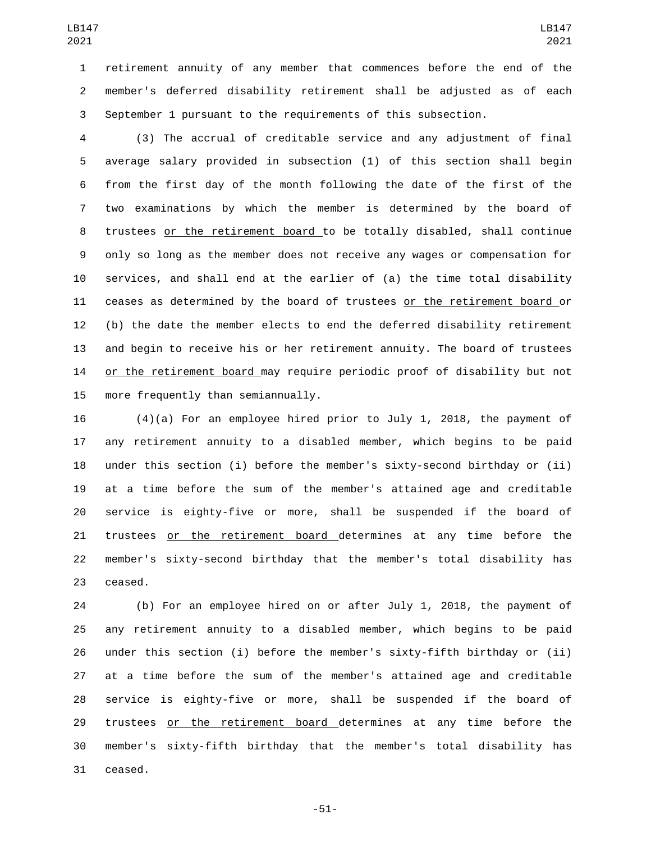retirement annuity of any member that commences before the end of the member's deferred disability retirement shall be adjusted as of each September 1 pursuant to the requirements of this subsection.

 (3) The accrual of creditable service and any adjustment of final average salary provided in subsection (1) of this section shall begin from the first day of the month following the date of the first of the two examinations by which the member is determined by the board of trustees or the retirement board to be totally disabled, shall continue only so long as the member does not receive any wages or compensation for services, and shall end at the earlier of (a) the time total disability ceases as determined by the board of trustees or the retirement board or (b) the date the member elects to end the deferred disability retirement and begin to receive his or her retirement annuity. The board of trustees or the retirement board may require periodic proof of disability but not 15 more frequently than semiannually.

 (4)(a) For an employee hired prior to July 1, 2018, the payment of any retirement annuity to a disabled member, which begins to be paid under this section (i) before the member's sixty-second birthday or (ii) at a time before the sum of the member's attained age and creditable service is eighty-five or more, shall be suspended if the board of trustees or the retirement board determines at any time before the member's sixty-second birthday that the member's total disability has 23 ceased.

 (b) For an employee hired on or after July 1, 2018, the payment of any retirement annuity to a disabled member, which begins to be paid under this section (i) before the member's sixty-fifth birthday or (ii) at a time before the sum of the member's attained age and creditable service is eighty-five or more, shall be suspended if the board of 29 trustees or the retirement board determines at any time before the member's sixty-fifth birthday that the member's total disability has 31 ceased.

-51-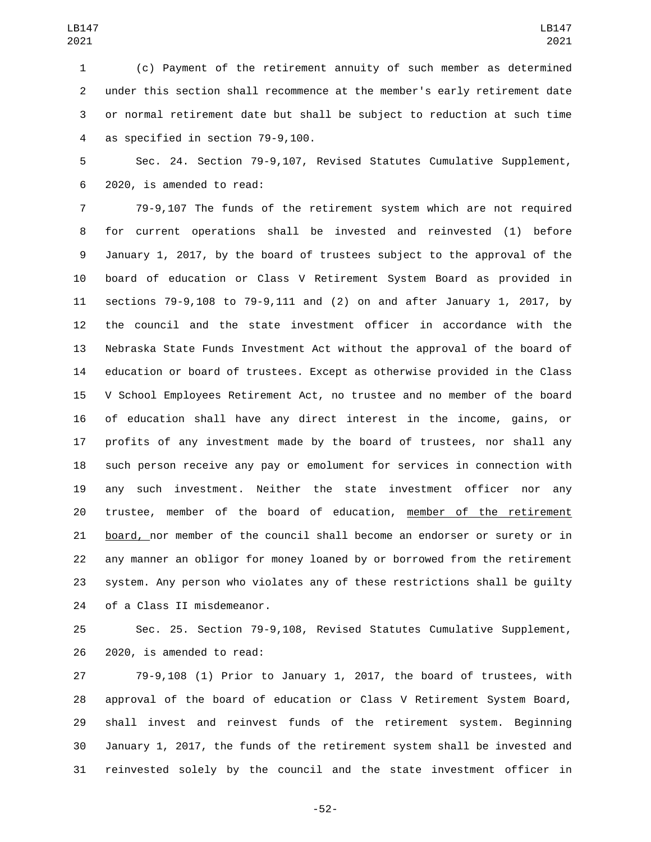(c) Payment of the retirement annuity of such member as determined under this section shall recommence at the member's early retirement date or normal retirement date but shall be subject to reduction at such time 4 as specified in section 79-9,100.

 Sec. 24. Section 79-9,107, Revised Statutes Cumulative Supplement, 2020, is amended to read:6

 79-9,107 The funds of the retirement system which are not required for current operations shall be invested and reinvested (1) before January 1, 2017, by the board of trustees subject to the approval of the board of education or Class V Retirement System Board as provided in sections 79-9,108 to 79-9,111 and (2) on and after January 1, 2017, by the council and the state investment officer in accordance with the Nebraska State Funds Investment Act without the approval of the board of education or board of trustees. Except as otherwise provided in the Class V School Employees Retirement Act, no trustee and no member of the board of education shall have any direct interest in the income, gains, or profits of any investment made by the board of trustees, nor shall any such person receive any pay or emolument for services in connection with any such investment. Neither the state investment officer nor any trustee, member of the board of education, member of the retirement board, nor member of the council shall become an endorser or surety or in any manner an obligor for money loaned by or borrowed from the retirement system. Any person who violates any of these restrictions shall be guilty 24 of a Class II misdemeanor.

 Sec. 25. Section 79-9,108, Revised Statutes Cumulative Supplement, 26 2020, is amended to read:

 79-9,108 (1) Prior to January 1, 2017, the board of trustees, with approval of the board of education or Class V Retirement System Board, shall invest and reinvest funds of the retirement system. Beginning January 1, 2017, the funds of the retirement system shall be invested and reinvested solely by the council and the state investment officer in

-52-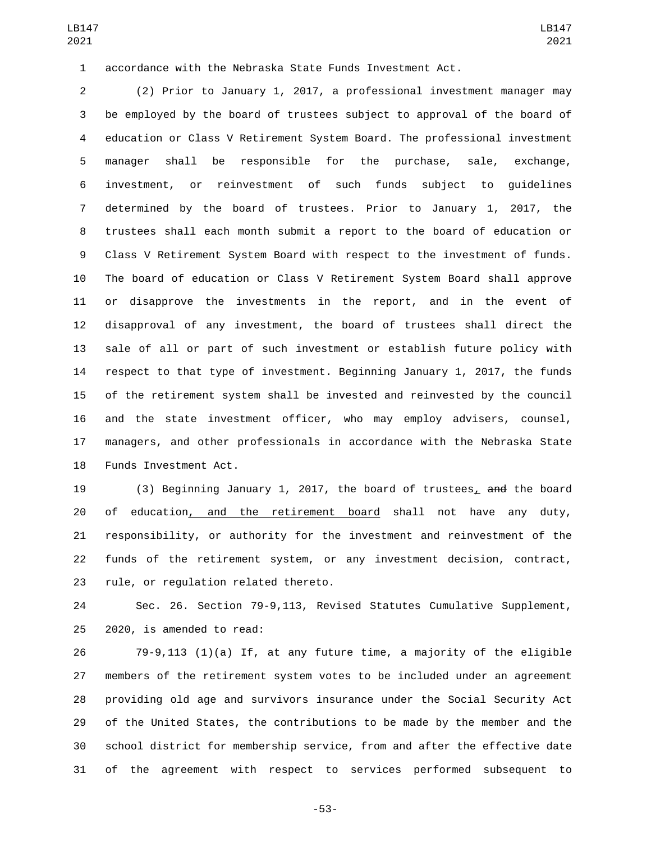accordance with the Nebraska State Funds Investment Act.

 (2) Prior to January 1, 2017, a professional investment manager may be employed by the board of trustees subject to approval of the board of education or Class V Retirement System Board. The professional investment manager shall be responsible for the purchase, sale, exchange, investment, or reinvestment of such funds subject to guidelines determined by the board of trustees. Prior to January 1, 2017, the trustees shall each month submit a report to the board of education or Class V Retirement System Board with respect to the investment of funds. The board of education or Class V Retirement System Board shall approve or disapprove the investments in the report, and in the event of disapproval of any investment, the board of trustees shall direct the sale of all or part of such investment or establish future policy with respect to that type of investment. Beginning January 1, 2017, the funds of the retirement system shall be invested and reinvested by the council and the state investment officer, who may employ advisers, counsel, managers, and other professionals in accordance with the Nebraska State 18 Funds Investment Act.

 (3) Beginning January 1, 2017, the board of trustees, and the board of education, and the retirement board shall not have any duty, responsibility, or authority for the investment and reinvestment of the funds of the retirement system, or any investment decision, contract, 23 rule, or regulation related thereto.

 Sec. 26. Section 79-9,113, Revised Statutes Cumulative Supplement,  $2020$ , is amended to read:

 79-9,113 (1)(a) If, at any future time, a majority of the eligible members of the retirement system votes to be included under an agreement providing old age and survivors insurance under the Social Security Act of the United States, the contributions to be made by the member and the school district for membership service, from and after the effective date of the agreement with respect to services performed subsequent to

-53-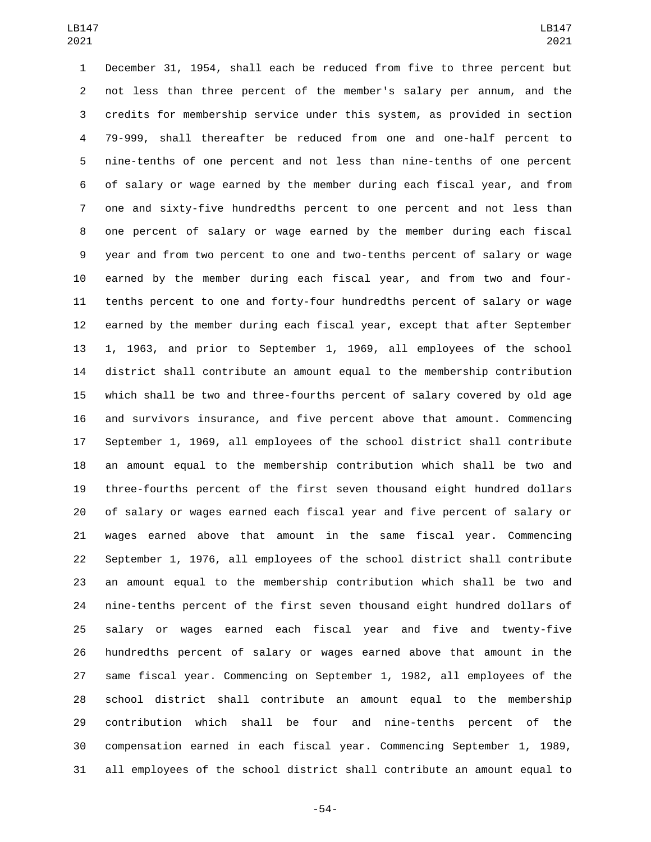December 31, 1954, shall each be reduced from five to three percent but not less than three percent of the member's salary per annum, and the credits for membership service under this system, as provided in section 79-999, shall thereafter be reduced from one and one-half percent to nine-tenths of one percent and not less than nine-tenths of one percent of salary or wage earned by the member during each fiscal year, and from one and sixty-five hundredths percent to one percent and not less than one percent of salary or wage earned by the member during each fiscal year and from two percent to one and two-tenths percent of salary or wage earned by the member during each fiscal year, and from two and four- tenths percent to one and forty-four hundredths percent of salary or wage earned by the member during each fiscal year, except that after September 1, 1963, and prior to September 1, 1969, all employees of the school district shall contribute an amount equal to the membership contribution which shall be two and three-fourths percent of salary covered by old age and survivors insurance, and five percent above that amount. Commencing September 1, 1969, all employees of the school district shall contribute an amount equal to the membership contribution which shall be two and three-fourths percent of the first seven thousand eight hundred dollars of salary or wages earned each fiscal year and five percent of salary or wages earned above that amount in the same fiscal year. Commencing September 1, 1976, all employees of the school district shall contribute an amount equal to the membership contribution which shall be two and nine-tenths percent of the first seven thousand eight hundred dollars of salary or wages earned each fiscal year and five and twenty-five hundredths percent of salary or wages earned above that amount in the same fiscal year. Commencing on September 1, 1982, all employees of the school district shall contribute an amount equal to the membership contribution which shall be four and nine-tenths percent of the compensation earned in each fiscal year. Commencing September 1, 1989, all employees of the school district shall contribute an amount equal to

-54-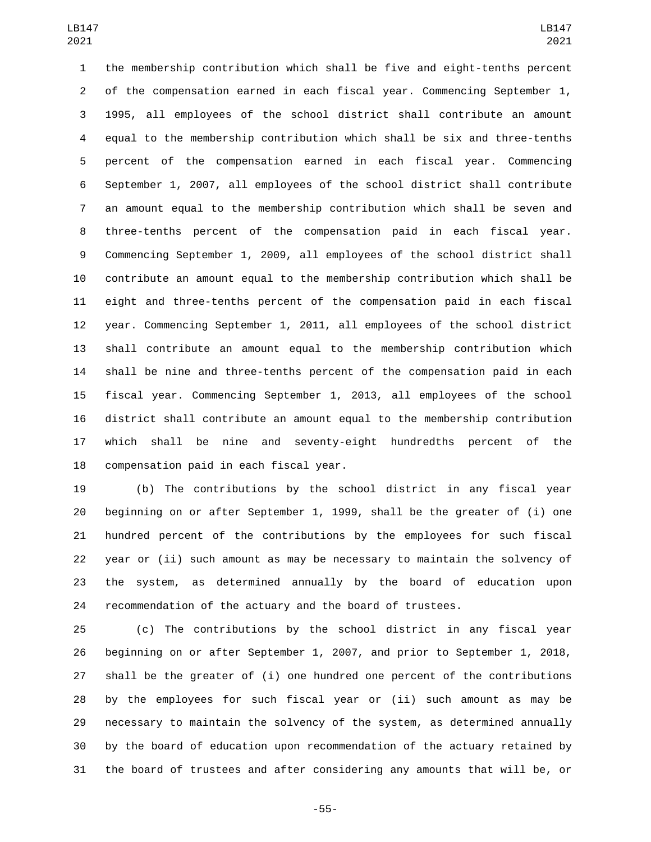the membership contribution which shall be five and eight-tenths percent of the compensation earned in each fiscal year. Commencing September 1, 1995, all employees of the school district shall contribute an amount equal to the membership contribution which shall be six and three-tenths percent of the compensation earned in each fiscal year. Commencing September 1, 2007, all employees of the school district shall contribute an amount equal to the membership contribution which shall be seven and three-tenths percent of the compensation paid in each fiscal year. Commencing September 1, 2009, all employees of the school district shall contribute an amount equal to the membership contribution which shall be eight and three-tenths percent of the compensation paid in each fiscal year. Commencing September 1, 2011, all employees of the school district shall contribute an amount equal to the membership contribution which shall be nine and three-tenths percent of the compensation paid in each fiscal year. Commencing September 1, 2013, all employees of the school district shall contribute an amount equal to the membership contribution which shall be nine and seventy-eight hundredths percent of the 18 compensation paid in each fiscal year.

 (b) The contributions by the school district in any fiscal year beginning on or after September 1, 1999, shall be the greater of (i) one hundred percent of the contributions by the employees for such fiscal year or (ii) such amount as may be necessary to maintain the solvency of the system, as determined annually by the board of education upon recommendation of the actuary and the board of trustees.

 (c) The contributions by the school district in any fiscal year beginning on or after September 1, 2007, and prior to September 1, 2018, shall be the greater of (i) one hundred one percent of the contributions by the employees for such fiscal year or (ii) such amount as may be necessary to maintain the solvency of the system, as determined annually by the board of education upon recommendation of the actuary retained by the board of trustees and after considering any amounts that will be, or

-55-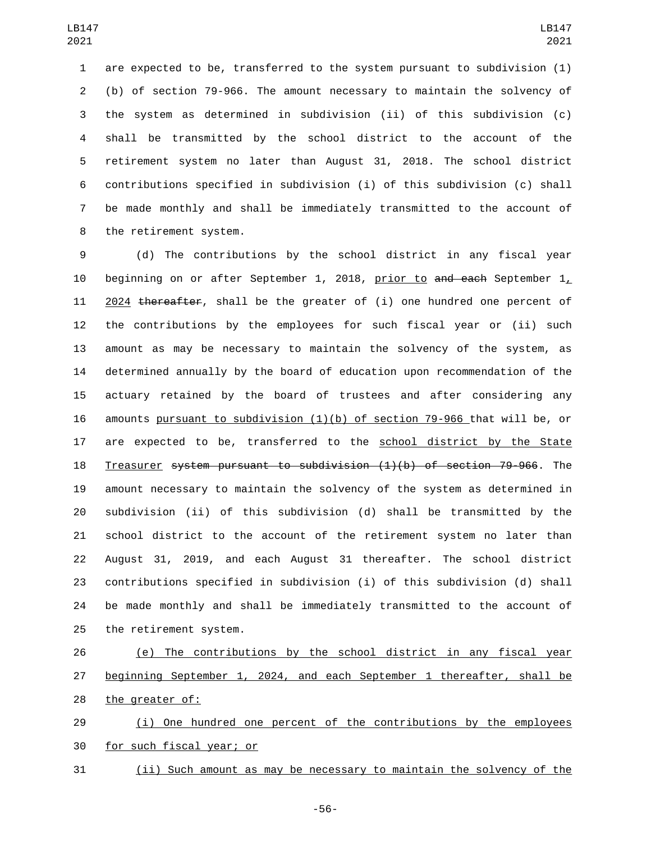are expected to be, transferred to the system pursuant to subdivision (1) (b) of section 79-966. The amount necessary to maintain the solvency of the system as determined in subdivision (ii) of this subdivision (c) shall be transmitted by the school district to the account of the retirement system no later than August 31, 2018. The school district contributions specified in subdivision (i) of this subdivision (c) shall be made monthly and shall be immediately transmitted to the account of 8 the retirement system.

 (d) The contributions by the school district in any fiscal year 10 beginning on or after September 1, 2018, prior to and each September  $1<sub>L</sub>$  2024 thereafter, shall be the greater of (i) one hundred one percent of the contributions by the employees for such fiscal year or (ii) such amount as may be necessary to maintain the solvency of the system, as determined annually by the board of education upon recommendation of the actuary retained by the board of trustees and after considering any amounts pursuant to subdivision (1)(b) of section 79-966 that will be, or 17 are expected to be, transferred to the school district by the State Treasurer system pursuant to subdivision (1)(b) of section 79-966. The amount necessary to maintain the solvency of the system as determined in subdivision (ii) of this subdivision (d) shall be transmitted by the school district to the account of the retirement system no later than August 31, 2019, and each August 31 thereafter. The school district contributions specified in subdivision (i) of this subdivision (d) shall be made monthly and shall be immediately transmitted to the account of 25 the retirement system.

 (e) The contributions by the school district in any fiscal year beginning September 1, 2024, and each September 1 thereafter, shall be 28 the greater of:

29 (i) One hundred one percent of the contributions by the employees 30 for such fiscal year; or

(ii) Such amount as may be necessary to maintain the solvency of the

-56-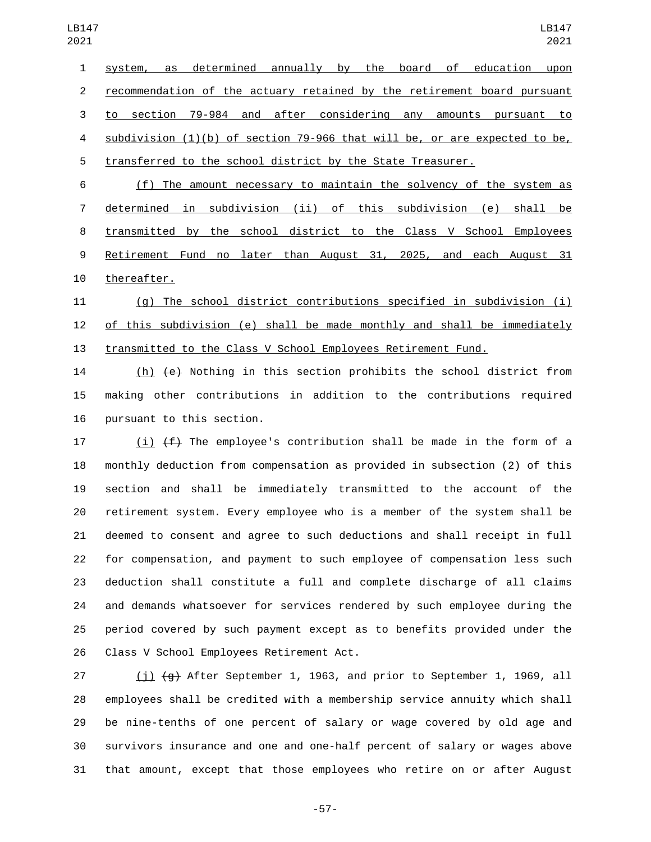system, as determined annually by the board of education upon recommendation of the actuary retained by the retirement board pursuant to section 79-984 and after considering any amounts pursuant to subdivision (1)(b) of section 79-966 that will be, or are expected to be, transferred to the school district by the State Treasurer. (f) The amount necessary to maintain the solvency of the system as

 determined in subdivision (ii) of this subdivision (e) shall be transmitted by the school district to the Class V School Employees Retirement Fund no later than August 31, 2025, and each August 31 10 thereafter.

 (g) The school district contributions specified in subdivision (i) of this subdivision (e) shall be made monthly and shall be immediately transmitted to the Class V School Employees Retirement Fund.

 (h) (e) Nothing in this section prohibits the school district from making other contributions in addition to the contributions required 16 pursuant to this section.

17 (i)  $(f)$  The employee's contribution shall be made in the form of a monthly deduction from compensation as provided in subsection (2) of this section and shall be immediately transmitted to the account of the retirement system. Every employee who is a member of the system shall be deemed to consent and agree to such deductions and shall receipt in full for compensation, and payment to such employee of compensation less such deduction shall constitute a full and complete discharge of all claims and demands whatsoever for services rendered by such employee during the period covered by such payment except as to benefits provided under the 26 Class V School Employees Retirement Act.

 (j) (g) After September 1, 1963, and prior to September 1, 1969, all employees shall be credited with a membership service annuity which shall be nine-tenths of one percent of salary or wage covered by old age and survivors insurance and one and one-half percent of salary or wages above that amount, except that those employees who retire on or after August

-57-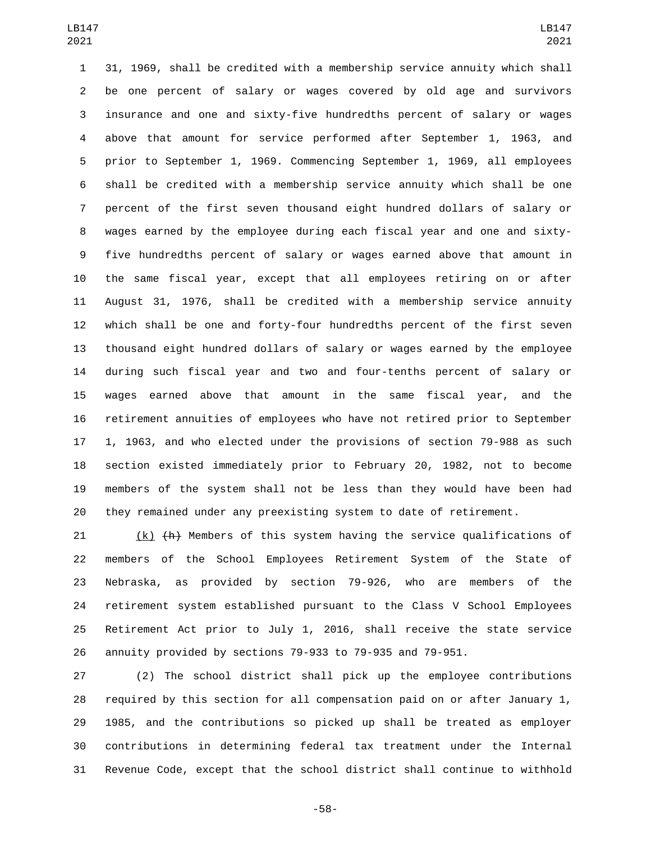31, 1969, shall be credited with a membership service annuity which shall be one percent of salary or wages covered by old age and survivors insurance and one and sixty-five hundredths percent of salary or wages above that amount for service performed after September 1, 1963, and prior to September 1, 1969. Commencing September 1, 1969, all employees shall be credited with a membership service annuity which shall be one percent of the first seven thousand eight hundred dollars of salary or wages earned by the employee during each fiscal year and one and sixty- five hundredths percent of salary or wages earned above that amount in the same fiscal year, except that all employees retiring on or after August 31, 1976, shall be credited with a membership service annuity which shall be one and forty-four hundredths percent of the first seven thousand eight hundred dollars of salary or wages earned by the employee during such fiscal year and two and four-tenths percent of salary or wages earned above that amount in the same fiscal year, and the retirement annuities of employees who have not retired prior to September 1, 1963, and who elected under the provisions of section 79-988 as such section existed immediately prior to February 20, 1982, not to become members of the system shall not be less than they would have been had they remained under any preexisting system to date of retirement.

 (k) (h) Members of this system having the service qualifications of members of the School Employees Retirement System of the State of Nebraska, as provided by section 79-926, who are members of the retirement system established pursuant to the Class V School Employees Retirement Act prior to July 1, 2016, shall receive the state service annuity provided by sections 79-933 to 79-935 and 79-951.

 (2) The school district shall pick up the employee contributions required by this section for all compensation paid on or after January 1, 1985, and the contributions so picked up shall be treated as employer contributions in determining federal tax treatment under the Internal Revenue Code, except that the school district shall continue to withhold

-58-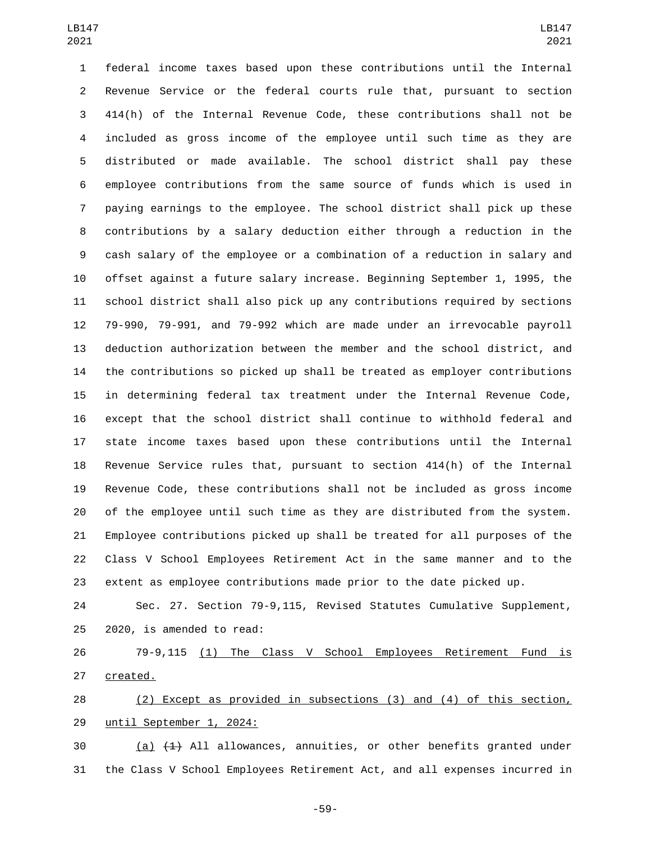federal income taxes based upon these contributions until the Internal Revenue Service or the federal courts rule that, pursuant to section 414(h) of the Internal Revenue Code, these contributions shall not be included as gross income of the employee until such time as they are distributed or made available. The school district shall pay these employee contributions from the same source of funds which is used in paying earnings to the employee. The school district shall pick up these contributions by a salary deduction either through a reduction in the cash salary of the employee or a combination of a reduction in salary and offset against a future salary increase. Beginning September 1, 1995, the school district shall also pick up any contributions required by sections 79-990, 79-991, and 79-992 which are made under an irrevocable payroll deduction authorization between the member and the school district, and the contributions so picked up shall be treated as employer contributions in determining federal tax treatment under the Internal Revenue Code, except that the school district shall continue to withhold federal and state income taxes based upon these contributions until the Internal Revenue Service rules that, pursuant to section 414(h) of the Internal Revenue Code, these contributions shall not be included as gross income of the employee until such time as they are distributed from the system. Employee contributions picked up shall be treated for all purposes of the Class V School Employees Retirement Act in the same manner and to the extent as employee contributions made prior to the date picked up.

 Sec. 27. Section 79-9,115, Revised Statutes Cumulative Supplement,  $2020$ , is amended to read:

 79-9,115 (1) The Class V School Employees Retirement Fund is 27 created.

 (2) Except as provided in subsections (3) and (4) of this section, 29 until September 1, 2024:

 (a)  $(1)$  All allowances, annuities, or other benefits granted under the Class V School Employees Retirement Act, and all expenses incurred in

-59-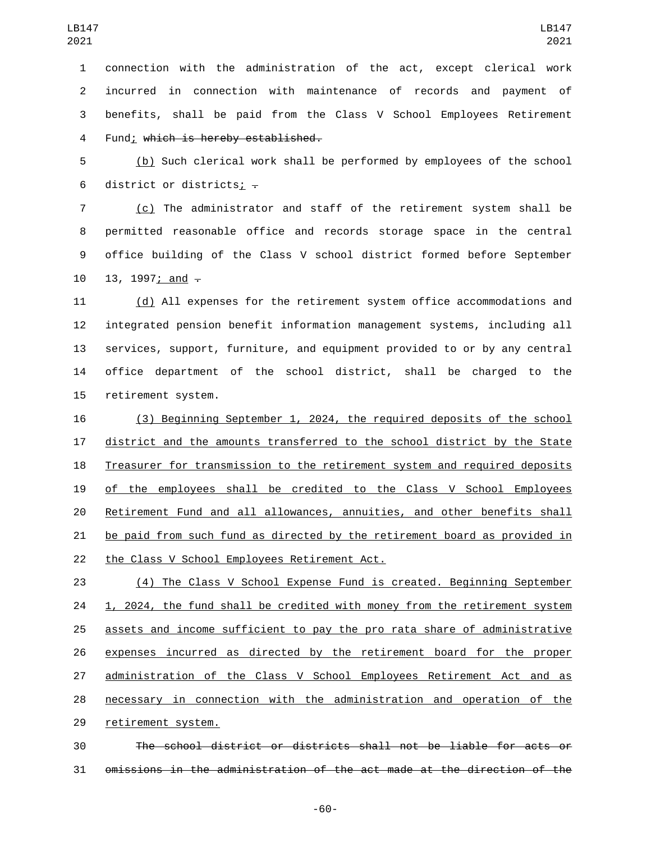connection with the administration of the act, except clerical work incurred in connection with maintenance of records and payment of benefits, shall be paid from the Class V School Employees Retirement 4 Fund; which is hereby established.

 (b) Such clerical work shall be performed by employees of the school 6 district or districts<u>;</u>  $\overline{z}$ 

 (c) The administrator and staff of the retirement system shall be permitted reasonable office and records storage space in the central office building of the Class V school district formed before September 10 13, 1997; and  $-$ 

 (d) All expenses for the retirement system office accommodations and integrated pension benefit information management systems, including all services, support, furniture, and equipment provided to or by any central office department of the school district, shall be charged to the 15 retirement system.

 (3) Beginning September 1, 2024, the required deposits of the school district and the amounts transferred to the school district by the State Treasurer for transmission to the retirement system and required deposits of the employees shall be credited to the Class V School Employees Retirement Fund and all allowances, annuities, and other benefits shall be paid from such fund as directed by the retirement board as provided in 22 the Class V School Employees Retirement Act.

 (4) The Class V School Expense Fund is created. Beginning September 24 1, 2024, the fund shall be credited with money from the retirement system assets and income sufficient to pay the pro rata share of administrative expenses incurred as directed by the retirement board for the proper administration of the Class V School Employees Retirement Act and as necessary in connection with the administration and operation of the 29 retirement system.

 The school district or districts shall not be liable for acts or omissions in the administration of the act made at the direction of the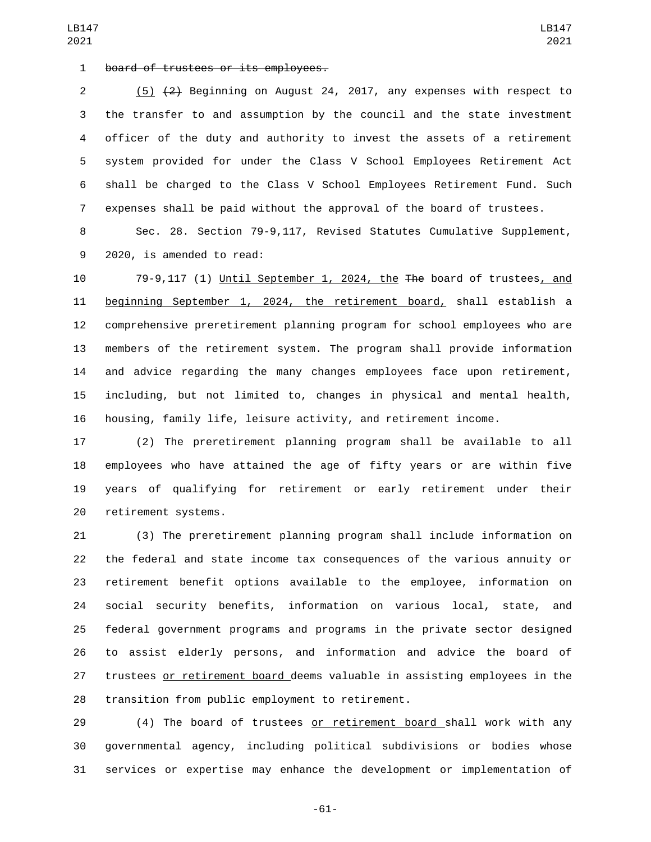1 board of trustees or its employees.

 (5) (2) Beginning on August 24, 2017, any expenses with respect to the transfer to and assumption by the council and the state investment officer of the duty and authority to invest the assets of a retirement system provided for under the Class V School Employees Retirement Act shall be charged to the Class V School Employees Retirement Fund. Such expenses shall be paid without the approval of the board of trustees.

 Sec. 28. Section 79-9,117, Revised Statutes Cumulative Supplement, 9 2020, is amended to read:

 79-9,117 (1) Until September 1, 2024, the The board of trustees, and beginning September 1, 2024, the retirement board, shall establish a comprehensive preretirement planning program for school employees who are members of the retirement system. The program shall provide information and advice regarding the many changes employees face upon retirement, including, but not limited to, changes in physical and mental health, housing, family life, leisure activity, and retirement income.

 (2) The preretirement planning program shall be available to all employees who have attained the age of fifty years or are within five years of qualifying for retirement or early retirement under their 20 retirement systems.

 (3) The preretirement planning program shall include information on the federal and state income tax consequences of the various annuity or retirement benefit options available to the employee, information on social security benefits, information on various local, state, and federal government programs and programs in the private sector designed to assist elderly persons, and information and advice the board of trustees or retirement board deems valuable in assisting employees in the 28 transition from public employment to retirement.

29 (4) The board of trustees or retirement board shall work with any governmental agency, including political subdivisions or bodies whose services or expertise may enhance the development or implementation of

LB147 

-61-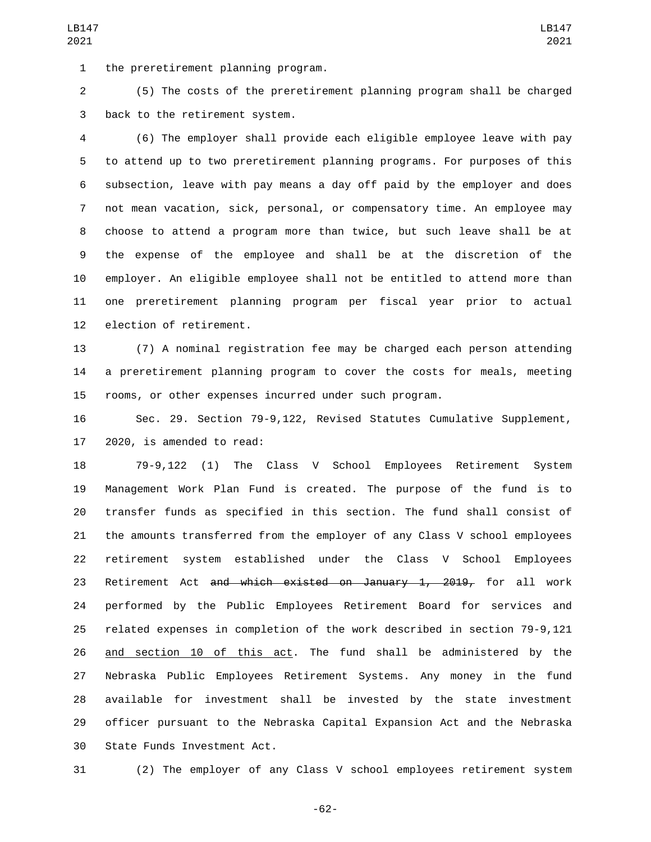1 the preretirement planning program.

 (5) The costs of the preretirement planning program shall be charged 3 back to the retirement system.

 (6) The employer shall provide each eligible employee leave with pay to attend up to two preretirement planning programs. For purposes of this subsection, leave with pay means a day off paid by the employer and does not mean vacation, sick, personal, or compensatory time. An employee may choose to attend a program more than twice, but such leave shall be at the expense of the employee and shall be at the discretion of the employer. An eligible employee shall not be entitled to attend more than one preretirement planning program per fiscal year prior to actual 12 election of retirement.

 (7) A nominal registration fee may be charged each person attending a preretirement planning program to cover the costs for meals, meeting rooms, or other expenses incurred under such program.

 Sec. 29. Section 79-9,122, Revised Statutes Cumulative Supplement, 2020, is amended to read:

 79-9,122 (1) The Class V School Employees Retirement System Management Work Plan Fund is created. The purpose of the fund is to transfer funds as specified in this section. The fund shall consist of the amounts transferred from the employer of any Class V school employees retirement system established under the Class V School Employees 23 Retirement Act and which existed on January 1, 2019, for all work performed by the Public Employees Retirement Board for services and related expenses in completion of the work described in section 79-9,121 and section 10 of this act. The fund shall be administered by the Nebraska Public Employees Retirement Systems. Any money in the fund available for investment shall be invested by the state investment officer pursuant to the Nebraska Capital Expansion Act and the Nebraska 30 State Funds Investment Act.

(2) The employer of any Class V school employees retirement system

-62-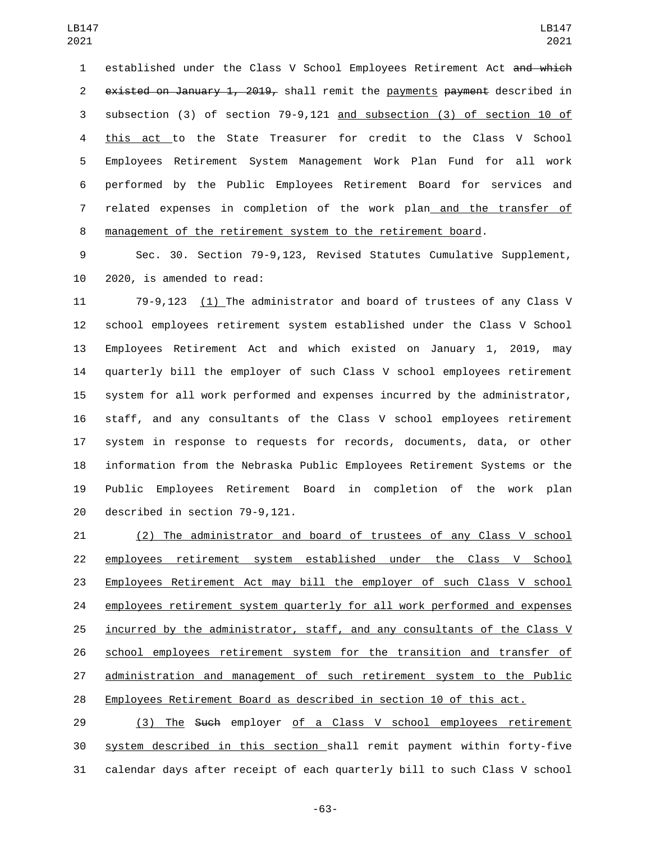1 established under the Class V School Employees Retirement Act and which 2 existed on January 1, 2019, shall remit the payments payment described in subsection (3) of section 79-9,121 and subsection (3) of section 10 of this act to the State Treasurer for credit to the Class V School Employees Retirement System Management Work Plan Fund for all work performed by the Public Employees Retirement Board for services and related expenses in completion of the work plan and the transfer of management of the retirement system to the retirement board.

 Sec. 30. Section 79-9,123, Revised Statutes Cumulative Supplement, 10 2020, is amended to read:

 79-9,123 (1) The administrator and board of trustees of any Class V school employees retirement system established under the Class V School Employees Retirement Act and which existed on January 1, 2019, may quarterly bill the employer of such Class V school employees retirement system for all work performed and expenses incurred by the administrator, staff, and any consultants of the Class V school employees retirement system in response to requests for records, documents, data, or other information from the Nebraska Public Employees Retirement Systems or the Public Employees Retirement Board in completion of the work plan 20 described in section 79-9,121.

 (2) The administrator and board of trustees of any Class V school employees retirement system established under the Class V School Employees Retirement Act may bill the employer of such Class V school employees retirement system quarterly for all work performed and expenses incurred by the administrator, staff, and any consultants of the Class V school employees retirement system for the transition and transfer of administration and management of such retirement system to the Public Employees Retirement Board as described in section 10 of this act.

29 (3) The Such employer of a Class V school employees retirement system described in this section shall remit payment within forty-five calendar days after receipt of each quarterly bill to such Class V school

-63-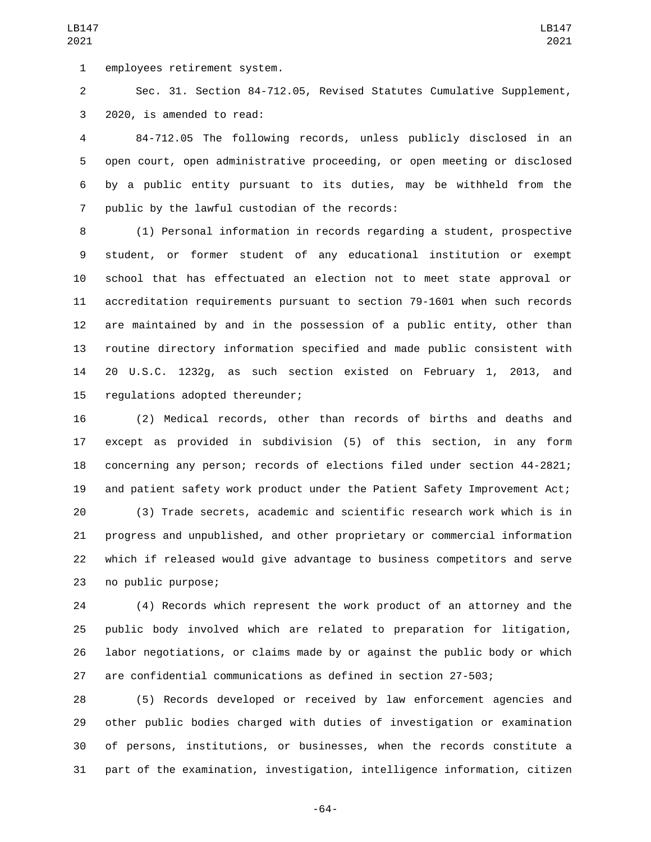1 employees retirement system.

 Sec. 31. Section 84-712.05, Revised Statutes Cumulative Supplement, 3 2020, is amended to read:

 84-712.05 The following records, unless publicly disclosed in an open court, open administrative proceeding, or open meeting or disclosed by a public entity pursuant to its duties, may be withheld from the 7 public by the lawful custodian of the records:

 (1) Personal information in records regarding a student, prospective student, or former student of any educational institution or exempt school that has effectuated an election not to meet state approval or accreditation requirements pursuant to section 79-1601 when such records are maintained by and in the possession of a public entity, other than routine directory information specified and made public consistent with 20 U.S.C. 1232g, as such section existed on February 1, 2013, and 15 regulations adopted thereunder;

 (2) Medical records, other than records of births and deaths and except as provided in subdivision (5) of this section, in any form concerning any person; records of elections filed under section 44-2821; and patient safety work product under the Patient Safety Improvement Act;

 (3) Trade secrets, academic and scientific research work which is in progress and unpublished, and other proprietary or commercial information which if released would give advantage to business competitors and serve 23 no public purpose;

 (4) Records which represent the work product of an attorney and the public body involved which are related to preparation for litigation, labor negotiations, or claims made by or against the public body or which are confidential communications as defined in section 27-503;

 (5) Records developed or received by law enforcement agencies and other public bodies charged with duties of investigation or examination of persons, institutions, or businesses, when the records constitute a part of the examination, investigation, intelligence information, citizen

-64-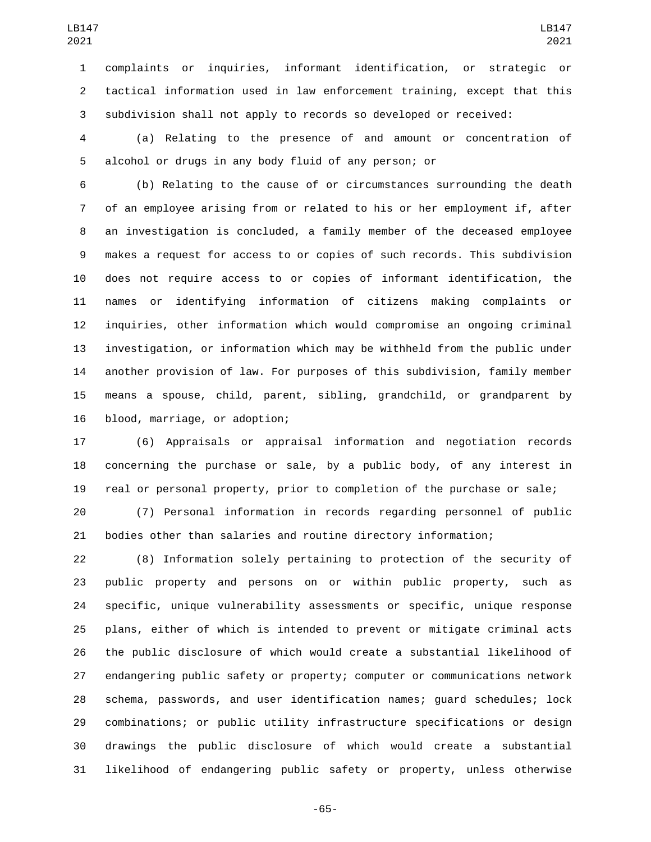complaints or inquiries, informant identification, or strategic or tactical information used in law enforcement training, except that this subdivision shall not apply to records so developed or received:

 (a) Relating to the presence of and amount or concentration of alcohol or drugs in any body fluid of any person; or

 (b) Relating to the cause of or circumstances surrounding the death of an employee arising from or related to his or her employment if, after an investigation is concluded, a family member of the deceased employee makes a request for access to or copies of such records. This subdivision does not require access to or copies of informant identification, the names or identifying information of citizens making complaints or inquiries, other information which would compromise an ongoing criminal investigation, or information which may be withheld from the public under another provision of law. For purposes of this subdivision, family member means a spouse, child, parent, sibling, grandchild, or grandparent by 16 blood, marriage, or adoption;

 (6) Appraisals or appraisal information and negotiation records concerning the purchase or sale, by a public body, of any interest in real or personal property, prior to completion of the purchase or sale;

 (7) Personal information in records regarding personnel of public bodies other than salaries and routine directory information;

 (8) Information solely pertaining to protection of the security of public property and persons on or within public property, such as specific, unique vulnerability assessments or specific, unique response plans, either of which is intended to prevent or mitigate criminal acts the public disclosure of which would create a substantial likelihood of endangering public safety or property; computer or communications network schema, passwords, and user identification names; guard schedules; lock combinations; or public utility infrastructure specifications or design drawings the public disclosure of which would create a substantial likelihood of endangering public safety or property, unless otherwise

-65-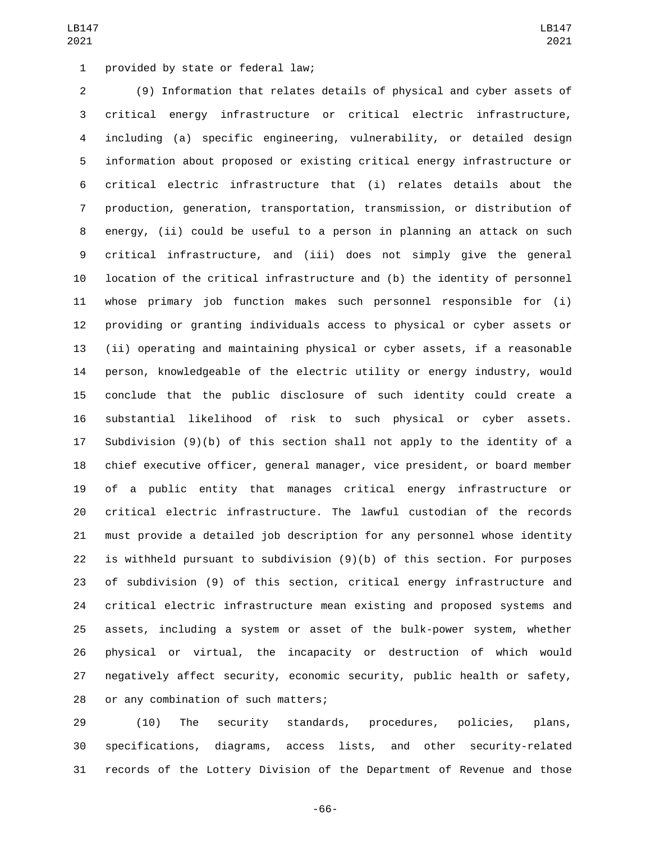1 provided by state or federal law;

 (9) Information that relates details of physical and cyber assets of critical energy infrastructure or critical electric infrastructure, including (a) specific engineering, vulnerability, or detailed design information about proposed or existing critical energy infrastructure or critical electric infrastructure that (i) relates details about the production, generation, transportation, transmission, or distribution of energy, (ii) could be useful to a person in planning an attack on such critical infrastructure, and (iii) does not simply give the general location of the critical infrastructure and (b) the identity of personnel whose primary job function makes such personnel responsible for (i) providing or granting individuals access to physical or cyber assets or (ii) operating and maintaining physical or cyber assets, if a reasonable person, knowledgeable of the electric utility or energy industry, would conclude that the public disclosure of such identity could create a substantial likelihood of risk to such physical or cyber assets. Subdivision (9)(b) of this section shall not apply to the identity of a chief executive officer, general manager, vice president, or board member of a public entity that manages critical energy infrastructure or critical electric infrastructure. The lawful custodian of the records must provide a detailed job description for any personnel whose identity is withheld pursuant to subdivision (9)(b) of this section. For purposes of subdivision (9) of this section, critical energy infrastructure and critical electric infrastructure mean existing and proposed systems and assets, including a system or asset of the bulk-power system, whether physical or virtual, the incapacity or destruction of which would negatively affect security, economic security, public health or safety, 28 or any combination of such matters;

 (10) The security standards, procedures, policies, plans, specifications, diagrams, access lists, and other security-related records of the Lottery Division of the Department of Revenue and those

-66-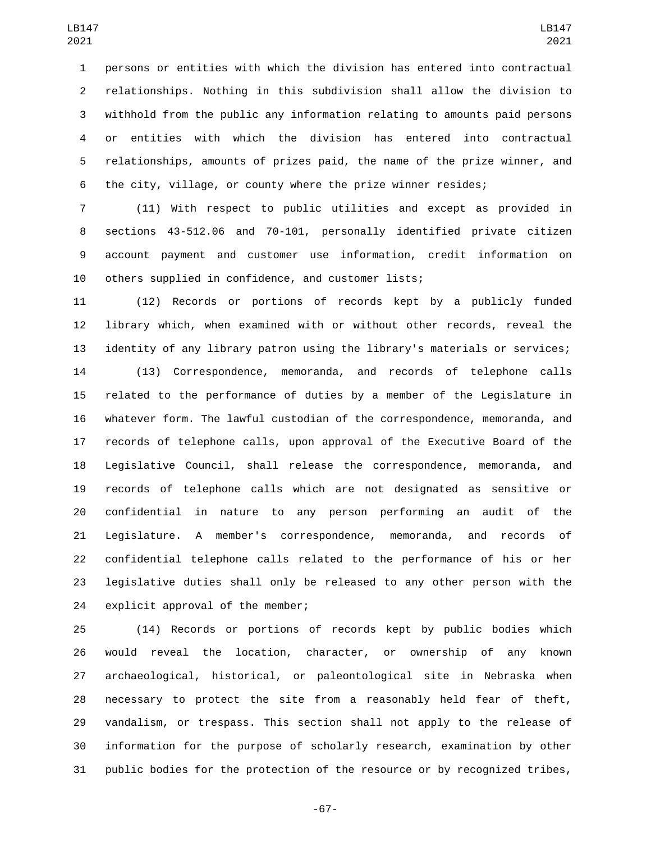persons or entities with which the division has entered into contractual relationships. Nothing in this subdivision shall allow the division to withhold from the public any information relating to amounts paid persons or entities with which the division has entered into contractual relationships, amounts of prizes paid, the name of the prize winner, and the city, village, or county where the prize winner resides;

 (11) With respect to public utilities and except as provided in sections 43-512.06 and 70-101, personally identified private citizen account payment and customer use information, credit information on others supplied in confidence, and customer lists;

 (12) Records or portions of records kept by a publicly funded library which, when examined with or without other records, reveal the identity of any library patron using the library's materials or services;

 (13) Correspondence, memoranda, and records of telephone calls related to the performance of duties by a member of the Legislature in whatever form. The lawful custodian of the correspondence, memoranda, and records of telephone calls, upon approval of the Executive Board of the Legislative Council, shall release the correspondence, memoranda, and records of telephone calls which are not designated as sensitive or confidential in nature to any person performing an audit of the Legislature. A member's correspondence, memoranda, and records of confidential telephone calls related to the performance of his or her legislative duties shall only be released to any other person with the 24 explicit approval of the member;

 (14) Records or portions of records kept by public bodies which would reveal the location, character, or ownership of any known archaeological, historical, or paleontological site in Nebraska when necessary to protect the site from a reasonably held fear of theft, vandalism, or trespass. This section shall not apply to the release of information for the purpose of scholarly research, examination by other public bodies for the protection of the resource or by recognized tribes,

-67-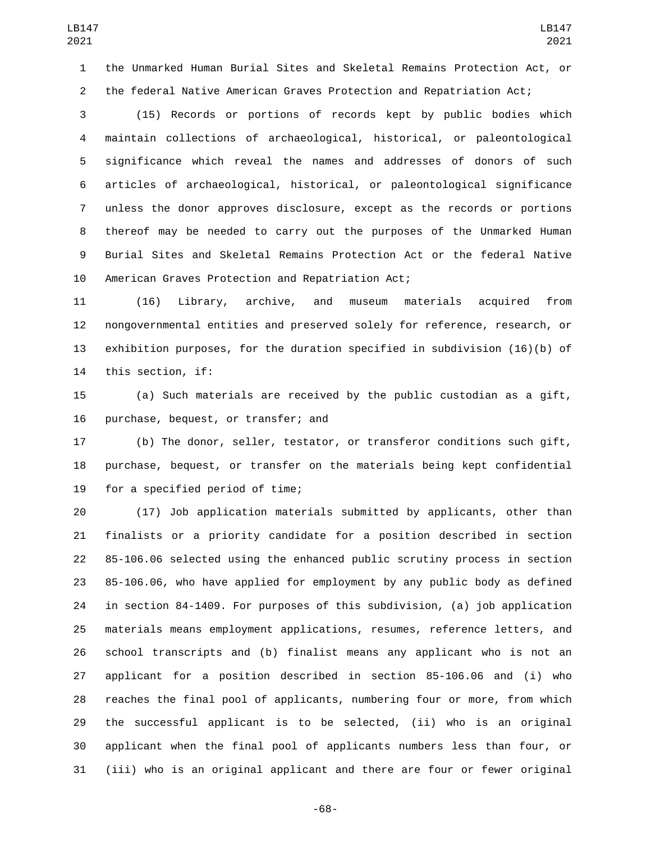the Unmarked Human Burial Sites and Skeletal Remains Protection Act, or the federal Native American Graves Protection and Repatriation Act;

 (15) Records or portions of records kept by public bodies which maintain collections of archaeological, historical, or paleontological significance which reveal the names and addresses of donors of such articles of archaeological, historical, or paleontological significance unless the donor approves disclosure, except as the records or portions thereof may be needed to carry out the purposes of the Unmarked Human Burial Sites and Skeletal Remains Protection Act or the federal Native 10 American Graves Protection and Repatriation Act;

 (16) Library, archive, and museum materials acquired from nongovernmental entities and preserved solely for reference, research, or exhibition purposes, for the duration specified in subdivision (16)(b) of 14 this section, if:

 (a) Such materials are received by the public custodian as a gift, 16 purchase, bequest, or transfer; and

 (b) The donor, seller, testator, or transferor conditions such gift, purchase, bequest, or transfer on the materials being kept confidential 19 for a specified period of time;

 (17) Job application materials submitted by applicants, other than finalists or a priority candidate for a position described in section 85-106.06 selected using the enhanced public scrutiny process in section 85-106.06, who have applied for employment by any public body as defined in section 84-1409. For purposes of this subdivision, (a) job application materials means employment applications, resumes, reference letters, and school transcripts and (b) finalist means any applicant who is not an applicant for a position described in section 85-106.06 and (i) who reaches the final pool of applicants, numbering four or more, from which the successful applicant is to be selected, (ii) who is an original applicant when the final pool of applicants numbers less than four, or (iii) who is an original applicant and there are four or fewer original

-68-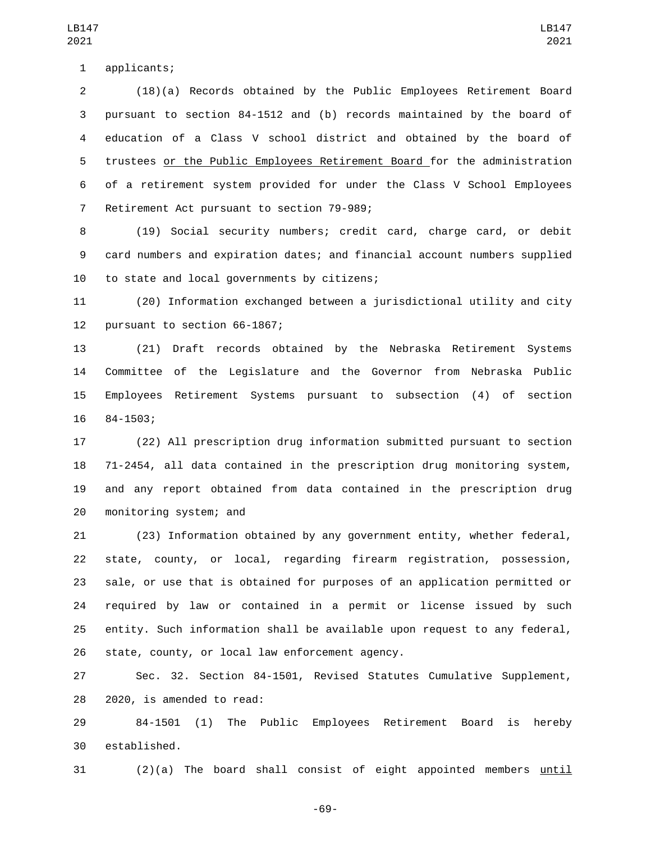applicants;1

 (18)(a) Records obtained by the Public Employees Retirement Board pursuant to section 84-1512 and (b) records maintained by the board of education of a Class V school district and obtained by the board of trustees or the Public Employees Retirement Board for the administration of a retirement system provided for under the Class V School Employees 7 Retirement Act pursuant to section 79-989;

 (19) Social security numbers; credit card, charge card, or debit card numbers and expiration dates; and financial account numbers supplied 10 to state and local governments by citizens;

 (20) Information exchanged between a jurisdictional utility and city 12 pursuant to section 66-1867;

 (21) Draft records obtained by the Nebraska Retirement Systems Committee of the Legislature and the Governor from Nebraska Public Employees Retirement Systems pursuant to subsection (4) of section 16 84-1503;

 (22) All prescription drug information submitted pursuant to section 71-2454, all data contained in the prescription drug monitoring system, and any report obtained from data contained in the prescription drug 20 monitoring system; and

 (23) Information obtained by any government entity, whether federal, state, county, or local, regarding firearm registration, possession, sale, or use that is obtained for purposes of an application permitted or required by law or contained in a permit or license issued by such entity. Such information shall be available upon request to any federal, 26 state, county, or local law enforcement agency.

 Sec. 32. Section 84-1501, Revised Statutes Cumulative Supplement, 28 2020, is amended to read:

 84-1501 (1) The Public Employees Retirement Board is hereby 30 established.

(2)(a) The board shall consist of eight appointed members until

LB147 

-69-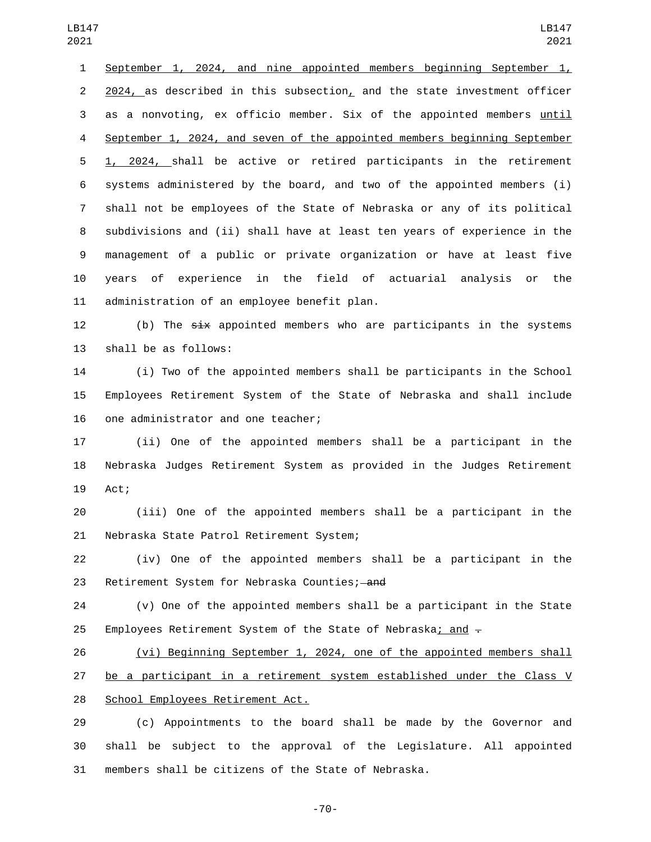September 1, 2024, and nine appointed members beginning September 1, 2024, as described in this subsection, and the state investment officer 3 as a nonvoting, ex officio member. Six of the appointed members until September 1, 2024, and seven of the appointed members beginning September 1, 2024, shall be active or retired participants in the retirement systems administered by the board, and two of the appointed members (i) shall not be employees of the State of Nebraska or any of its political subdivisions and (ii) shall have at least ten years of experience in the management of a public or private organization or have at least five years of experience in the field of actuarial analysis or the 11 administration of an employee benefit plan.

12 (b) The  $s\overline{i}x$  appointed members who are participants in the systems 13 shall be as follows:

 (i) Two of the appointed members shall be participants in the School Employees Retirement System of the State of Nebraska and shall include 16 one administrator and one teacher;

 (ii) One of the appointed members shall be a participant in the Nebraska Judges Retirement System as provided in the Judges Retirement 19 Act;

 (iii) One of the appointed members shall be a participant in the 21 Nebraska State Patrol Retirement System;

 (iv) One of the appointed members shall be a participant in the 23 Retirement System for Nebraska Counties; and

 (v) One of the appointed members shall be a participant in the State 25 Employees Retirement System of the State of Nebraska; and  $\pm$ 

 (vi) Beginning September 1, 2024, one of the appointed members shall be a participant in a retirement system established under the Class V 28 School Employees Retirement Act.

 (c) Appointments to the board shall be made by the Governor and shall be subject to the approval of the Legislature. All appointed members shall be citizens of the State of Nebraska.

-70-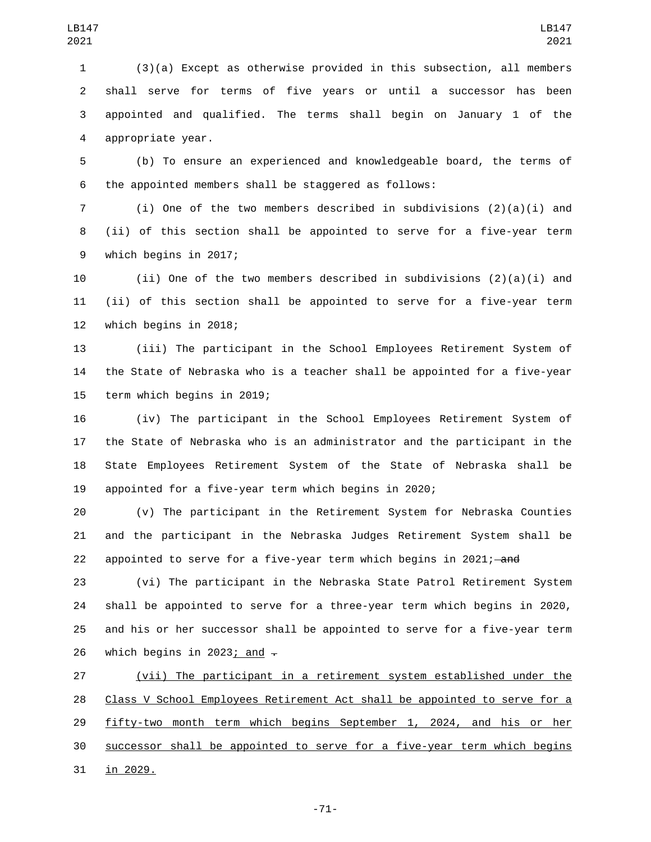(3)(a) Except as otherwise provided in this subsection, all members shall serve for terms of five years or until a successor has been appointed and qualified. The terms shall begin on January 1 of the 4 appropriate year.

 (b) To ensure an experienced and knowledgeable board, the terms of the appointed members shall be staggered as follows:

 (i) One of the two members described in subdivisions (2)(a)(i) and (ii) of this section shall be appointed to serve for a five-year term 9 which begins in 2017;

 (ii) One of the two members described in subdivisions (2)(a)(i) and (ii) of this section shall be appointed to serve for a five-year term 12 which begins in 2018;

 (iii) The participant in the School Employees Retirement System of the State of Nebraska who is a teacher shall be appointed for a five-year 15 term which begins in 2019;

 (iv) The participant in the School Employees Retirement System of the State of Nebraska who is an administrator and the participant in the State Employees Retirement System of the State of Nebraska shall be appointed for a five-year term which begins in 2020;

 (v) The participant in the Retirement System for Nebraska Counties and the participant in the Nebraska Judges Retirement System shall be 22 appointed to serve for a five-year term which begins in 2021;  $-\text{and}$ 

 (vi) The participant in the Nebraska State Patrol Retirement System shall be appointed to serve for a three-year term which begins in 2020, and his or her successor shall be appointed to serve for a five-year term 26 which begins in 2023; and  $\overline{z}$ 

 (vii) The participant in a retirement system established under the Class V School Employees Retirement Act shall be appointed to serve for a 29 fifty-two month term which begins September 1, 2024, and his or her successor shall be appointed to serve for a five-year term which begins 31 in 2029.

-71-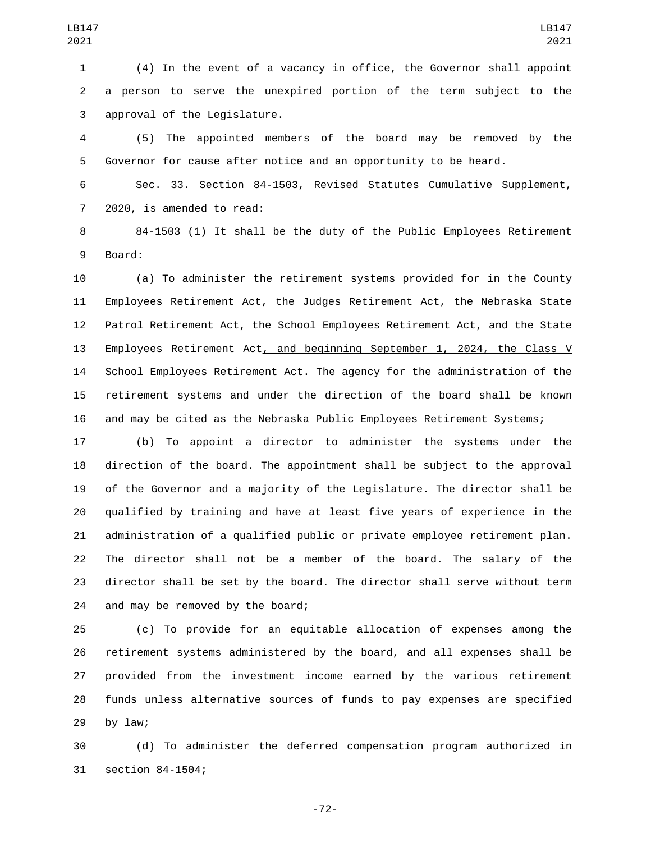(4) In the event of a vacancy in office, the Governor shall appoint a person to serve the unexpired portion of the term subject to the 3 approval of the Legislature.

 (5) The appointed members of the board may be removed by the Governor for cause after notice and an opportunity to be heard.

 Sec. 33. Section 84-1503, Revised Statutes Cumulative Supplement, 7 2020, is amended to read:

 84-1503 (1) It shall be the duty of the Public Employees Retirement 9 Board:

 (a) To administer the retirement systems provided for in the County Employees Retirement Act, the Judges Retirement Act, the Nebraska State 12 Patrol Retirement Act, the School Employees Retirement Act, and the State Employees Retirement Act, and beginning September 1, 2024, the Class V School Employees Retirement Act. The agency for the administration of the retirement systems and under the direction of the board shall be known and may be cited as the Nebraska Public Employees Retirement Systems;

 (b) To appoint a director to administer the systems under the direction of the board. The appointment shall be subject to the approval of the Governor and a majority of the Legislature. The director shall be qualified by training and have at least five years of experience in the administration of a qualified public or private employee retirement plan. The director shall not be a member of the board. The salary of the director shall be set by the board. The director shall serve without term 24 and may be removed by the board;

 (c) To provide for an equitable allocation of expenses among the retirement systems administered by the board, and all expenses shall be provided from the investment income earned by the various retirement funds unless alternative sources of funds to pay expenses are specified by law;

 (d) To administer the deferred compensation program authorized in 31 section 84-1504;

-72-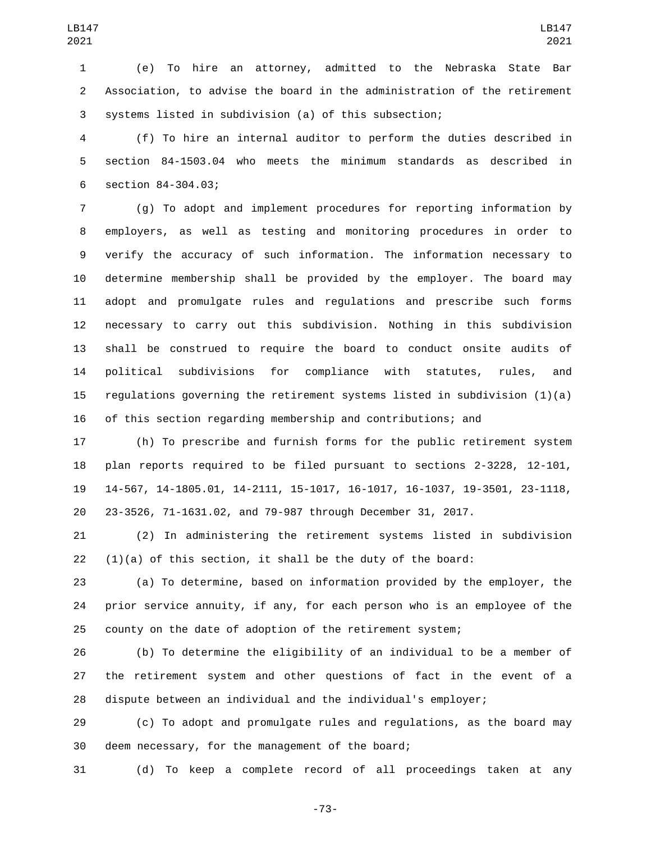(e) To hire an attorney, admitted to the Nebraska State Bar Association, to advise the board in the administration of the retirement systems listed in subdivision (a) of this subsection;

 (f) To hire an internal auditor to perform the duties described in section 84-1503.04 who meets the minimum standards as described in 6 section 84-304.03;

 (g) To adopt and implement procedures for reporting information by employers, as well as testing and monitoring procedures in order to verify the accuracy of such information. The information necessary to determine membership shall be provided by the employer. The board may adopt and promulgate rules and regulations and prescribe such forms necessary to carry out this subdivision. Nothing in this subdivision shall be construed to require the board to conduct onsite audits of political subdivisions for compliance with statutes, rules, and 15 regulations governing the retirement systems listed in subdivision  $(1)(a)$ of this section regarding membership and contributions; and

 (h) To prescribe and furnish forms for the public retirement system plan reports required to be filed pursuant to sections 2-3228, 12-101, 14-567, 14-1805.01, 14-2111, 15-1017, 16-1017, 16-1037, 19-3501, 23-1118, 23-3526, 71-1631.02, and 79-987 through December 31, 2017.

 (2) In administering the retirement systems listed in subdivision (1)(a) of this section, it shall be the duty of the board:

 (a) To determine, based on information provided by the employer, the prior service annuity, if any, for each person who is an employee of the county on the date of adoption of the retirement system;

 (b) To determine the eligibility of an individual to be a member of the retirement system and other questions of fact in the event of a dispute between an individual and the individual's employer;

 (c) To adopt and promulgate rules and regulations, as the board may 30 deem necessary, for the management of the board;

(d) To keep a complete record of all proceedings taken at any

-73-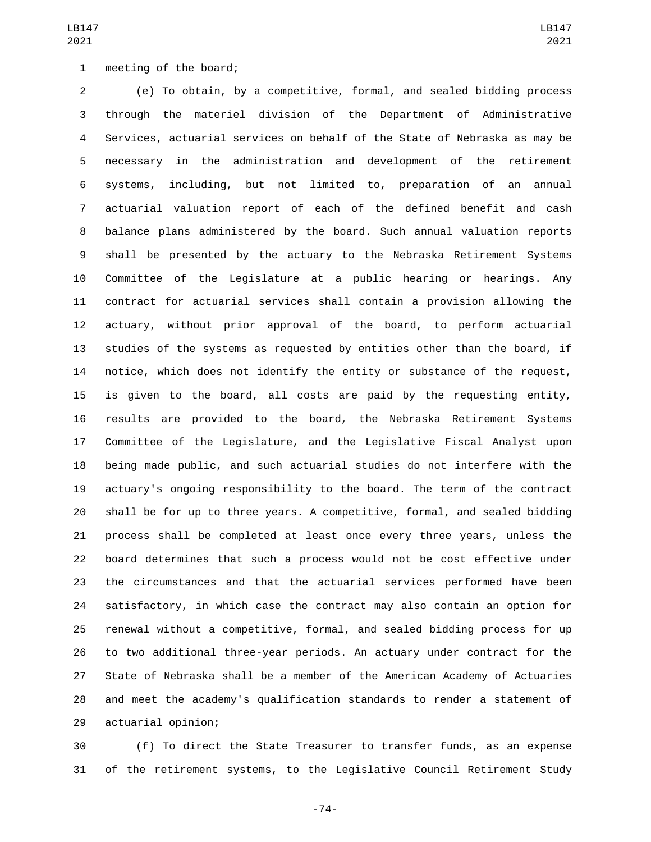(e) To obtain, by a competitive, formal, and sealed bidding process through the materiel division of the Department of Administrative Services, actuarial services on behalf of the State of Nebraska as may be necessary in the administration and development of the retirement systems, including, but not limited to, preparation of an annual actuarial valuation report of each of the defined benefit and cash balance plans administered by the board. Such annual valuation reports shall be presented by the actuary to the Nebraska Retirement Systems Committee of the Legislature at a public hearing or hearings. Any contract for actuarial services shall contain a provision allowing the actuary, without prior approval of the board, to perform actuarial studies of the systems as requested by entities other than the board, if notice, which does not identify the entity or substance of the request, is given to the board, all costs are paid by the requesting entity, results are provided to the board, the Nebraska Retirement Systems Committee of the Legislature, and the Legislative Fiscal Analyst upon being made public, and such actuarial studies do not interfere with the actuary's ongoing responsibility to the board. The term of the contract shall be for up to three years. A competitive, formal, and sealed bidding process shall be completed at least once every three years, unless the board determines that such a process would not be cost effective under the circumstances and that the actuarial services performed have been satisfactory, in which case the contract may also contain an option for renewal without a competitive, formal, and sealed bidding process for up to two additional three-year periods. An actuary under contract for the State of Nebraska shall be a member of the American Academy of Actuaries and meet the academy's qualification standards to render a statement of 29 actuarial opinion;

 (f) To direct the State Treasurer to transfer funds, as an expense of the retirement systems, to the Legislative Council Retirement Study

-74-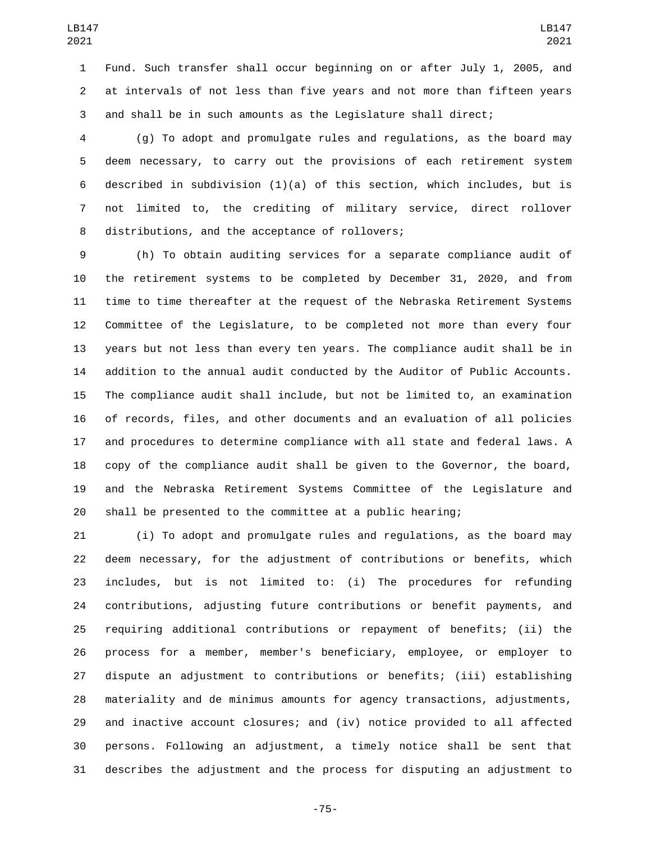Fund. Such transfer shall occur beginning on or after July 1, 2005, and at intervals of not less than five years and not more than fifteen years and shall be in such amounts as the Legislature shall direct;

 (g) To adopt and promulgate rules and regulations, as the board may deem necessary, to carry out the provisions of each retirement system 6 described in subdivision  $(1)(a)$  of this section, which includes, but is not limited to, the crediting of military service, direct rollover 8 distributions, and the acceptance of rollovers;

 (h) To obtain auditing services for a separate compliance audit of the retirement systems to be completed by December 31, 2020, and from time to time thereafter at the request of the Nebraska Retirement Systems Committee of the Legislature, to be completed not more than every four years but not less than every ten years. The compliance audit shall be in addition to the annual audit conducted by the Auditor of Public Accounts. The compliance audit shall include, but not be limited to, an examination of records, files, and other documents and an evaluation of all policies and procedures to determine compliance with all state and federal laws. A copy of the compliance audit shall be given to the Governor, the board, and the Nebraska Retirement Systems Committee of the Legislature and shall be presented to the committee at a public hearing;

 (i) To adopt and promulgate rules and regulations, as the board may deem necessary, for the adjustment of contributions or benefits, which includes, but is not limited to: (i) The procedures for refunding contributions, adjusting future contributions or benefit payments, and requiring additional contributions or repayment of benefits; (ii) the process for a member, member's beneficiary, employee, or employer to dispute an adjustment to contributions or benefits; (iii) establishing materiality and de minimus amounts for agency transactions, adjustments, and inactive account closures; and (iv) notice provided to all affected persons. Following an adjustment, a timely notice shall be sent that describes the adjustment and the process for disputing an adjustment to

-75-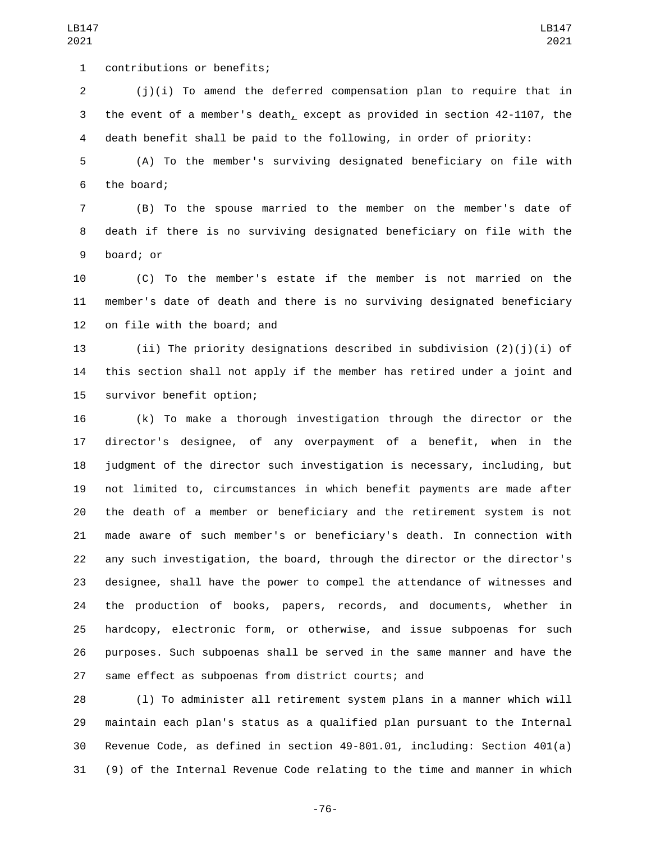contributions or benefits;1

 (j)(i) To amend the deferred compensation plan to require that in the event of a member's death, except as provided in section 42-1107, the death benefit shall be paid to the following, in order of priority:

 (A) To the member's surviving designated beneficiary on file with 6 the board;

 (B) To the spouse married to the member on the member's date of death if there is no surviving designated beneficiary on file with the 9 board; or

 (C) To the member's estate if the member is not married on the member's date of death and there is no surviving designated beneficiary 12 on file with the board; and

 (ii) The priority designations described in subdivision (2)(j)(i) of this section shall not apply if the member has retired under a joint and 15 survivor benefit option;

 (k) To make a thorough investigation through the director or the director's designee, of any overpayment of a benefit, when in the judgment of the director such investigation is necessary, including, but not limited to, circumstances in which benefit payments are made after the death of a member or beneficiary and the retirement system is not made aware of such member's or beneficiary's death. In connection with any such investigation, the board, through the director or the director's designee, shall have the power to compel the attendance of witnesses and the production of books, papers, records, and documents, whether in hardcopy, electronic form, or otherwise, and issue subpoenas for such purposes. Such subpoenas shall be served in the same manner and have the same effect as subpoenas from district courts; and

 (l) To administer all retirement system plans in a manner which will maintain each plan's status as a qualified plan pursuant to the Internal Revenue Code, as defined in section 49-801.01, including: Section 401(a) (9) of the Internal Revenue Code relating to the time and manner in which

-76-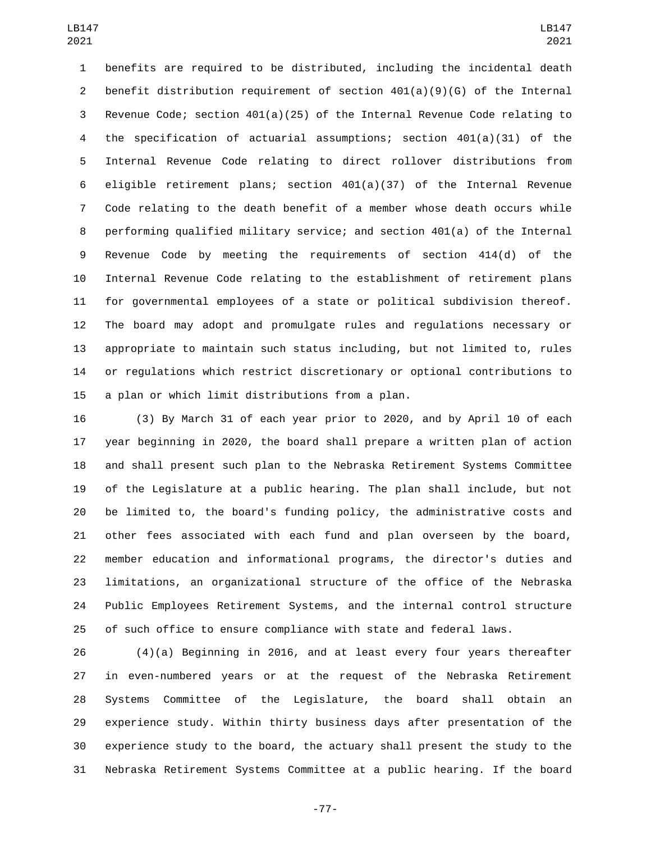benefits are required to be distributed, including the incidental death 2 benefit distribution requirement of section  $401(a)(9)(6)$  of the Internal Revenue Code; section 401(a)(25) of the Internal Revenue Code relating to the specification of actuarial assumptions; section 401(a)(31) of the Internal Revenue Code relating to direct rollover distributions from eligible retirement plans; section 401(a)(37) of the Internal Revenue Code relating to the death benefit of a member whose death occurs while performing qualified military service; and section 401(a) of the Internal Revenue Code by meeting the requirements of section 414(d) of the Internal Revenue Code relating to the establishment of retirement plans for governmental employees of a state or political subdivision thereof. The board may adopt and promulgate rules and regulations necessary or appropriate to maintain such status including, but not limited to, rules or regulations which restrict discretionary or optional contributions to 15 a plan or which limit distributions from a plan.

 (3) By March 31 of each year prior to 2020, and by April 10 of each year beginning in 2020, the board shall prepare a written plan of action and shall present such plan to the Nebraska Retirement Systems Committee of the Legislature at a public hearing. The plan shall include, but not be limited to, the board's funding policy, the administrative costs and other fees associated with each fund and plan overseen by the board, member education and informational programs, the director's duties and limitations, an organizational structure of the office of the Nebraska Public Employees Retirement Systems, and the internal control structure of such office to ensure compliance with state and federal laws.

 (4)(a) Beginning in 2016, and at least every four years thereafter in even-numbered years or at the request of the Nebraska Retirement Systems Committee of the Legislature, the board shall obtain an experience study. Within thirty business days after presentation of the experience study to the board, the actuary shall present the study to the Nebraska Retirement Systems Committee at a public hearing. If the board

-77-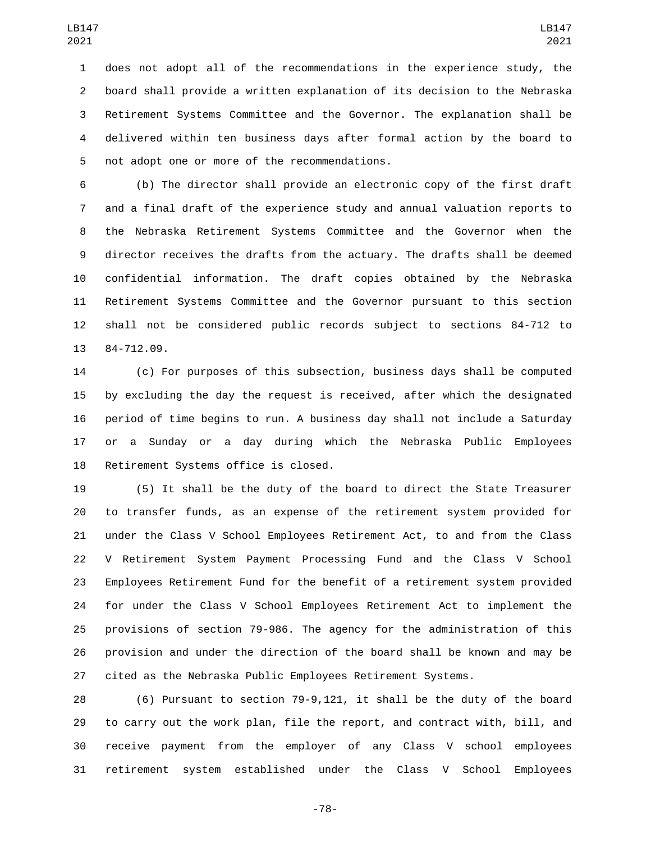does not adopt all of the recommendations in the experience study, the board shall provide a written explanation of its decision to the Nebraska Retirement Systems Committee and the Governor. The explanation shall be delivered within ten business days after formal action by the board to 5 not adopt one or more of the recommendations.

 (b) The director shall provide an electronic copy of the first draft and a final draft of the experience study and annual valuation reports to the Nebraska Retirement Systems Committee and the Governor when the director receives the drafts from the actuary. The drafts shall be deemed confidential information. The draft copies obtained by the Nebraska Retirement Systems Committee and the Governor pursuant to this section shall not be considered public records subject to sections 84-712 to 13 84-712.09.

 (c) For purposes of this subsection, business days shall be computed by excluding the day the request is received, after which the designated period of time begins to run. A business day shall not include a Saturday or a Sunday or a day during which the Nebraska Public Employees 18 Retirement Systems office is closed.

 (5) It shall be the duty of the board to direct the State Treasurer to transfer funds, as an expense of the retirement system provided for under the Class V School Employees Retirement Act, to and from the Class V Retirement System Payment Processing Fund and the Class V School Employees Retirement Fund for the benefit of a retirement system provided for under the Class V School Employees Retirement Act to implement the provisions of section 79-986. The agency for the administration of this provision and under the direction of the board shall be known and may be cited as the Nebraska Public Employees Retirement Systems.

 (6) Pursuant to section 79-9,121, it shall be the duty of the board to carry out the work plan, file the report, and contract with, bill, and receive payment from the employer of any Class V school employees retirement system established under the Class V School Employees

-78-